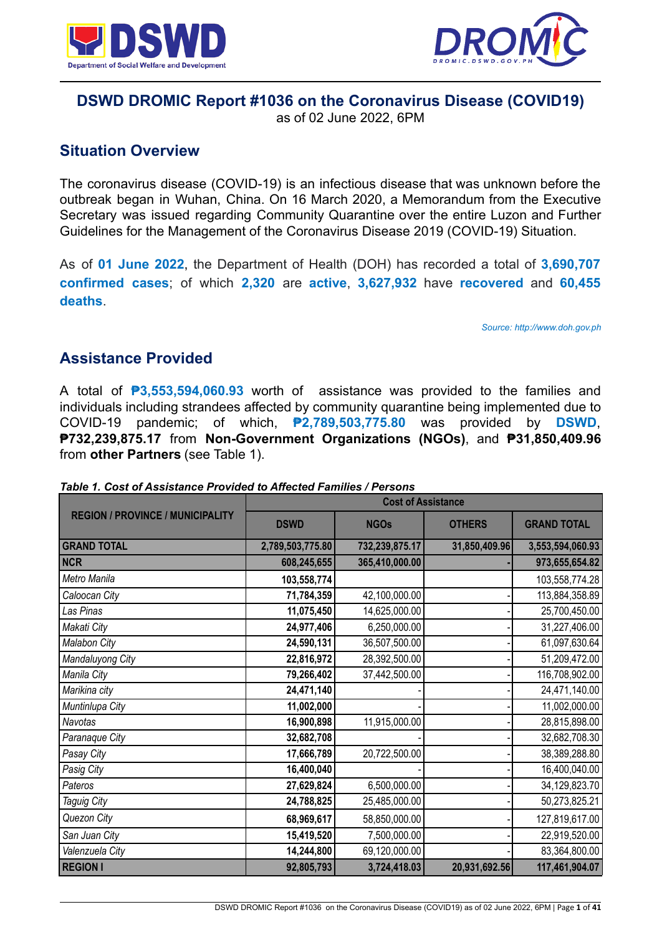



## **DSWD DROMIC Report #1036 on the Coronavirus Disease (COVID19)**

as of 02 June 2022, 6PM

## **Situation Overview**

The coronavirus disease (COVID-19) is an infectious disease that was unknown before the outbreak began in Wuhan, China. On 16 March 2020, a Memorandum from the Executive Secretary was issued regarding Community Quarantine over the entire Luzon and Further Guidelines for the Management of the Coronavirus Disease 2019 (COVID-19) Situation.

As of **01 June 2022**, the Department of Health (DOH) has recorded a total of **3,690,707 confirmed cases**; of which **2,320** are **active**, **3,627,932** have **recovered** and **60,455 deaths**.

*Source: http://www.doh.gov.ph*

## **Assistance Provided**

A total of **₱3,553,594,060.93** worth of assistance was provided to the families and individuals including strandees affected by community quarantine being implemented due to COVID-19 pandemic; of which, **₱2,789,503,775.80** was provided by **DSWD**, **₱732,239,875.17** from **Non-Government Organizations (NGOs)**, and **₱31,850,409.96** from **other Partners** (see Table 1).

|                                         | <b>Cost of Assistance</b> |                |               |                    |  |
|-----------------------------------------|---------------------------|----------------|---------------|--------------------|--|
| <b>REGION / PROVINCE / MUNICIPALITY</b> | <b>DSWD</b>               | <b>NGOs</b>    | <b>OTHERS</b> | <b>GRAND TOTAL</b> |  |
| <b>GRAND TOTAL</b>                      | 2,789,503,775.80          | 732,239,875.17 | 31,850,409.96 | 3,553,594,060.93   |  |
| <b>NCR</b>                              | 608,245,655               | 365,410,000.00 |               | 973,655,654.82     |  |
| Metro Manila                            | 103,558,774               |                |               | 103,558,774.28     |  |
| Caloocan City                           | 71,784,359                | 42,100,000.00  |               | 113,884,358.89     |  |
| Las Pinas                               | 11,075,450                | 14,625,000.00  |               | 25,700,450.00      |  |
| Makati City                             | 24,977,406                | 6,250,000.00   |               | 31,227,406.00      |  |
| Malabon City                            | 24,590,131                | 36,507,500.00  |               | 61,097,630.64      |  |
| Mandaluyong City                        | 22,816,972                | 28,392,500.00  |               | 51,209,472.00      |  |
| Manila City                             | 79,266,402                | 37,442,500.00  |               | 116,708,902.00     |  |
| Marikina city                           | 24,471,140                |                |               | 24,471,140.00      |  |
| Muntinlupa City                         | 11,002,000                |                |               | 11,002,000.00      |  |
| Navotas                                 | 16,900,898                | 11,915,000.00  |               | 28,815,898.00      |  |
| Paranaque City                          | 32,682,708                |                |               | 32,682,708.30      |  |
| Pasay City                              | 17,666,789                | 20,722,500.00  |               | 38,389,288.80      |  |
| Pasig City                              | 16,400,040                |                |               | 16,400,040.00      |  |
| Pateros                                 | 27,629,824                | 6,500,000.00   |               | 34,129,823.70      |  |
| Taguig City                             | 24,788,825                | 25,485,000.00  |               | 50,273,825.21      |  |
| Quezon City                             | 68,969,617                | 58,850,000.00  |               | 127,819,617.00     |  |
| San Juan City                           | 15,419,520                | 7,500,000.00   |               | 22,919,520.00      |  |
| Valenzuela City                         | 14,244,800                | 69,120,000.00  |               | 83,364,800.00      |  |
| <b>REGION I</b>                         | 92,805,793                | 3,724,418.03   | 20,931,692.56 | 117,461,904.07     |  |

*Table 1. Cost of Assistance Provided to Affected Families / Persons*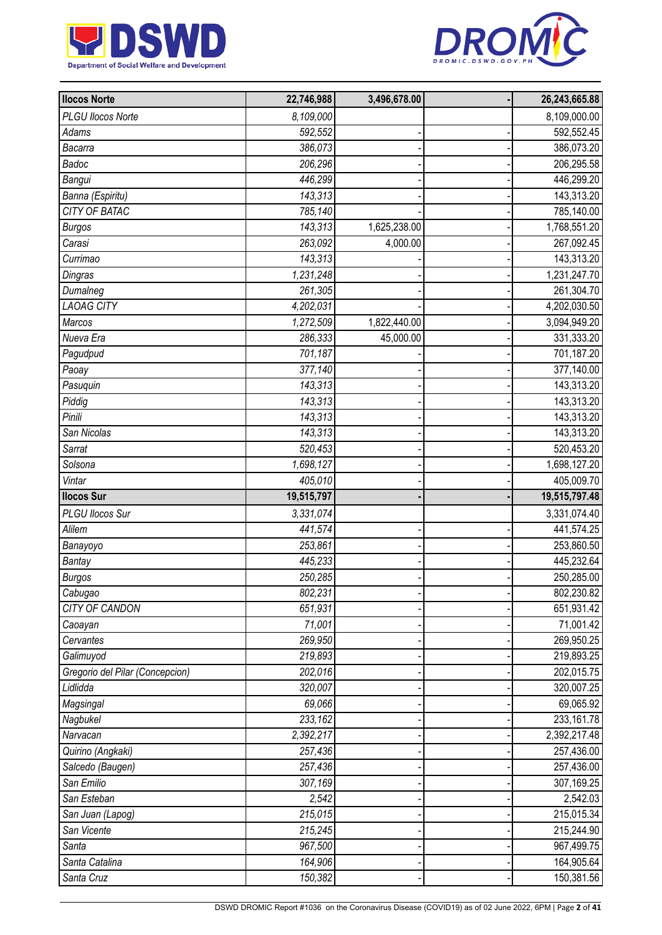



| <b>Ilocos Norte</b>             | 22,746,988 | 3,496,678.00 | 26,243,665.88 |
|---------------------------------|------------|--------------|---------------|
| <b>PLGU Ilocos Norte</b>        | 8,109,000  |              | 8,109,000.00  |
| <b>Adams</b>                    | 592,552    |              | 592,552.45    |
| Bacarra                         | 386,073    |              | 386,073.20    |
| Badoc                           | 206,296    |              | 206,295.58    |
| Bangui                          | 446,299    |              | 446,299.20    |
| Banna (Espiritu)                | 143,313    |              | 143,313.20    |
| CITY OF BATAC                   | 785,140    |              | 785,140.00    |
| <b>Burgos</b>                   | 143,313    | 1,625,238.00 | 1,768,551.20  |
| Carasi                          | 263,092    | 4,000.00     | 267,092.45    |
| Currimao                        | 143,313    |              | 143,313.20    |
| Dingras                         | 1,231,248  |              | 1,231,247.70  |
| Dumalneg                        | 261,305    |              | 261,304.70    |
| <b>LAOAG CITY</b>               | 4,202,031  |              | 4,202,030.50  |
| Marcos                          | 1,272,509  | 1,822,440.00 | 3,094,949.20  |
| Nueva Era                       | 286,333    | 45,000.00    | 331,333.20    |
| Pagudpud                        | 701,187    |              | 701,187.20    |
| Paoay                           | 377,140    |              | 377,140.00    |
| Pasuquin                        | 143,313    |              | 143,313.20    |
| Piddig                          | 143,313    |              | 143,313.20    |
| Pinili                          | 143,313    |              | 143,313.20    |
| San Nicolas                     | 143,313    |              | 143,313.20    |
| Sarrat                          | 520,453    |              | 520,453.20    |
| Solsona                         | 1,698,127  |              | 1,698,127.20  |
| Vintar                          | 405,010    |              | 405,009.70    |
| <b>Ilocos Sur</b>               | 19,515,797 |              | 19,515,797.48 |
| PLGU Ilocos Sur                 | 3,331,074  |              | 3,331,074.40  |
| Alilem                          | 441,574    |              | 441,574.25    |
| Banayoyo                        | 253,861    |              | 253,860.50    |
| Bantay                          | 445,233    |              | 445,232.64    |
| <b>Burgos</b>                   | 250,285    |              | 250,285.00    |
| Cabugao                         | 802,231    |              | 802,230.82    |
| CITY OF CANDON                  | 651,931    |              | 651,931.42    |
| Caoayan                         | 71,001     |              | 71,001.42     |
| Cervantes                       | 269,950    |              | 269,950.25    |
| Galimuyod                       | 219,893    |              | 219,893.25    |
| Gregorio del Pilar (Concepcion) | 202,016    |              | 202,015.75    |
| Lidlidda                        | 320,007    |              | 320,007.25    |
| Magsingal                       | 69.066     |              | 69,065.92     |
| Nagbukel                        | 233,162    |              | 233,161.78    |
| Narvacan                        | 2,392,217  |              | 2,392,217.48  |
| Quirino (Angkaki)               | 257,436    |              | 257,436.00    |
| Salcedo (Baugen)                | 257,436    |              | 257,436.00    |
| San Emilio                      | 307,169    |              | 307,169.25    |
| San Esteban                     | 2,542      |              | 2,542.03      |
| San Juan (Lapog)                | 215,015    |              | 215,015.34    |
| San Vicente                     | 215,245    |              | 215,244.90    |
| Santa                           | 967,500    |              | 967,499.75    |
| Santa Catalina                  | 164,906    |              | 164,905.64    |
| Santa Cruz                      | 150,382    |              | 150,381.56    |
|                                 |            |              |               |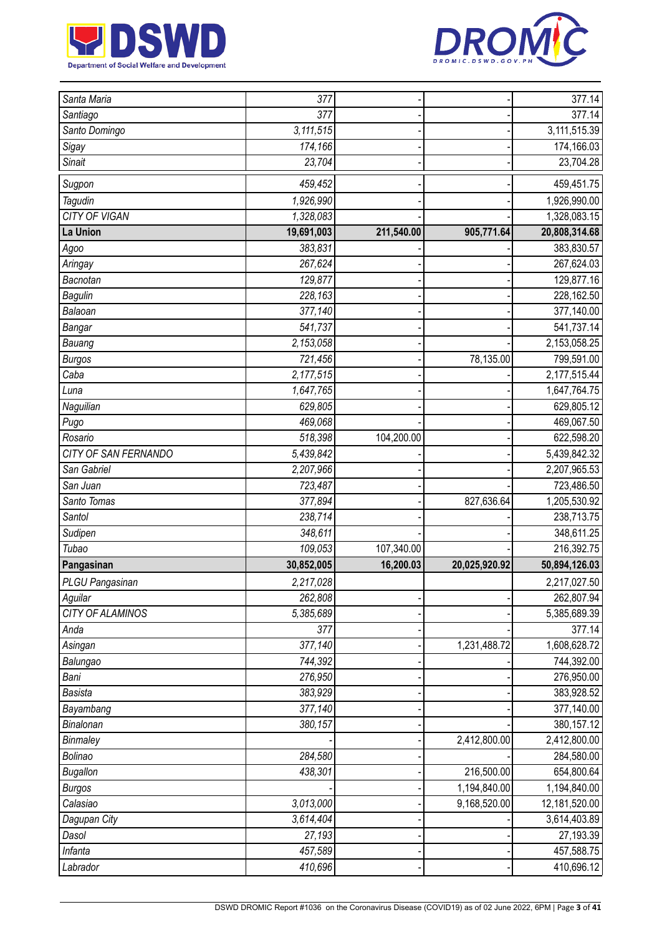



| 377.14<br>377<br>Santiago<br>Santo Domingo<br>3,111,515<br>3,111,515.39<br>174,166<br>174,166.03<br>Sigay<br>Sinait<br>23,704<br>23,704.28<br>Sugpon<br>459,452<br>459,451.75<br>1,926,990<br>1,926,990.00<br>Tagudin<br><b>CITY OF VIGAN</b><br>1,328,083<br>1,328,083.15<br>905,771.64<br>19,691,003<br>211,540.00<br>20,808,314.68<br>383,831<br>383,830.57<br>Agoo<br>267,624<br>267,624.03<br>Aringay<br>129,877<br>129,877.16<br>Bacnotan<br>228,163<br><b>Bagulin</b><br>228,162.50<br>Balaoan<br>377,140<br>377,140.00<br>541,737.14<br>541,737<br>Bangar<br>2,153,058.25<br>Bauang<br>2,153,058<br>78,135.00<br>721,456<br>799,591.00<br><b>Burgos</b><br>Caba<br>2,177,515<br>2,177,515.44<br>1,647,765<br>1,647,764.75<br>Luna<br>629,805.12<br>Naguilian<br>629,805<br>469,068<br>469,067.50<br>Pugo<br>518,398<br>104,200.00<br>622,598.20<br>Rosario<br>CITY OF SAN FERNANDO<br>5,439,842<br>5,439,842.32<br>San Gabriel<br>2,207,966<br>2,207,965.53<br>San Juan<br>723,487<br>723,486.50<br>827,636.64<br>Santo Tomas<br>377,894<br>1,205,530.92<br>Santol<br>238,714<br>238,713.75<br>Sudipen<br>348,611<br>348,611.25<br>Tubao<br>107,340.00<br>109,053<br>216,392.75<br>Pangasinan<br>30,852,005<br>16,200.03<br>20,025,920.92<br>50,894,126.03<br>PLGU Pangasinan<br>2,217,028<br>2,217,027.50<br>262,808<br>Aguilar<br>262,807.94<br>CITY OF ALAMINOS<br>5,385,689<br>5,385,689.39<br>377.14<br>377<br>Anda<br>377,140<br>1,231,488.72<br>1,608,628.72<br>Asingan<br>744,392<br>744,392.00<br>Balungao<br>276,950.00<br>Bani<br>276,950<br>383,929<br><b>Basista</b><br>383,928.52<br>377,140<br>377,140.00<br>Bayambang<br>380,157.12<br>Binalonan<br>380,157<br>2,412,800.00<br>2,412,800.00<br>Binmaley<br>Bolinao<br>284,580<br>284,580.00<br>216,500.00<br><b>Bugallon</b><br>438,301<br>654,800.64<br>1,194,840.00<br>1,194,840.00<br><b>Burgos</b><br>Calasiao<br>9,168,520.00<br>12,181,520.00<br>3,013,000<br>3,614,404<br>3,614,403.89<br>Dagupan City<br>27,193.39<br>Dasol<br>27,193<br>Infanta<br>457,588.75<br>457,589 |             |         |  |            |
|-----------------------------------------------------------------------------------------------------------------------------------------------------------------------------------------------------------------------------------------------------------------------------------------------------------------------------------------------------------------------------------------------------------------------------------------------------------------------------------------------------------------------------------------------------------------------------------------------------------------------------------------------------------------------------------------------------------------------------------------------------------------------------------------------------------------------------------------------------------------------------------------------------------------------------------------------------------------------------------------------------------------------------------------------------------------------------------------------------------------------------------------------------------------------------------------------------------------------------------------------------------------------------------------------------------------------------------------------------------------------------------------------------------------------------------------------------------------------------------------------------------------------------------------------------------------------------------------------------------------------------------------------------------------------------------------------------------------------------------------------------------------------------------------------------------------------------------------------------------------------------------------------------------------------------------------------------------------------------------------------------------------------------------------------------------|-------------|---------|--|------------|
|                                                                                                                                                                                                                                                                                                                                                                                                                                                                                                                                                                                                                                                                                                                                                                                                                                                                                                                                                                                                                                                                                                                                                                                                                                                                                                                                                                                                                                                                                                                                                                                                                                                                                                                                                                                                                                                                                                                                                                                                                                                           | Santa Maria | 377     |  | 377.14     |
|                                                                                                                                                                                                                                                                                                                                                                                                                                                                                                                                                                                                                                                                                                                                                                                                                                                                                                                                                                                                                                                                                                                                                                                                                                                                                                                                                                                                                                                                                                                                                                                                                                                                                                                                                                                                                                                                                                                                                                                                                                                           |             |         |  |            |
|                                                                                                                                                                                                                                                                                                                                                                                                                                                                                                                                                                                                                                                                                                                                                                                                                                                                                                                                                                                                                                                                                                                                                                                                                                                                                                                                                                                                                                                                                                                                                                                                                                                                                                                                                                                                                                                                                                                                                                                                                                                           |             |         |  |            |
|                                                                                                                                                                                                                                                                                                                                                                                                                                                                                                                                                                                                                                                                                                                                                                                                                                                                                                                                                                                                                                                                                                                                                                                                                                                                                                                                                                                                                                                                                                                                                                                                                                                                                                                                                                                                                                                                                                                                                                                                                                                           |             |         |  |            |
|                                                                                                                                                                                                                                                                                                                                                                                                                                                                                                                                                                                                                                                                                                                                                                                                                                                                                                                                                                                                                                                                                                                                                                                                                                                                                                                                                                                                                                                                                                                                                                                                                                                                                                                                                                                                                                                                                                                                                                                                                                                           |             |         |  |            |
|                                                                                                                                                                                                                                                                                                                                                                                                                                                                                                                                                                                                                                                                                                                                                                                                                                                                                                                                                                                                                                                                                                                                                                                                                                                                                                                                                                                                                                                                                                                                                                                                                                                                                                                                                                                                                                                                                                                                                                                                                                                           |             |         |  |            |
|                                                                                                                                                                                                                                                                                                                                                                                                                                                                                                                                                                                                                                                                                                                                                                                                                                                                                                                                                                                                                                                                                                                                                                                                                                                                                                                                                                                                                                                                                                                                                                                                                                                                                                                                                                                                                                                                                                                                                                                                                                                           |             |         |  |            |
|                                                                                                                                                                                                                                                                                                                                                                                                                                                                                                                                                                                                                                                                                                                                                                                                                                                                                                                                                                                                                                                                                                                                                                                                                                                                                                                                                                                                                                                                                                                                                                                                                                                                                                                                                                                                                                                                                                                                                                                                                                                           |             |         |  |            |
|                                                                                                                                                                                                                                                                                                                                                                                                                                                                                                                                                                                                                                                                                                                                                                                                                                                                                                                                                                                                                                                                                                                                                                                                                                                                                                                                                                                                                                                                                                                                                                                                                                                                                                                                                                                                                                                                                                                                                                                                                                                           | La Union    |         |  |            |
|                                                                                                                                                                                                                                                                                                                                                                                                                                                                                                                                                                                                                                                                                                                                                                                                                                                                                                                                                                                                                                                                                                                                                                                                                                                                                                                                                                                                                                                                                                                                                                                                                                                                                                                                                                                                                                                                                                                                                                                                                                                           |             |         |  |            |
|                                                                                                                                                                                                                                                                                                                                                                                                                                                                                                                                                                                                                                                                                                                                                                                                                                                                                                                                                                                                                                                                                                                                                                                                                                                                                                                                                                                                                                                                                                                                                                                                                                                                                                                                                                                                                                                                                                                                                                                                                                                           |             |         |  |            |
|                                                                                                                                                                                                                                                                                                                                                                                                                                                                                                                                                                                                                                                                                                                                                                                                                                                                                                                                                                                                                                                                                                                                                                                                                                                                                                                                                                                                                                                                                                                                                                                                                                                                                                                                                                                                                                                                                                                                                                                                                                                           |             |         |  |            |
|                                                                                                                                                                                                                                                                                                                                                                                                                                                                                                                                                                                                                                                                                                                                                                                                                                                                                                                                                                                                                                                                                                                                                                                                                                                                                                                                                                                                                                                                                                                                                                                                                                                                                                                                                                                                                                                                                                                                                                                                                                                           |             |         |  |            |
|                                                                                                                                                                                                                                                                                                                                                                                                                                                                                                                                                                                                                                                                                                                                                                                                                                                                                                                                                                                                                                                                                                                                                                                                                                                                                                                                                                                                                                                                                                                                                                                                                                                                                                                                                                                                                                                                                                                                                                                                                                                           |             |         |  |            |
|                                                                                                                                                                                                                                                                                                                                                                                                                                                                                                                                                                                                                                                                                                                                                                                                                                                                                                                                                                                                                                                                                                                                                                                                                                                                                                                                                                                                                                                                                                                                                                                                                                                                                                                                                                                                                                                                                                                                                                                                                                                           |             |         |  |            |
|                                                                                                                                                                                                                                                                                                                                                                                                                                                                                                                                                                                                                                                                                                                                                                                                                                                                                                                                                                                                                                                                                                                                                                                                                                                                                                                                                                                                                                                                                                                                                                                                                                                                                                                                                                                                                                                                                                                                                                                                                                                           |             |         |  |            |
|                                                                                                                                                                                                                                                                                                                                                                                                                                                                                                                                                                                                                                                                                                                                                                                                                                                                                                                                                                                                                                                                                                                                                                                                                                                                                                                                                                                                                                                                                                                                                                                                                                                                                                                                                                                                                                                                                                                                                                                                                                                           |             |         |  |            |
|                                                                                                                                                                                                                                                                                                                                                                                                                                                                                                                                                                                                                                                                                                                                                                                                                                                                                                                                                                                                                                                                                                                                                                                                                                                                                                                                                                                                                                                                                                                                                                                                                                                                                                                                                                                                                                                                                                                                                                                                                                                           |             |         |  |            |
|                                                                                                                                                                                                                                                                                                                                                                                                                                                                                                                                                                                                                                                                                                                                                                                                                                                                                                                                                                                                                                                                                                                                                                                                                                                                                                                                                                                                                                                                                                                                                                                                                                                                                                                                                                                                                                                                                                                                                                                                                                                           |             |         |  |            |
|                                                                                                                                                                                                                                                                                                                                                                                                                                                                                                                                                                                                                                                                                                                                                                                                                                                                                                                                                                                                                                                                                                                                                                                                                                                                                                                                                                                                                                                                                                                                                                                                                                                                                                                                                                                                                                                                                                                                                                                                                                                           |             |         |  |            |
|                                                                                                                                                                                                                                                                                                                                                                                                                                                                                                                                                                                                                                                                                                                                                                                                                                                                                                                                                                                                                                                                                                                                                                                                                                                                                                                                                                                                                                                                                                                                                                                                                                                                                                                                                                                                                                                                                                                                                                                                                                                           |             |         |  |            |
|                                                                                                                                                                                                                                                                                                                                                                                                                                                                                                                                                                                                                                                                                                                                                                                                                                                                                                                                                                                                                                                                                                                                                                                                                                                                                                                                                                                                                                                                                                                                                                                                                                                                                                                                                                                                                                                                                                                                                                                                                                                           |             |         |  |            |
|                                                                                                                                                                                                                                                                                                                                                                                                                                                                                                                                                                                                                                                                                                                                                                                                                                                                                                                                                                                                                                                                                                                                                                                                                                                                                                                                                                                                                                                                                                                                                                                                                                                                                                                                                                                                                                                                                                                                                                                                                                                           |             |         |  |            |
|                                                                                                                                                                                                                                                                                                                                                                                                                                                                                                                                                                                                                                                                                                                                                                                                                                                                                                                                                                                                                                                                                                                                                                                                                                                                                                                                                                                                                                                                                                                                                                                                                                                                                                                                                                                                                                                                                                                                                                                                                                                           |             |         |  |            |
|                                                                                                                                                                                                                                                                                                                                                                                                                                                                                                                                                                                                                                                                                                                                                                                                                                                                                                                                                                                                                                                                                                                                                                                                                                                                                                                                                                                                                                                                                                                                                                                                                                                                                                                                                                                                                                                                                                                                                                                                                                                           |             |         |  |            |
|                                                                                                                                                                                                                                                                                                                                                                                                                                                                                                                                                                                                                                                                                                                                                                                                                                                                                                                                                                                                                                                                                                                                                                                                                                                                                                                                                                                                                                                                                                                                                                                                                                                                                                                                                                                                                                                                                                                                                                                                                                                           |             |         |  |            |
|                                                                                                                                                                                                                                                                                                                                                                                                                                                                                                                                                                                                                                                                                                                                                                                                                                                                                                                                                                                                                                                                                                                                                                                                                                                                                                                                                                                                                                                                                                                                                                                                                                                                                                                                                                                                                                                                                                                                                                                                                                                           |             |         |  |            |
|                                                                                                                                                                                                                                                                                                                                                                                                                                                                                                                                                                                                                                                                                                                                                                                                                                                                                                                                                                                                                                                                                                                                                                                                                                                                                                                                                                                                                                                                                                                                                                                                                                                                                                                                                                                                                                                                                                                                                                                                                                                           |             |         |  |            |
|                                                                                                                                                                                                                                                                                                                                                                                                                                                                                                                                                                                                                                                                                                                                                                                                                                                                                                                                                                                                                                                                                                                                                                                                                                                                                                                                                                                                                                                                                                                                                                                                                                                                                                                                                                                                                                                                                                                                                                                                                                                           |             |         |  |            |
|                                                                                                                                                                                                                                                                                                                                                                                                                                                                                                                                                                                                                                                                                                                                                                                                                                                                                                                                                                                                                                                                                                                                                                                                                                                                                                                                                                                                                                                                                                                                                                                                                                                                                                                                                                                                                                                                                                                                                                                                                                                           |             |         |  |            |
|                                                                                                                                                                                                                                                                                                                                                                                                                                                                                                                                                                                                                                                                                                                                                                                                                                                                                                                                                                                                                                                                                                                                                                                                                                                                                                                                                                                                                                                                                                                                                                                                                                                                                                                                                                                                                                                                                                                                                                                                                                                           |             |         |  |            |
|                                                                                                                                                                                                                                                                                                                                                                                                                                                                                                                                                                                                                                                                                                                                                                                                                                                                                                                                                                                                                                                                                                                                                                                                                                                                                                                                                                                                                                                                                                                                                                                                                                                                                                                                                                                                                                                                                                                                                                                                                                                           |             |         |  |            |
|                                                                                                                                                                                                                                                                                                                                                                                                                                                                                                                                                                                                                                                                                                                                                                                                                                                                                                                                                                                                                                                                                                                                                                                                                                                                                                                                                                                                                                                                                                                                                                                                                                                                                                                                                                                                                                                                                                                                                                                                                                                           |             |         |  |            |
|                                                                                                                                                                                                                                                                                                                                                                                                                                                                                                                                                                                                                                                                                                                                                                                                                                                                                                                                                                                                                                                                                                                                                                                                                                                                                                                                                                                                                                                                                                                                                                                                                                                                                                                                                                                                                                                                                                                                                                                                                                                           |             |         |  |            |
|                                                                                                                                                                                                                                                                                                                                                                                                                                                                                                                                                                                                                                                                                                                                                                                                                                                                                                                                                                                                                                                                                                                                                                                                                                                                                                                                                                                                                                                                                                                                                                                                                                                                                                                                                                                                                                                                                                                                                                                                                                                           |             |         |  |            |
|                                                                                                                                                                                                                                                                                                                                                                                                                                                                                                                                                                                                                                                                                                                                                                                                                                                                                                                                                                                                                                                                                                                                                                                                                                                                                                                                                                                                                                                                                                                                                                                                                                                                                                                                                                                                                                                                                                                                                                                                                                                           |             |         |  |            |
|                                                                                                                                                                                                                                                                                                                                                                                                                                                                                                                                                                                                                                                                                                                                                                                                                                                                                                                                                                                                                                                                                                                                                                                                                                                                                                                                                                                                                                                                                                                                                                                                                                                                                                                                                                                                                                                                                                                                                                                                                                                           |             |         |  |            |
|                                                                                                                                                                                                                                                                                                                                                                                                                                                                                                                                                                                                                                                                                                                                                                                                                                                                                                                                                                                                                                                                                                                                                                                                                                                                                                                                                                                                                                                                                                                                                                                                                                                                                                                                                                                                                                                                                                                                                                                                                                                           |             |         |  |            |
|                                                                                                                                                                                                                                                                                                                                                                                                                                                                                                                                                                                                                                                                                                                                                                                                                                                                                                                                                                                                                                                                                                                                                                                                                                                                                                                                                                                                                                                                                                                                                                                                                                                                                                                                                                                                                                                                                                                                                                                                                                                           |             |         |  |            |
|                                                                                                                                                                                                                                                                                                                                                                                                                                                                                                                                                                                                                                                                                                                                                                                                                                                                                                                                                                                                                                                                                                                                                                                                                                                                                                                                                                                                                                                                                                                                                                                                                                                                                                                                                                                                                                                                                                                                                                                                                                                           |             |         |  |            |
|                                                                                                                                                                                                                                                                                                                                                                                                                                                                                                                                                                                                                                                                                                                                                                                                                                                                                                                                                                                                                                                                                                                                                                                                                                                                                                                                                                                                                                                                                                                                                                                                                                                                                                                                                                                                                                                                                                                                                                                                                                                           |             |         |  |            |
|                                                                                                                                                                                                                                                                                                                                                                                                                                                                                                                                                                                                                                                                                                                                                                                                                                                                                                                                                                                                                                                                                                                                                                                                                                                                                                                                                                                                                                                                                                                                                                                                                                                                                                                                                                                                                                                                                                                                                                                                                                                           |             |         |  |            |
|                                                                                                                                                                                                                                                                                                                                                                                                                                                                                                                                                                                                                                                                                                                                                                                                                                                                                                                                                                                                                                                                                                                                                                                                                                                                                                                                                                                                                                                                                                                                                                                                                                                                                                                                                                                                                                                                                                                                                                                                                                                           |             |         |  |            |
|                                                                                                                                                                                                                                                                                                                                                                                                                                                                                                                                                                                                                                                                                                                                                                                                                                                                                                                                                                                                                                                                                                                                                                                                                                                                                                                                                                                                                                                                                                                                                                                                                                                                                                                                                                                                                                                                                                                                                                                                                                                           |             |         |  |            |
|                                                                                                                                                                                                                                                                                                                                                                                                                                                                                                                                                                                                                                                                                                                                                                                                                                                                                                                                                                                                                                                                                                                                                                                                                                                                                                                                                                                                                                                                                                                                                                                                                                                                                                                                                                                                                                                                                                                                                                                                                                                           |             |         |  |            |
|                                                                                                                                                                                                                                                                                                                                                                                                                                                                                                                                                                                                                                                                                                                                                                                                                                                                                                                                                                                                                                                                                                                                                                                                                                                                                                                                                                                                                                                                                                                                                                                                                                                                                                                                                                                                                                                                                                                                                                                                                                                           |             |         |  |            |
|                                                                                                                                                                                                                                                                                                                                                                                                                                                                                                                                                                                                                                                                                                                                                                                                                                                                                                                                                                                                                                                                                                                                                                                                                                                                                                                                                                                                                                                                                                                                                                                                                                                                                                                                                                                                                                                                                                                                                                                                                                                           |             |         |  |            |
|                                                                                                                                                                                                                                                                                                                                                                                                                                                                                                                                                                                                                                                                                                                                                                                                                                                                                                                                                                                                                                                                                                                                                                                                                                                                                                                                                                                                                                                                                                                                                                                                                                                                                                                                                                                                                                                                                                                                                                                                                                                           |             |         |  |            |
|                                                                                                                                                                                                                                                                                                                                                                                                                                                                                                                                                                                                                                                                                                                                                                                                                                                                                                                                                                                                                                                                                                                                                                                                                                                                                                                                                                                                                                                                                                                                                                                                                                                                                                                                                                                                                                                                                                                                                                                                                                                           | Labrador    | 410,696 |  | 410,696.12 |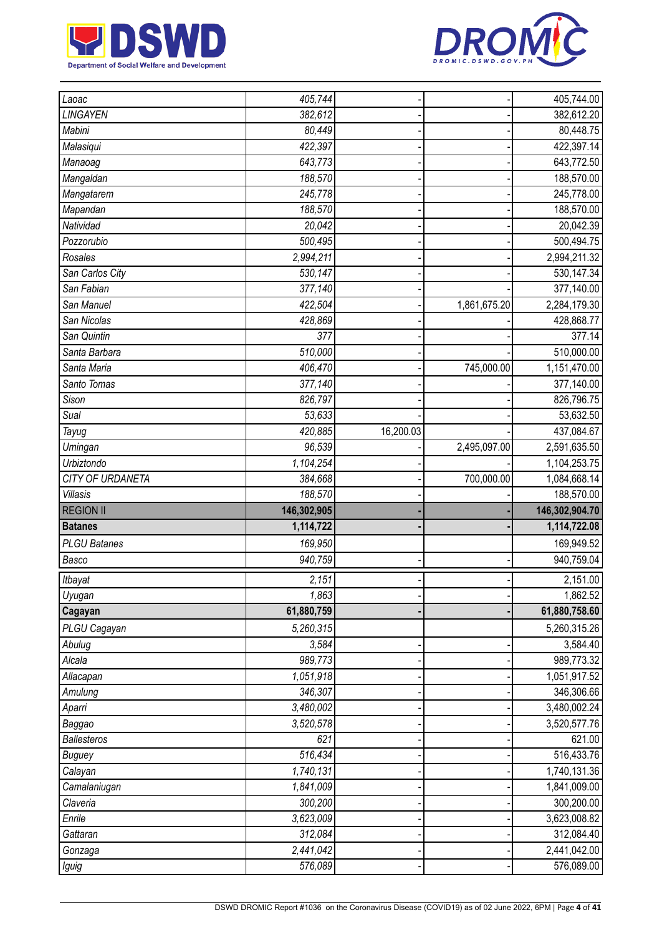



| Laoac               | 405,744              |           |              | 405,744.00                 |
|---------------------|----------------------|-----------|--------------|----------------------------|
| LINGAYEN            | 382,612              |           |              | 382,612.20                 |
| Mabini              | 80,449               |           |              | 80,448.75                  |
| Malasiqui           | 422,397              |           |              | 422,397.14                 |
| Manaoag             | 643,773              |           |              | 643,772.50                 |
| Mangaldan           | 188,570              |           |              | 188,570.00                 |
| Mangatarem          | 245,778              |           |              | 245,778.00                 |
| Mapandan            | 188,570              |           |              | 188,570.00                 |
| Natividad           | 20,042               |           |              | 20,042.39                  |
| Pozzorubio          | 500,495              |           |              | 500,494.75                 |
| Rosales             | 2,994,211            |           |              | 2,994,211.32               |
| San Carlos City     | 530,147              |           |              | 530, 147.34                |
| San Fabian          | 377,140              |           |              | 377,140.00                 |
| San Manuel          | 422,504              |           | 1,861,675.20 | 2,284,179.30               |
| San Nicolas         | 428,869              |           |              | 428,868.77                 |
| San Quintin         | 377                  |           |              | 377.14                     |
| Santa Barbara       | 510,000              |           |              | 510,000.00                 |
| Santa Maria         | 406,470              |           | 745,000.00   | 1,151,470.00               |
| Santo Tomas         | 377,140              |           |              | 377,140.00                 |
| Sison               | 826,797              |           |              | 826,796.75                 |
| Sual                | 53,633               |           |              | 53,632.50                  |
| Tayug               | 420,885              | 16,200.03 |              | 437,084.67                 |
| Umingan             | 96,539               |           | 2,495,097.00 | 2,591,635.50               |
| Urbiztondo          | 1,104,254            |           |              | 1,104,253.75               |
| CITY OF URDANETA    | 384,668              |           | 700,000.00   | 1,084,668.14               |
|                     |                      |           |              |                            |
| <b>Villasis</b>     | 188,570              |           |              | 188,570.00                 |
| <b>REGION II</b>    | 146,302,905          |           |              | 146,302,904.70             |
| <b>Batanes</b>      | 1,114,722            |           |              | 1,114,722.08               |
| <b>PLGU Batanes</b> | 169,950              |           |              | 169,949.52                 |
| Basco               | 940,759              |           |              | 940,759.04                 |
| Itbayat             | 2,151                |           |              | 2,151.00                   |
| Uyugan              | 1,863                |           |              | 1,862.52                   |
| Cagayan             | 61,880,759           |           |              | 61,880,758.60              |
| PLGU Cagayan        | 5,260,315            |           |              | 5,260,315.26               |
| Abulug              | 3,584                |           |              | 3,584.40                   |
| Alcala              | 989,773              |           |              | 989,773.32                 |
| Allacapan           | 1,051,918            |           |              | 1,051,917.52               |
| Amulung             | 346,307              |           |              | 346,306.66                 |
| Aparri              | 3,480,002            |           |              | 3,480,002.24               |
| Baggao              | 3,520,578            |           |              | 3,520,577.76               |
| <b>Ballesteros</b>  | 621                  |           |              | 621.00                     |
| Buguey              | 516,434              |           |              | 516,433.76                 |
| Calayan             | 1,740,131            |           |              | 1,740,131.36               |
| Camalaniugan        | 1,841,009            |           |              | 1,841,009.00               |
| Claveria            | 300,200              |           |              | 300,200.00                 |
| Enrile              | 3,623,009            |           |              | 3,623,008.82               |
| Gattaran            | 312,084              |           |              | 312,084.40                 |
| Gonzaga<br>Iguig    | 2,441,042<br>576,089 |           |              | 2,441,042.00<br>576,089.00 |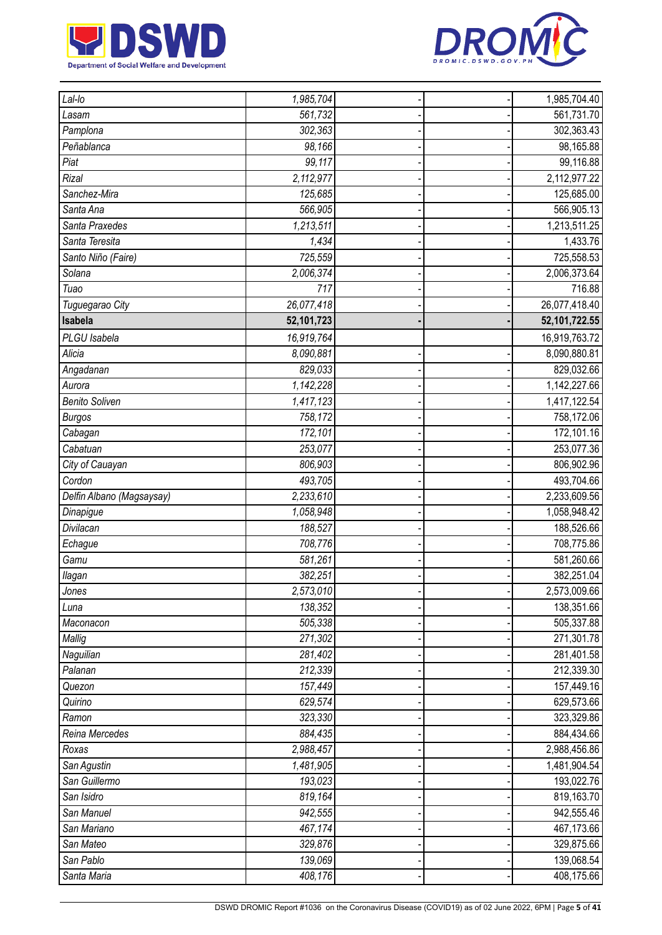



| Lal-lo                    | 1,985,704  |  | 1,985,704.40  |
|---------------------------|------------|--|---------------|
| Lasam                     | 561,732    |  | 561,731.70    |
| Pamplona                  | 302,363    |  | 302,363.43    |
| Peñablanca                | 98,166     |  | 98,165.88     |
| Piat                      | 99,117     |  | 99,116.88     |
| Rizal                     | 2,112,977  |  | 2,112,977.22  |
| Sanchez-Mira              | 125,685    |  | 125,685.00    |
| Santa Ana                 | 566,905    |  | 566,905.13    |
| Santa Praxedes            | 1,213,511  |  | 1,213,511.25  |
| Santa Teresita            | 1,434      |  | 1,433.76      |
| Santo Niño (Faire)        | 725,559    |  | 725,558.53    |
| Solana                    | 2,006,374  |  | 2,006,373.64  |
| Tuao                      | 717        |  | 716.88        |
| Tuguegarao City           | 26,077,418 |  | 26,077,418.40 |
| Isabela                   | 52,101,723 |  | 52,101,722.55 |
| PLGU Isabela              | 16,919,764 |  | 16,919,763.72 |
| Alicia                    | 8,090,881  |  | 8,090,880.81  |
| Angadanan                 | 829,033    |  | 829,032.66    |
| Aurora                    | 1,142,228  |  | 1,142,227.66  |
| <b>Benito Soliven</b>     | 1,417,123  |  | 1,417,122.54  |
| <b>Burgos</b>             | 758,172    |  | 758,172.06    |
| Cabagan                   | 172,101    |  | 172,101.16    |
| Cabatuan                  | 253,077    |  | 253,077.36    |
| City of Cauayan           | 806,903    |  | 806,902.96    |
| Cordon                    | 493,705    |  | 493,704.66    |
| Delfin Albano (Magsaysay) | 2,233,610  |  | 2,233,609.56  |
| Dinapigue                 | 1,058,948  |  | 1,058,948.42  |
| Divilacan                 | 188,527    |  | 188,526.66    |
| Echague                   | 708,776    |  | 708,775.86    |
| Gamu                      | 581,261    |  | 581,260.66    |
| llagan                    | 382,251    |  | 382,251.04    |
| Jones                     | 2,573,010  |  | 2,573,009.66  |
| Luna                      | 138,352    |  | 138,351.66    |
| Maconacon                 | 505,338    |  | 505,337.88    |
| Mallig                    | 271,302    |  | 271,301.78    |
| Naguilian                 | 281,402    |  | 281,401.58    |
| Palanan                   | 212,339    |  | 212,339.30    |
| Quezon                    | 157,449    |  | 157,449.16    |
| Quirino                   | 629,574    |  | 629,573.66    |
| Ramon                     | 323,330    |  | 323,329.86    |
| Reina Mercedes            | 884,435    |  | 884,434.66    |
| Roxas                     | 2,988,457  |  | 2,988,456.86  |
| San Agustin               | 1,481,905  |  | 1,481,904.54  |
| San Guillermo             | 193,023    |  | 193,022.76    |
| San Isidro                | 819,164    |  | 819,163.70    |
| San Manuel                | 942,555    |  | 942,555.46    |
| San Mariano               | 467,174    |  | 467,173.66    |
| San Mateo                 | 329,876    |  | 329,875.66    |
| San Pablo                 | 139,069    |  | 139,068.54    |
| Santa Maria               | 408,176    |  | 408,175.66    |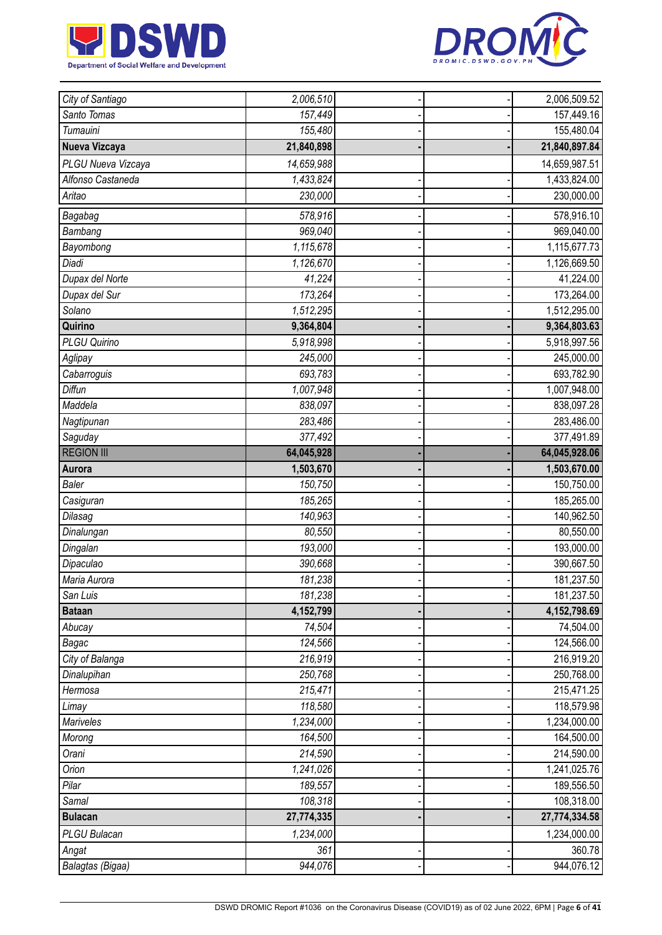



| City of Santiago   | 2,006,510  |  | 2,006,509.52  |
|--------------------|------------|--|---------------|
| Santo Tomas        | 157,449    |  | 157,449.16    |
| Tumauini           | 155,480    |  | 155,480.04    |
| Nueva Vizcaya      | 21,840,898 |  | 21,840,897.84 |
| PLGU Nueva Vizcaya | 14,659,988 |  | 14,659,987.51 |
| Alfonso Castaneda  | 1,433,824  |  | 1,433,824.00  |
| Aritao             | 230,000    |  | 230,000.00    |
| Bagabag            | 578,916    |  | 578,916.10    |
| Bambang            | 969,040    |  | 969,040.00    |
| Bayombong          | 1,115,678  |  | 1,115,677.73  |
| Diadi              | 1,126,670  |  | 1,126,669.50  |
| Dupax del Norte    | 41,224     |  | 41,224.00     |
| Dupax del Sur      | 173,264    |  | 173,264.00    |
| Solano             | 1,512,295  |  | 1,512,295.00  |
| Quirino            | 9,364,804  |  | 9,364,803.63  |
| PLGU Quirino       | 5,918,998  |  | 5,918,997.56  |
| Aglipay            | 245,000    |  | 245,000.00    |
| Cabarroguis        | 693,783    |  | 693,782.90    |
| Diffun             | 1,007,948  |  | 1,007,948.00  |
| Maddela            | 838,097    |  | 838,097.28    |
| Nagtipunan         | 283,486    |  | 283,486.00    |
| Saguday            | 377,492    |  | 377,491.89    |
| <b>REGION III</b>  | 64,045,928 |  | 64,045,928.06 |
| Aurora             | 1,503,670  |  | 1,503,670.00  |
| <b>Baler</b>       | 150,750    |  | 150,750.00    |
| Casiguran          | 185,265    |  | 185,265.00    |
| Dilasag            | 140,963    |  | 140,962.50    |
| Dinalungan         | 80,550     |  | 80,550.00     |
| Dingalan           | 193,000    |  | 193,000.00    |
| Dipaculao          | 390,668    |  | 390,667.50    |
| Maria Aurora       | 181,238    |  | 181,237.50    |
| San Luis           | 181,238    |  | 181,237.50    |
| <b>Bataan</b>      | 4,152,799  |  | 4,152,798.69  |
| Abucay             | 74,504     |  | 74,504.00     |
| Bagac              | 124,566    |  | 124,566.00    |
| City of Balanga    | 216,919    |  | 216,919.20    |
| Dinalupihan        | 250,768    |  | 250,768.00    |
| Hermosa            | 215,471    |  | 215,471.25    |
| Limay              | 118,580    |  | 118,579.98    |
| Mariveles          | 1,234,000  |  | 1,234,000.00  |
| Morong             | 164,500    |  | 164,500.00    |
| Orani              | 214,590    |  | 214,590.00    |
| Orion              | 1,241,026  |  | 1,241,025.76  |
| Pilar              | 189,557    |  | 189,556.50    |
| Samal              | 108,318    |  | 108,318.00    |
| <b>Bulacan</b>     | 27,774,335 |  | 27,774,334.58 |
| PLGU Bulacan       | 1,234,000  |  | 1,234,000.00  |
| Angat              | 361        |  | 360.78        |
| Balagtas (Bigaa)   | 944,076    |  | 944,076.12    |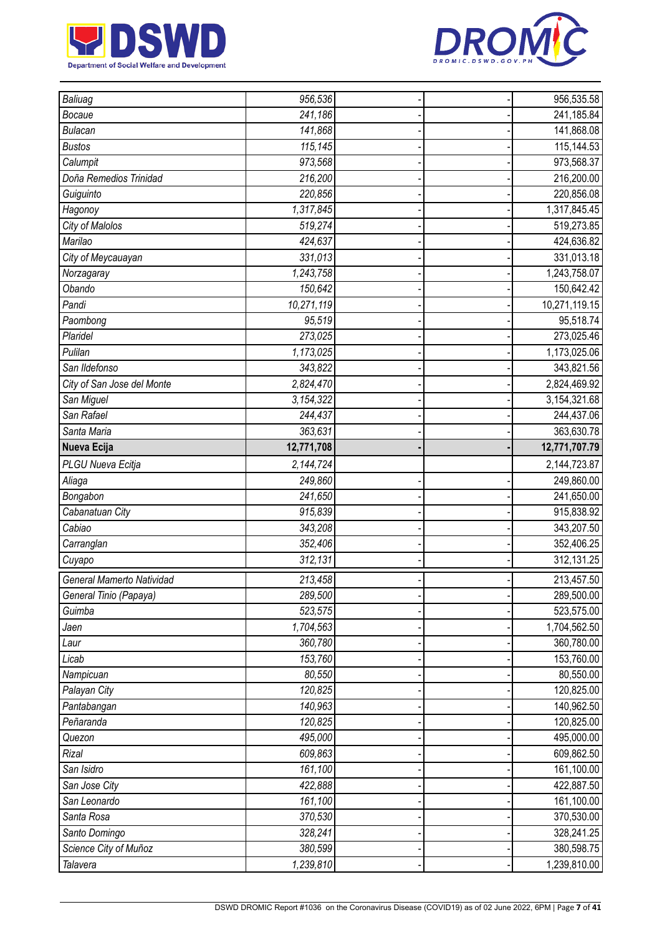



| Baliuag                    | 956,536    |  | 956,535.58    |
|----------------------------|------------|--|---------------|
| Bocaue                     | 241,186    |  | 241,185.84    |
| <b>Bulacan</b>             | 141,868    |  | 141,868.08    |
| <b>Bustos</b>              | 115,145    |  | 115,144.53    |
| Calumpit                   | 973,568    |  | 973,568.37    |
| Doña Remedios Trinidad     | 216,200    |  | 216,200.00    |
| Guiguinto                  | 220,856    |  | 220,856.08    |
| Hagonoy                    | 1,317,845  |  | 1,317,845.45  |
| City of Malolos            | 519,274    |  | 519,273.85    |
| Marilao                    | 424,637    |  | 424,636.82    |
| City of Meycauayan         | 331,013    |  | 331,013.18    |
| Norzagaray                 | 1,243,758  |  | 1,243,758.07  |
| Obando                     | 150,642    |  | 150,642.42    |
| Pandi                      | 10,271,119 |  | 10,271,119.15 |
| Paombong                   | 95,519     |  | 95,518.74     |
| Plaridel                   | 273,025    |  | 273,025.46    |
| Pulilan                    | 1,173,025  |  | 1,173,025.06  |
| San Ildefonso              | 343,822    |  | 343,821.56    |
| City of San Jose del Monte | 2,824,470  |  | 2,824,469.92  |
| San Miguel                 | 3,154,322  |  | 3,154,321.68  |
| San Rafael                 | 244,437    |  | 244,437.06    |
| Santa Maria                | 363,631    |  | 363,630.78    |
| Nueva Ecija                | 12,771,708 |  | 12,771,707.79 |
| PLGU Nueva Ecitja          | 2,144,724  |  | 2,144,723.87  |
| Aliaga                     | 249,860    |  | 249,860.00    |
| Bongabon                   | 241,650    |  | 241,650.00    |
| Cabanatuan City            | 915,839    |  | 915,838.92    |
| Cabiao                     | 343,208    |  | 343,207.50    |
| Carranglan                 | 352,406    |  | 352,406.25    |
| Cuyapo                     | 312,131    |  | 312,131.25    |
| General Mamerto Natividad  | 213,458    |  | 213,457.50    |
| General Tinio (Papaya)     | 289,500    |  | 289,500.00    |
| Guimba                     | 523,575    |  | 523,575.00    |
| Jaen                       | 1,704,563  |  | 1,704,562.50  |
| Laur                       | 360,780    |  | 360,780.00    |
| Licab                      | 153,760    |  | 153,760.00    |
| Nampicuan                  | 80,550     |  | 80,550.00     |
| Palayan City               | 120,825    |  | 120,825.00    |
| Pantabangan                | 140,963    |  | 140,962.50    |
| Peñaranda                  | 120,825    |  | 120,825.00    |
| Quezon                     | 495,000    |  | 495,000.00    |
| Rizal                      | 609,863    |  | 609,862.50    |
| San Isidro                 | 161,100    |  | 161,100.00    |
| San Jose City              | 422,888    |  | 422,887.50    |
| San Leonardo               | 161,100    |  | 161,100.00    |
| Santa Rosa                 | 370,530    |  | 370,530.00    |
| Santo Domingo              | 328,241    |  | 328,241.25    |
| Science City of Muñoz      | 380,599    |  | 380,598.75    |
| Talavera                   | 1,239,810  |  | 1,239,810.00  |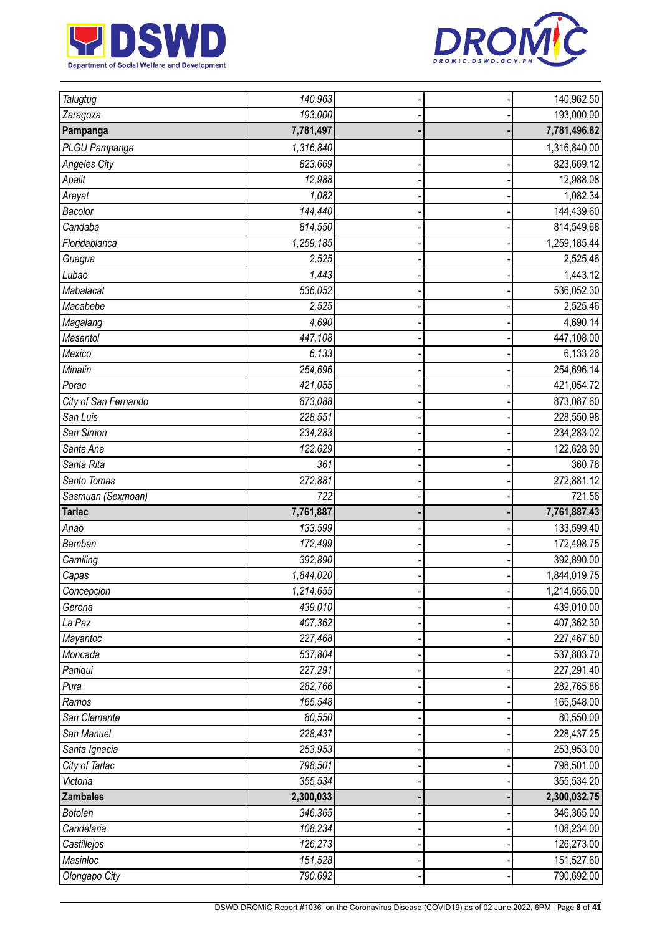



| Talugtug                  | 140,963            |  | 140,962.50               |
|---------------------------|--------------------|--|--------------------------|
| Zaragoza                  | 193,000            |  | 193,000.00               |
| Pampanga                  | 7,781,497          |  | 7,781,496.82             |
| PLGU Pampanga             | 1,316,840          |  | 1,316,840.00             |
| <b>Angeles City</b>       | 823,669            |  | 823,669.12               |
| Apalit                    | 12,988             |  | 12,988.08                |
| Arayat                    | 1,082              |  | 1,082.34                 |
| Bacolor                   | 144,440            |  | 144,439.60               |
| Candaba                   | 814,550            |  | 814,549.68               |
| Floridablanca             | 1,259,185          |  | 1,259,185.44             |
| Guagua                    | 2,525              |  | 2,525.46                 |
| Lubao                     | 1,443              |  | 1,443.12                 |
| Mabalacat                 | 536,052            |  | 536,052.30               |
| Macabebe                  | 2,525              |  | 2,525.46                 |
| Magalang                  | 4,690              |  | 4,690.14                 |
| Masantol                  | 447,108            |  | 447,108.00               |
| Mexico                    | 6,133              |  | 6,133.26                 |
| Minalin                   | 254,696            |  | 254,696.14               |
| Porac                     | 421,055            |  | 421,054.72               |
| City of San Fernando      | 873,088            |  | 873,087.60               |
| San Luis                  | 228,551            |  | 228,550.98               |
| San Simon                 | 234,283            |  | 234,283.02               |
| Santa Ana                 | 122,629            |  | 122,628.90               |
| Santa Rita                | 361                |  | 360.78                   |
| Santo Tomas               | 272,881            |  | 272,881.12               |
|                           |                    |  |                          |
| Sasmuan (Sexmoan)         | 722                |  | 721.56                   |
| <b>Tarlac</b>             | 7,761,887          |  | 7,761,887.43             |
| Anao                      | 133,599            |  | 133,599.40               |
| Bamban                    | 172,499            |  | 172,498.75               |
| Camiling                  | 392,890            |  | 392,890.00               |
| Capas                     | 1,844,020          |  | 1,844,019.75             |
| Concepcion                | 1,214,655          |  | 1,214,655.00             |
| Gerona                    | 439,010            |  | 439,010.00               |
| La Paz                    | 407,362            |  | 407,362.30               |
| Mayantoc                  | 227,468            |  | 227,467.80               |
| Moncada                   | 537,804            |  | 537,803.70               |
| Paniqui                   | 227,291            |  | 227,291.40               |
| Pura                      | 282,766            |  | 282,765.88               |
| Ramos                     | 165,548            |  | 165,548.00               |
| San Clemente              | 80,550             |  | 80,550.00                |
| San Manuel                | 228,437            |  | 228,437.25               |
| Santa Ignacia             | 253,953            |  | 253,953.00               |
| City of Tarlac            | 798,501            |  | 798,501.00               |
| Victoria                  | 355,534            |  | 355,534.20               |
| <b>Zambales</b>           | 2,300,033          |  | 2,300,032.75             |
| Botolan                   | 346,365            |  | 346,365.00               |
| Candelaria                | 108,234            |  | 108,234.00               |
| Castillejos               | 126,273            |  | 126,273.00               |
| Masinloc<br>Olongapo City | 151,528<br>790,692 |  | 151,527.60<br>790,692.00 |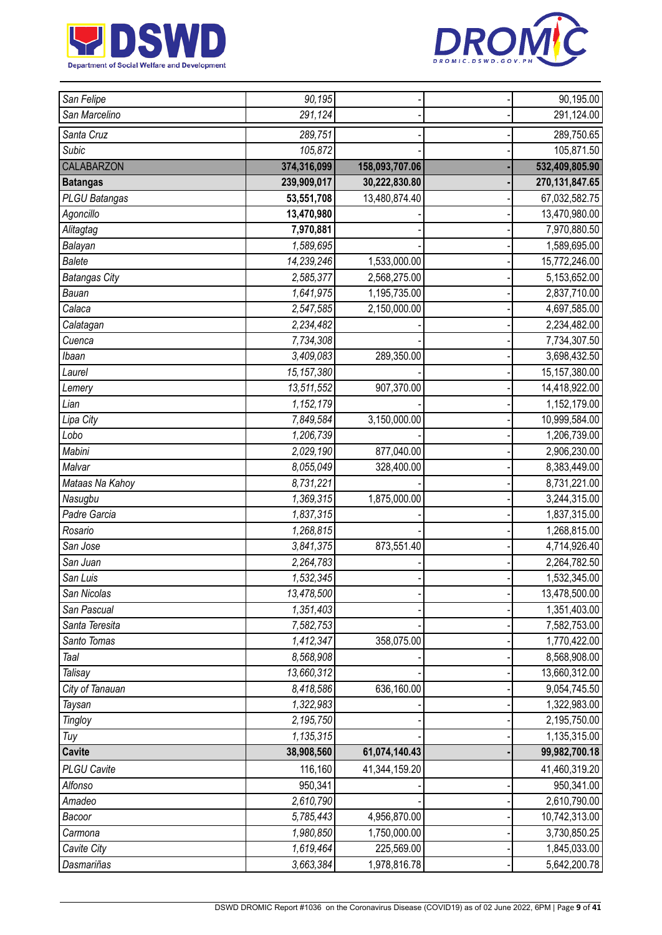



| San Felipe           | 90,195                 |                | 90,195.00        |
|----------------------|------------------------|----------------|------------------|
| San Marcelino        | 291,124                |                | 291,124.00       |
| Santa Cruz           | 289,751                |                | 289,750.65       |
| Subic                | 105,872                |                | 105,871.50       |
| <b>CALABARZON</b>    | 374,316,099            | 158,093,707.06 | 532,409,805.90   |
| <b>Batangas</b>      | 239,909,017            | 30,222,830.80  | 270, 131, 847.65 |
| PLGU Batangas        | 53,551,708             | 13,480,874.40  | 67,032,582.75    |
| Agoncillo            | 13,470,980             |                | 13,470,980.00    |
| Alitagtag            | 7,970,881              |                | 7,970,880.50     |
| Balayan              | 1,589,695              |                | 1,589,695.00     |
| <b>Balete</b>        | 14,239,246             | 1,533,000.00   | 15,772,246.00    |
| <b>Batangas City</b> | 2,585,377              | 2,568,275.00   | 5,153,652.00     |
| Bauan                | 1,641,975              | 1,195,735.00   | 2,837,710.00     |
| Calaca               | 2,547,585              | 2,150,000.00   | 4,697,585.00     |
| Calatagan            | 2,234,482              |                | 2,234,482.00     |
| Cuenca               | 7,734,308              |                | 7,734,307.50     |
| Ibaan                | 3,409,083              | 289,350.00     | 3,698,432.50     |
| Laurel               | 15, 157, 380           |                | 15, 157, 380.00  |
| Lemery               | 13,511,552             | 907,370.00     | 14,418,922.00    |
| Lian                 | 1,152,179              |                | 1,152,179.00     |
| Lipa City            | 7,849,584              | 3,150,000.00   | 10,999,584.00    |
| Lobo                 | 1,206,739              |                | 1,206,739.00     |
| Mabini               | 2,029,190              | 877,040.00     | 2,906,230.00     |
| Malvar               | 8,055,049              | 328,400.00     | 8,383,449.00     |
| Mataas Na Kahoy      | 8,731,221              |                | 8,731,221.00     |
| Nasugbu              | 1,369,315              | 1,875,000.00   | 3,244,315.00     |
| Padre Garcia         | 1,837,315              |                | 1,837,315.00     |
| Rosario              | 1,268,815              |                | 1,268,815.00     |
| San Jose             | 3,841,375              | 873,551.40     | 4,714,926.40     |
| San Juan             | 2,264,783              |                | 2,264,782.50     |
| San Luis             | 1,532,345              |                | 1,532,345.00     |
| San Nicolas          | 13,478,500             |                | 13,478,500.00    |
| San Pascual          | $\overline{1,351,403}$ |                | 1,351,403.00     |
| Santa Teresita       | 7,582,753              |                | 7,582,753.00     |
| Santo Tomas          | 1,412,347              | 358,075.00     | 1,770,422.00     |
| Taal                 | 8,568,908              |                | 8,568,908.00     |
| Talisay              | 13,660,312             |                | 13,660,312.00    |
| City of Tanauan      | 8,418,586              | 636,160.00     | 9,054,745.50     |
| Taysan               | 1,322,983              |                | 1,322,983.00     |
| <b>Tingloy</b>       | 2,195,750              |                | 2,195,750.00     |
| Tuy                  | 1,135,315              |                | 1,135,315.00     |
| <b>Cavite</b>        | 38,908,560             | 61,074,140.43  | 99,982,700.18    |
| <b>PLGU Cavite</b>   | 116,160                | 41,344,159.20  | 41,460,319.20    |
| Alfonso              | 950,341                |                | 950,341.00       |
| Amadeo               | 2,610,790              |                | 2,610,790.00     |
| Bacoor               | 5,785,443              | 4,956,870.00   | 10,742,313.00    |
| Carmona              | 1,980,850              | 1,750,000.00   | 3,730,850.25     |
| Cavite City          | 1,619,464              | 225,569.00     | 1,845,033.00     |
| Dasmariñas           | 3,663,384              | 1,978,816.78   | 5,642,200.78     |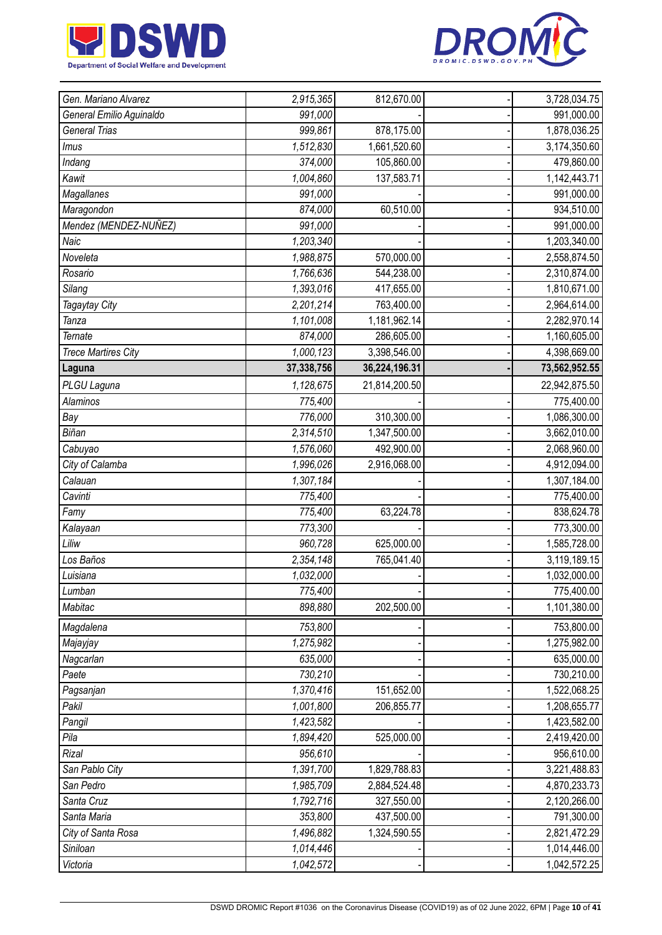



| Gen. Mariano Alvarez       | 2,915,365              | 812,670.00    | 3,728,034.75  |
|----------------------------|------------------------|---------------|---------------|
| General Emilio Aguinaldo   | 991,000                |               | 991,000.00    |
| <b>General Trias</b>       | 999,861                | 878,175.00    | 1,878,036.25  |
| Imus                       | 1,512,830              | 1,661,520.60  | 3,174,350.60  |
| Indang                     | 374,000                | 105,860.00    | 479,860.00    |
| Kawit                      | 1,004,860              | 137,583.71    | 1,142,443.71  |
| Magallanes                 | 991,000                |               | 991,000.00    |
| Maragondon                 | 874,000                | 60,510.00     | 934,510.00    |
| Mendez (MENDEZ-NUÑEZ)      | 991,000                |               | 991,000.00    |
| Naic                       | 1,203,340              |               | 1,203,340.00  |
| Noveleta                   | 1,988,875              | 570,000.00    | 2,558,874.50  |
| Rosario                    | 1,766,636              | 544,238.00    | 2,310,874.00  |
| Silang                     | 1,393,016              | 417,655.00    | 1,810,671.00  |
| Tagaytay City              | 2,201,214              | 763,400.00    | 2,964,614.00  |
| Tanza                      | 1,101,008              | 1,181,962.14  | 2,282,970.14  |
| Ternate                    | 874,000                | 286,605.00    | 1,160,605.00  |
| <b>Trece Martires City</b> | 1,000,123              | 3,398,546.00  | 4,398,669.00  |
| Laguna                     | 37,338,756             | 36,224,196.31 | 73,562,952.55 |
| PLGU Laguna                | 1,128,675              | 21,814,200.50 | 22,942,875.50 |
| <b>Alaminos</b>            | 775,400                |               | 775,400.00    |
| Bay                        | 776,000                | 310,300.00    | 1,086,300.00  |
| Biñan                      | 2,314,510              | 1,347,500.00  | 3,662,010.00  |
| Cabuyao                    | 1,576,060              | 492,900.00    | 2,068,960.00  |
| City of Calamba            | 1,996,026              | 2,916,068.00  | 4,912,094.00  |
| Calauan                    | 1,307,184              |               | 1,307,184.00  |
| Cavinti                    | 775,400                |               | 775,400.00    |
| Famy                       | 775,400                | 63,224.78     | 838,624.78    |
| Kalayaan                   | 773,300                |               | 773,300.00    |
| Liliw                      | 960,728                | 625,000.00    | 1,585,728.00  |
| Los Baños                  | 2,354,148              | 765,041.40    | 3,119,189.15  |
| Luisiana                   | 1,032,000              |               | 1,032,000.00  |
| Lumban                     | 775,400                |               | 775,400.00    |
| Mabitac                    | 898,880                | 202,500.00    | 1,101,380.00  |
| Magdalena                  | 753,800                |               | 753,800.00    |
| Majayjay                   | 1,275,982              |               | 1,275,982.00  |
| Nagcarlan                  | 635,000                |               | 635,000.00    |
| Paete                      | 730,210                |               | 730,210.00    |
| Pagsanjan                  | 1,370,416              | 151,652.00    | 1,522,068.25  |
| Pakil                      | 1,001,800              | 206,855.77    | 1,208,655.77  |
| Pangil                     | 1,423,582              |               | 1,423,582.00  |
| Pila                       | 1,894,420              | 525,000.00    | 2,419,420.00  |
| Rizal                      | 956,610                |               | 956,610.00    |
| San Pablo City             | 1,391,700              | 1,829,788.83  | 3,221,488.83  |
| San Pedro                  | 1,985,709              | 2,884,524.48  | 4,870,233.73  |
| Santa Cruz                 | 1,792,716              | 327,550.00    | 2,120,266.00  |
| Santa Maria                | 353,800                | 437,500.00    | 791,300.00    |
| City of Santa Rosa         | $\overline{1,}496,882$ | 1,324,590.55  | 2,821,472.29  |
| Siniloan                   | 1,014,446              |               | 1,014,446.00  |
| Victoria                   | 1,042,572              |               | 1,042,572.25  |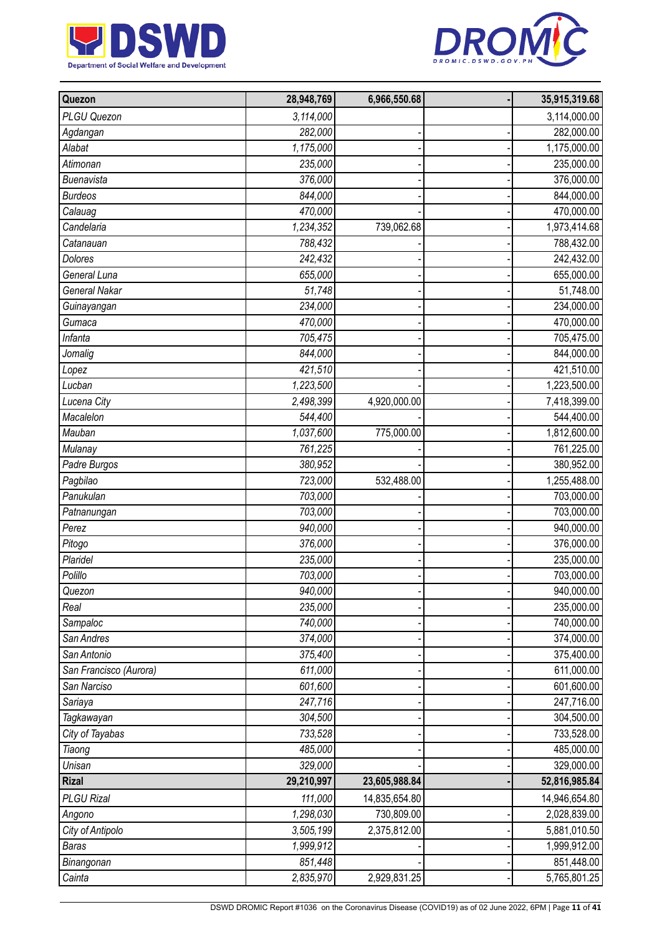



| Quezon                 | 28,948,769 | 6,966,550.68  | 35,915,319.68 |
|------------------------|------------|---------------|---------------|
| PLGU Quezon            | 3,114,000  |               | 3,114,000.00  |
| Agdangan               | 282,000    |               | 282,000.00    |
| Alabat                 | 1,175,000  |               | 1,175,000.00  |
| Atimonan               | 235,000    |               | 235,000.00    |
| <b>Buenavista</b>      | 376,000    |               | 376,000.00    |
| <b>Burdeos</b>         | 844,000    |               | 844,000.00    |
| Calauag                | 470,000    |               | 470,000.00    |
| Candelaria             | 1,234,352  | 739,062.68    | 1,973,414.68  |
| Catanauan              | 788,432    |               | 788,432.00    |
| <b>Dolores</b>         | 242,432    |               | 242,432.00    |
| General Luna           | 655,000    |               | 655,000.00    |
| <b>General Nakar</b>   | 51,748     |               | 51,748.00     |
| Guinayangan            | 234,000    |               | 234,000.00    |
| Gumaca                 | 470,000    |               | 470,000.00    |
| Infanta                | 705,475    |               | 705,475.00    |
| Jomalig                | 844,000    |               | 844,000.00    |
| Lopez                  | 421,510    |               | 421,510.00    |
| Lucban                 | 1,223,500  |               | 1,223,500.00  |
| Lucena City            | 2,498,399  | 4,920,000.00  | 7,418,399.00  |
| Macalelon              | 544,400    |               | 544,400.00    |
| Mauban                 | 1,037,600  | 775,000.00    | 1,812,600.00  |
| Mulanay                | 761,225    |               | 761,225.00    |
| Padre Burgos           | 380,952    |               | 380,952.00    |
| Pagbilao               | 723,000    | 532,488.00    | 1,255,488.00  |
| Panukulan              | 703,000    |               | 703,000.00    |
| Patnanungan            | 703,000    |               | 703,000.00    |
| Perez                  | 940,000    |               | 940,000.00    |
| Pitogo                 | 376,000    |               | 376,000.00    |
| Plaridel               | 235,000    |               | 235,000.00    |
| Polillo                | 703,000    |               | 703,000.00    |
| Quezon                 | 940,000    |               | 940,000.00    |
| Real                   | 235,000    |               | 235,000.00    |
| Sampaloc               | 740,000    |               | 740,000.00    |
| San Andres             | 374,000    |               | 374,000.00    |
| San Antonio            | 375,400    |               | 375,400.00    |
| San Francisco (Aurora) | 611,000    |               | 611,000.00    |
| San Narciso            | 601,600    |               | 601,600.00    |
| Sariaya                | 247,716    |               | 247,716.00    |
| Tagkawayan             | 304,500    |               | 304,500.00    |
| City of Tayabas        | 733,528    |               | 733,528.00    |
| Tiaong                 | 485,000    |               | 485,000.00    |
| Unisan                 | 329,000    |               | 329,000.00    |
| <b>Rizal</b>           | 29,210,997 | 23,605,988.84 | 52,816,985.84 |
| PLGU Rizal             | 111,000    | 14,835,654.80 | 14,946,654.80 |
| Angono                 | 1,298,030  | 730,809.00    | 2,028,839.00  |
| City of Antipolo       | 3,505,199  | 2,375,812.00  | 5,881,010.50  |
| <b>Baras</b>           | 1,999,912  |               | 1,999,912.00  |
| Binangonan             | 851,448    |               | 851,448.00    |
| Cainta                 | 2,835,970  | 2,929,831.25  | 5,765,801.25  |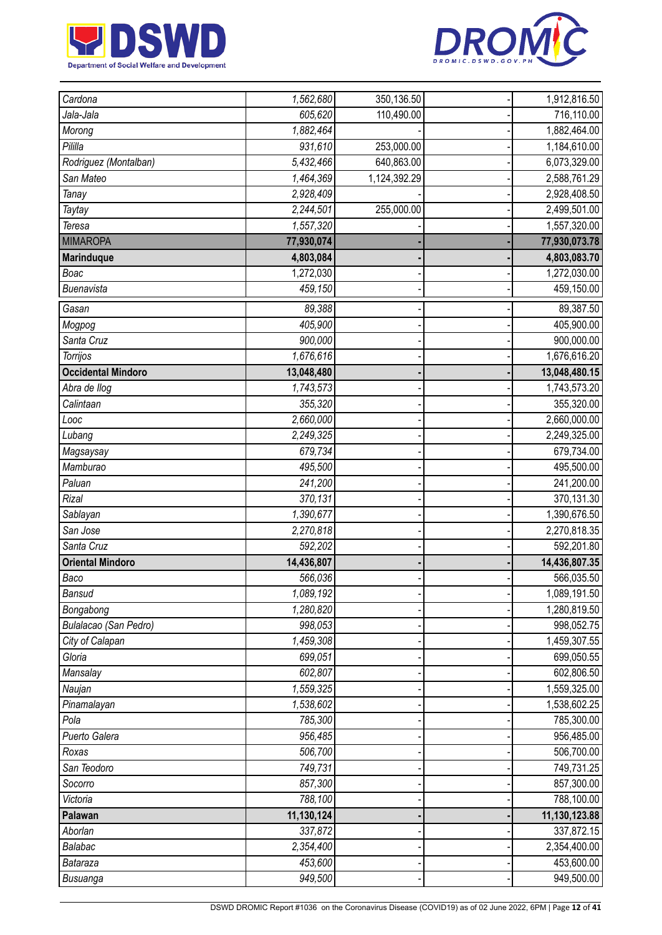



| Cardona                   | 1,562,680  | 350,136.50   | 1,912,816.50  |
|---------------------------|------------|--------------|---------------|
| Jala-Jala                 | 605,620    | 110,490.00   | 716,110.00    |
| Morong                    | 1,882,464  |              | 1,882,464.00  |
| Pililla                   | 931,610    | 253,000.00   | 1,184,610.00  |
| Rodriguez (Montalban)     | 5,432,466  | 640,863.00   | 6,073,329.00  |
| San Mateo                 | 1,464,369  | 1,124,392.29 | 2,588,761.29  |
| Tanay                     | 2,928,409  |              | 2,928,408.50  |
| Taytay                    | 2,244,501  | 255,000.00   | 2,499,501.00  |
| Teresa                    | 1,557,320  |              | 1,557,320.00  |
| <b>MIMAROPA</b>           | 77,930,074 |              | 77,930,073.78 |
| <b>Marinduque</b>         | 4,803,084  |              | 4,803,083.70  |
| Boac                      | 1,272,030  |              | 1,272,030.00  |
| Buenavista                | 459,150    |              | 459,150.00    |
| Gasan                     | 89,388     |              | 89,387.50     |
| Mogpog                    | 405,900    |              | 405,900.00    |
| Santa Cruz                | 900,000    |              | 900,000.00    |
| Torrijos                  | 1,676,616  |              | 1,676,616.20  |
| <b>Occidental Mindoro</b> | 13,048,480 |              | 13,048,480.15 |
| Abra de llog              | 1,743,573  |              | 1,743,573.20  |
| Calintaan                 | 355,320    |              | 355,320.00    |
| Looc                      | 2,660,000  |              | 2,660,000.00  |
| Lubang                    | 2,249,325  |              | 2,249,325.00  |
| Magsaysay                 | 679,734    |              | 679,734.00    |
| Mamburao                  | 495,500    |              | 495,500.00    |
| Paluan                    | 241,200    |              | 241,200.00    |
| Rizal                     | 370,131    |              | 370,131.30    |
| Sablayan                  | 1,390,677  |              | 1,390,676.50  |
| San Jose                  | 2,270,818  |              | 2,270,818.35  |
| Santa Cruz                | 592,202    |              | 592,201.80    |
| <b>Oriental Mindoro</b>   | 14,436,807 |              | 14,436,807.35 |
| Baco                      | 566,036    |              | 566,035.50    |
| <b>Bansud</b>             | 1,089,192  |              | 1,089,191.50  |
| Bongabong                 | 1,280,820  |              | 1,280,819.50  |
| Bulalacao (San Pedro)     | 998,053    |              | 998,052.75    |
| City of Calapan           | 1,459,308  |              | 1,459,307.55  |
| Gloria                    | 699,051    |              | 699,050.55    |
| Mansalay                  | 602,807    |              | 602,806.50    |
| Naujan                    | 1,559,325  |              | 1,559,325.00  |
| Pinamalayan               | 1,538,602  |              | 1,538,602.25  |
| Pola                      | 785,300    |              | 785,300.00    |
| Puerto Galera             | 956,485    |              | 956,485.00    |
| Roxas                     | 506,700    |              | 506,700.00    |
| San Teodoro               | 749,731    |              | 749,731.25    |
| Socorro                   | 857,300    |              | 857,300.00    |
| Victoria                  | 788,100    |              | 788,100.00    |
| Palawan                   | 11,130,124 |              | 11,130,123.88 |
| Aborlan                   | 337,872    |              | 337,872.15    |
| Balabac                   | 2,354,400  |              | 2,354,400.00  |
| Bataraza                  | 453,600    |              | 453,600.00    |
| Busuanga                  | 949,500    |              | 949,500.00    |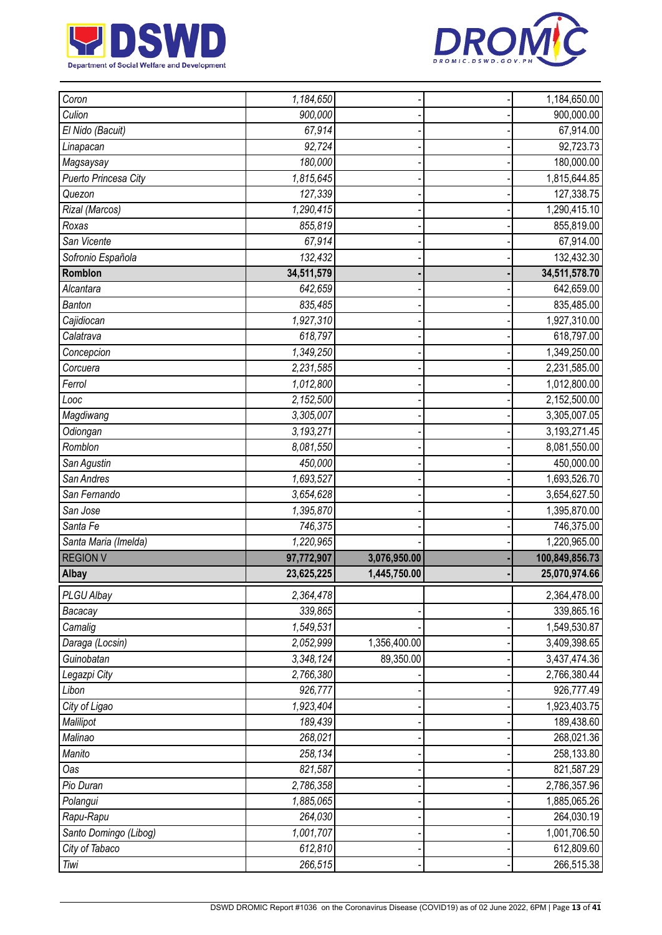



| Coron                  | 1,184,650          |              | 1,184,650.00             |
|------------------------|--------------------|--------------|--------------------------|
| Culion                 | 900,000            |              | 900,000.00               |
| El Nido (Bacuit)       | 67,914             |              | 67,914.00                |
| Linapacan              | 92,724             |              | 92,723.73                |
| Magsaysay              | 180,000            |              | 180,000.00               |
| Puerto Princesa City   | 1,815,645          |              | 1,815,644.85             |
| Quezon                 | 127,339            |              | 127,338.75               |
| Rizal (Marcos)         | 1,290,415          |              | 1,290,415.10             |
| Roxas                  | 855,819            |              | 855,819.00               |
| San Vicente            | 67,914             |              | 67,914.00                |
| Sofronio Española      | 132,432            |              | 132,432.30               |
| Romblon                | 34,511,579         |              | 34,511,578.70            |
| Alcantara              | 642,659            |              | 642,659.00               |
| <b>Banton</b>          | 835,485            |              | 835,485.00               |
| Cajidiocan             | 1,927,310          |              | 1,927,310.00             |
| Calatrava              | 618,797            |              | 618,797.00               |
| Concepcion             | 1,349,250          |              | 1,349,250.00             |
| Corcuera               | 2,231,585          |              | 2,231,585.00             |
| Ferrol                 | 1,012,800          |              | 1,012,800.00             |
| Looc                   | 2,152,500          |              | 2,152,500.00             |
| Magdiwang              | 3,305,007          |              | 3,305,007.05             |
| Odiongan               | 3,193,271          |              | 3,193,271.45             |
| Romblon                | 8,081,550          |              | 8,081,550.00             |
| San Agustin            | 450,000            |              | 450,000.00               |
| San Andres             | 1,693,527          |              | 1,693,526.70             |
| San Fernando           | 3,654,628          |              | 3,654,627.50             |
| San Jose               | 1,395,870          |              | 1,395,870.00             |
| Santa Fe               | 746,375            |              | 746,375.00               |
| Santa Maria (Imelda)   | 1,220,965          |              | 1,220,965.00             |
|                        |                    |              |                          |
| <b>REGION V</b>        | 97,772,907         | 3,076,950.00 | 100,849,856.73           |
| Albay                  | 23,625,225         | 1,445,750.00 | 25,070,974.66            |
| PLGU Albay             | 2,364,478          |              | 2,364,478.00             |
| Bacacay                | 339,865            |              | 339,865.16               |
| Camalig                | 1,549,531          |              | 1,549,530.87             |
| Daraga (Locsin)        | 2,052,999          | 1,356,400.00 | 3,409,398.65             |
| Guinobatan             | 3,348,124          | 89,350.00    | 3,437,474.36             |
| Legazpi City           | 2,766,380          |              | 2,766,380.44             |
| Libon                  | 926,777            |              | 926,777.49               |
| City of Ligao          | 1,923,404          |              | 1,923,403.75             |
| Malilipot              | 189,439            |              | 189,438.60               |
| Malinao                | 268,021            |              | 268,021.36               |
| Manito                 | 258,134            |              | 258,133.80               |
| Oas                    | 821,587            |              | 821,587.29               |
| Pio Duran              | 2,786,358          |              | 2,786,357.96             |
| Polangui               | 1,885,065          |              | 1,885,065.26             |
| Rapu-Rapu              | 264,030            |              | 264,030.19               |
| Santo Domingo (Libog)  | 1,001,707          |              | 1,001,706.50             |
| City of Tabaco<br>Tiwi | 612,810<br>266,515 |              | 612,809.60<br>266,515.38 |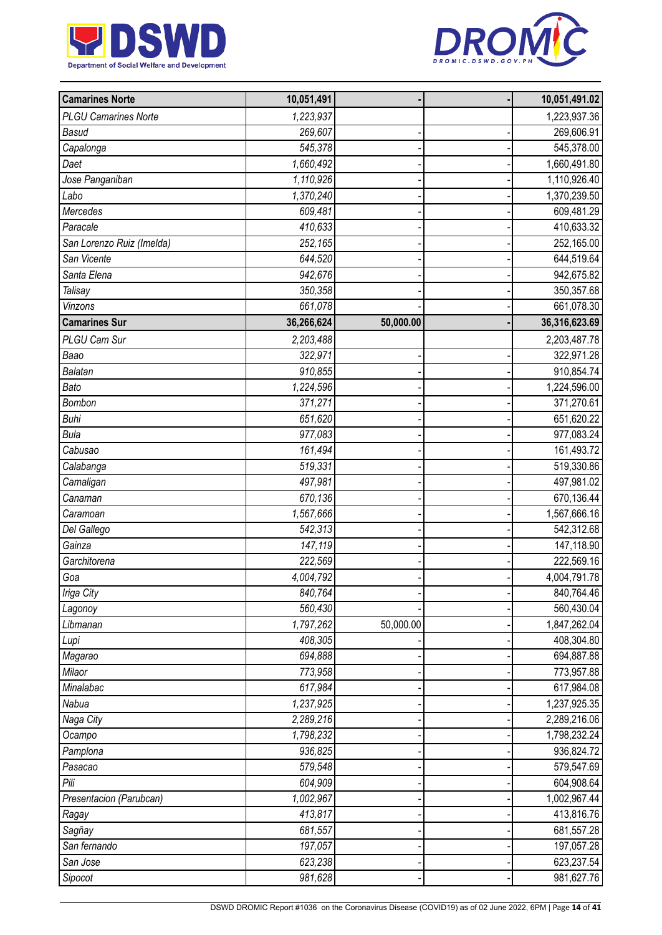



| <b>Camarines Norte</b>      | 10,051,491 |           | 10,051,491.02 |
|-----------------------------|------------|-----------|---------------|
| <b>PLGU Camarines Norte</b> | 1,223,937  |           | 1,223,937.36  |
| <b>Basud</b>                | 269,607    |           | 269,606.91    |
| Capalonga                   | 545,378    |           | 545,378.00    |
| Daet                        | 1,660,492  |           | 1,660,491.80  |
| Jose Panganiban             | 1,110,926  |           | 1,110,926.40  |
| Labo                        | 1,370,240  |           | 1,370,239.50  |
| Mercedes                    | 609,481    |           | 609,481.29    |
| Paracale                    | 410,633    |           | 410,633.32    |
| San Lorenzo Ruiz (Imelda)   | 252,165    |           | 252,165.00    |
| San Vicente                 | 644,520    |           | 644,519.64    |
| Santa Elena                 | 942,676    |           | 942,675.82    |
| Talisay                     | 350,358    |           | 350,357.68    |
| Vinzons                     | 661,078    |           | 661,078.30    |
| <b>Camarines Sur</b>        | 36,266,624 | 50,000.00 | 36,316,623.69 |
| PLGU Cam Sur                | 2,203,488  |           | 2,203,487.78  |
| Baao                        | 322,971    |           | 322,971.28    |
| <b>Balatan</b>              | 910,855    |           | 910,854.74    |
| Bato                        | 1,224,596  |           | 1,224,596.00  |
| Bombon                      | 371,271    |           | 371,270.61    |
| <b>Buhi</b>                 | 651,620    |           | 651,620.22    |
| <b>Bula</b>                 | 977,083    |           | 977,083.24    |
| Cabusao                     | 161,494    |           | 161,493.72    |
| Calabanga                   | 519,331    |           | 519,330.86    |
| Camaligan                   | 497,981    |           | 497,981.02    |
| Canaman                     | 670,136    |           | 670,136.44    |
| Caramoan                    | 1,567,666  |           | 1,567,666.16  |
| Del Gallego                 | 542,313    |           | 542,312.68    |
| Gainza                      | 147,119    |           | 147,118.90    |
| Garchitorena                | 222,569    |           | 222,569.16    |
| Goa                         | 4,004,792  |           | 4,004,791.78  |
| Iriga City                  | 840,764    |           | 840,764.46    |
| Lagonoy                     | 560,430    |           | 560,430.04    |
| Libmanan                    | 1,797,262  | 50,000.00 | 1,847,262.04  |
| Lupi                        | 408,305    |           | 408,304.80    |
| Magarao                     | 694,888    |           | 694,887.88    |
| Milaor                      | 773,958    |           | 773,957.88    |
| Minalabac                   | 617,984    |           | 617,984.08    |
| Nabua                       | 1,237,925  |           | 1,237,925.35  |
| Naga City                   | 2,289,216  |           | 2,289,216.06  |
| Ocampo                      | 1,798,232  |           | 1,798,232.24  |
| Pamplona                    | 936,825    |           | 936,824.72    |
| Pasacao                     | 579,548    |           | 579,547.69    |
| Pili                        | 604,909    |           | 604,908.64    |
| Presentacion (Parubcan)     | 1,002,967  |           | 1,002,967.44  |
| Ragay                       | 413,817    |           | 413,816.76    |
| Sagñay                      | 681,557    |           | 681,557.28    |
| San fernando                | 197,057    |           | 197,057.28    |
| San Jose                    | 623,238    |           | 623,237.54    |
| Sipocot                     | 981,628    |           | 981,627.76    |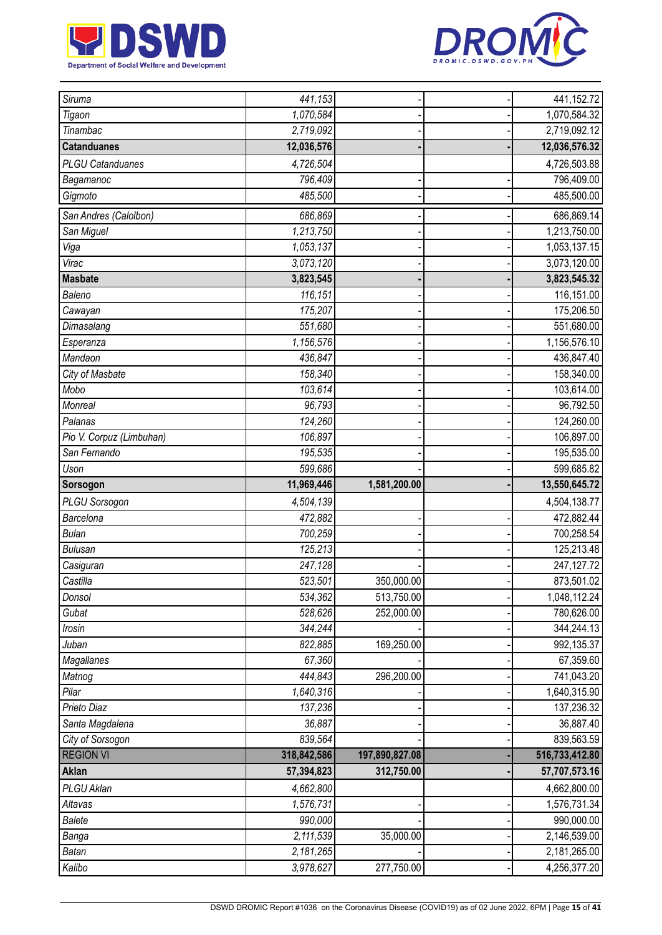



| Siruma                   | 441,153                |                | 441,152.72                   |
|--------------------------|------------------------|----------------|------------------------------|
| Tigaon                   | 1,070,584              |                | 1,070,584.32                 |
| Tinambac                 | 2,719,092              |                | 2,719,092.12                 |
| <b>Catanduanes</b>       | 12,036,576             |                | 12,036,576.32                |
| <b>PLGU Catanduanes</b>  | 4,726,504              |                | 4,726,503.88                 |
| Bagamanoc                | 796,409                |                | 796,409.00                   |
| Gigmoto                  | 485,500                |                | 485,500.00                   |
| San Andres (Calolbon)    | 686,869                |                | 686,869.14                   |
| San Miguel               | 1,213,750              |                | 1,213,750.00                 |
| Viga                     | 1,053,137              |                | 1,053,137.15                 |
| Virac                    | 3,073,120              |                | 3,073,120.00                 |
| <b>Masbate</b>           | 3,823,545              |                | 3,823,545.32                 |
| Baleno                   | 116,151                |                | 116,151.00                   |
| Cawayan                  | 175,207                |                | 175,206.50                   |
| Dimasalang               | 551,680                |                | 551,680.00                   |
| Esperanza                | 1,156,576              |                | 1,156,576.10                 |
| Mandaon                  | 436,847                |                | 436,847.40                   |
| City of Masbate          | 158,340                |                | 158,340.00                   |
| Mobo                     | 103,614                |                | 103,614.00                   |
| Monreal                  | 96,793                 |                | 96,792.50                    |
| Palanas                  | 124,260                |                | 124,260.00                   |
| Pio V. Corpuz (Limbuhan) | 106,897                |                | 106,897.00                   |
| San Fernando             | 195,535                |                | 195,535.00                   |
| Uson                     | 599,686                |                | 599,685.82                   |
| Sorsogon                 | 11,969,446             | 1,581,200.00   | 13,550,645.72                |
|                          |                        |                |                              |
| <b>PLGU Sorsogon</b>     | 4,504,139              |                | 4,504,138.77                 |
| Barcelona                | 472,882                |                | 472,882.44                   |
| <b>Bulan</b>             | 700,259                |                | 700,258.54                   |
| <b>Bulusan</b>           | 125,213                |                | 125,213.48                   |
| Casiguran                | 247,128                |                | 247,127.72                   |
| Castilla                 | 523,501                | 350,000.00     | 873,501.02                   |
| Donsol                   | 534,362                | 513,750.00     | 1,048,112.24                 |
| Gubat                    | 528,626                | 252,000.00     | 780,626.00                   |
| Irosin                   | 344,244                |                | 344,244.13                   |
| Juban                    | 822,885                | 169,250.00     | 992,135.37                   |
| Magallanes               | 67,360                 |                | 67,359.60                    |
| Matnog                   | 444,843                | 296,200.00     | 741,043.20                   |
| Pilar                    | 1,640,316              |                | 1,640,315.90                 |
| Prieto Diaz              | 137,236                |                | 137,236.32                   |
| Santa Magdalena          | 36,887                 |                | 36,887.40                    |
| City of Sorsogon         | 839,564                |                | 839,563.59                   |
| <b>REGION VI</b>         | 318,842,586            | 197,890,827.08 | 516,733,412.80               |
| Aklan                    | 57,394,823             | 312,750.00     | 57,707,573.16                |
| PLGU Aklan               | 4,662,800              |                | 4,662,800.00                 |
| Altavas                  | 1,576,731              |                | 1,576,731.34                 |
| <b>Balete</b>            | 990,000                |                | 990,000.00                   |
| Banga                    | 2,111,539              | 35,000.00      | 2,146,539.00                 |
| <b>Batan</b><br>Kalibo   | 2,181,265<br>3,978,627 | 277,750.00     | 2,181,265.00<br>4,256,377.20 |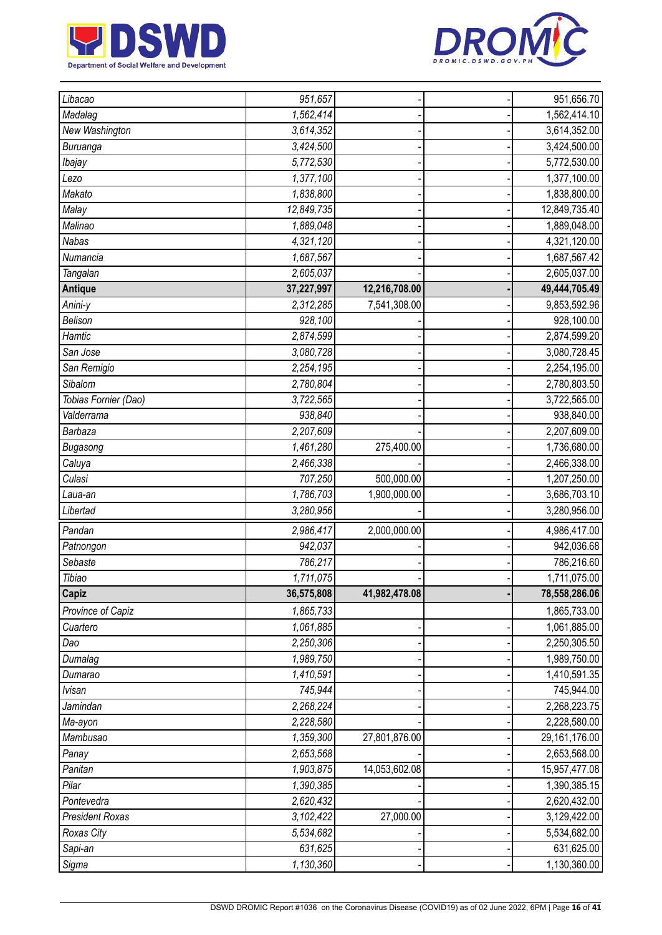



| Libacao                | 951,657    |               | 951,656.70    |
|------------------------|------------|---------------|---------------|
| Madalag                | 1,562,414  |               | 1,562,414.10  |
| New Washington         | 3,614,352  |               | 3,614,352.00  |
| Buruanga               | 3,424,500  |               | 3,424,500.00  |
| Ibajay                 | 5,772,530  |               | 5,772,530.00  |
| Lezo                   | 1,377,100  |               | 1,377,100.00  |
| Makato                 | 1,838,800  |               | 1,838,800.00  |
| Malay                  | 12,849,735 |               | 12,849,735.40 |
| Malinao                | 1,889,048  |               | 1,889,048.00  |
| <b>Nabas</b>           | 4,321,120  |               | 4,321,120.00  |
| Numancia               | 1,687,567  |               | 1,687,567.42  |
| Tangalan               | 2,605,037  |               | 2,605,037.00  |
| <b>Antique</b>         | 37,227,997 | 12,216,708.00 | 49,444,705.49 |
| Anini-y                | 2,312,285  | 7,541,308.00  | 9,853,592.96  |
| Belison                | 928,100    |               | 928,100.00    |
| Hamtic                 | 2,874,599  |               | 2,874,599.20  |
| San Jose               | 3,080,728  |               | 3,080,728.45  |
| San Remigio            | 2,254,195  |               | 2,254,195.00  |
| Sibalom                | 2,780,804  |               | 2,780,803.50  |
| Tobias Fornier (Dao)   | 3,722,565  |               | 3,722,565.00  |
| Valderrama             | 938,840    |               | 938,840.00    |
| Barbaza                | 2,207,609  |               | 2,207,609.00  |
| Bugasong               | 1,461,280  | 275,400.00    | 1,736,680.00  |
| Caluya                 | 2,466,338  |               | 2,466,338.00  |
| Culasi                 | 707,250    | 500,000.00    | 1,207,250.00  |
| Laua-an                | 1,786,703  | 1,900,000.00  | 3,686,703.10  |
| Libertad               | 3,280,956  |               | 3,280,956.00  |
| Pandan                 | 2,986,417  | 2,000,000.00  | 4,986,417.00  |
| Patnongon              | 942,037    |               | 942,036.68    |
| Sebaste                | 786,217    |               | 786,216.60    |
| Tibiao                 | 1,711,075  |               | 1,711,075.00  |
| Capiz                  | 36,575,808 | 41,982,478.08 | 78,558,286.06 |
| Province of Capiz      | 1,865,733  |               | 1,865,733.00  |
| Cuartero               | 1,061,885  |               | 1,061,885.00  |
| Dao                    | 2,250,306  |               | 2,250,305.50  |
| Dumalag                | 1,989,750  |               | 1,989,750.00  |
| Dumarao                | 1,410,591  |               | 1,410,591.35  |
| <b>Ivisan</b>          | 745,944    |               | 745,944.00    |
| Jamindan               | 2,268,224  |               | 2,268,223.75  |
| Ma-ayon                | 2,228,580  |               | 2,228,580.00  |
| Mambusao               | 1,359,300  | 27,801,876.00 | 29,161,176.00 |
| Panay                  | 2,653,568  |               | 2,653,568.00  |
| Panitan                | 1,903,875  | 14,053,602.08 | 15,957,477.08 |
| Pilar                  | 1,390,385  |               | 1,390,385.15  |
| Pontevedra             | 2,620,432  |               | 2,620,432.00  |
| <b>President Roxas</b> | 3,102,422  | 27,000.00     | 3,129,422.00  |
| Roxas City             | 5,534,682  |               | 5,534,682.00  |
| Sapi-an                | 631,625    |               | 631,625.00    |
| Sigma                  | 1,130,360  |               | 1,130,360.00  |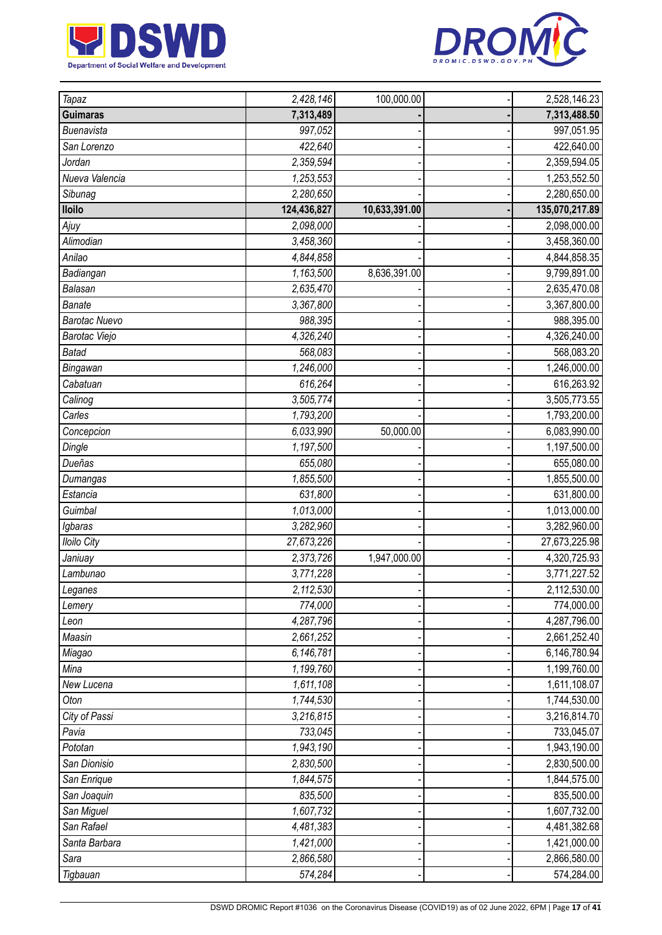



| Tapaz                | 2,428,146              | 100,000.00    | 2,528,146.23   |
|----------------------|------------------------|---------------|----------------|
| <b>Guimaras</b>      | 7,313,489              |               | 7,313,488.50   |
| Buenavista           | 997,052                |               | 997,051.95     |
| San Lorenzo          | 422,640                |               | 422,640.00     |
| Jordan               | 2,359,594              |               | 2,359,594.05   |
| Nueva Valencia       | 1,253,553              |               | 1,253,552.50   |
| Sibunag              | 2,280,650              |               | 2,280,650.00   |
| <b>Iloilo</b>        | 124,436,827            | 10,633,391.00 | 135,070,217.89 |
| Ajuy                 | 2,098,000              |               | 2,098,000.00   |
| Alimodian            | 3,458,360              |               | 3,458,360.00   |
| Anilao               | 4,844,858              |               | 4,844,858.35   |
| Badiangan            | 1,163,500              | 8,636,391.00  | 9,799,891.00   |
| Balasan              | 2,635,470              |               | 2,635,470.08   |
| <b>Banate</b>        | 3,367,800              |               | 3,367,800.00   |
| <b>Barotac Nuevo</b> | 988,395                |               | 988,395.00     |
| Barotac Viejo        | 4,326,240              |               | 4,326,240.00   |
| <b>Batad</b>         | 568,083                |               | 568,083.20     |
| Bingawan             | 1,246,000              |               | 1,246,000.00   |
| Cabatuan             | 616,264                |               | 616,263.92     |
| Calinog              | 3,505,774              |               | 3,505,773.55   |
| Carles               | 1,793,200              |               | 1,793,200.00   |
| Concepcion           | 6,033,990              | 50,000.00     | 6,083,990.00   |
| Dingle               | 1,197,500              |               | 1,197,500.00   |
| Dueñas               | 655,080                |               | 655,080.00     |
| Dumangas             | 1,855,500              |               | 1,855,500.00   |
| Estancia             | 631,800                |               | 631,800.00     |
| Guimbal              | 1,013,000              |               | 1,013,000.00   |
| Igbaras              | 3,282,960              |               | 3,282,960.00   |
| <b>Iloilo City</b>   | 27,673,226             |               | 27,673,225.98  |
| Janiuay              | 2,373,726              | 1,947,000.00  | 4,320,725.93   |
| Lambunao             | 3,771,228              |               | 3,771,227.52   |
| Leganes              | 2,112,530              |               | 2,112,530.00   |
| Lemery               | 774,000                |               | 774,000.00     |
| Leon                 | 4,287,796              |               | 4,287,796.00   |
| Maasin               | 2,661,252              |               | 2,661,252.40   |
| Miagao               | 6,146,781              |               | 6,146,780.94   |
| Mina                 | 1,199,760              |               | 1,199,760.00   |
| New Lucena           | 1,611,108              |               | 1,611,108.07   |
| Oton                 | 1,744,530              |               | 1,744,530.00   |
| City of Passi        | 3,216,815              |               | 3,216,814.70   |
| Pavia                | 733,045                |               | 733,045.07     |
| Pototan              | $\overline{1,943,190}$ |               | 1,943,190.00   |
| San Dionisio         | 2,830,500              |               | 2,830,500.00   |
| San Enrique          | 1,844,575              |               | 1,844,575.00   |
| San Joaquin          | 835,500                |               | 835,500.00     |
| San Miguel           | 1,607,732              |               | 1,607,732.00   |
| San Rafael           | 4,481,383              |               | 4,481,382.68   |
| Santa Barbara        | 1,421,000              |               | 1,421,000.00   |
| Sara                 | 2,866,580              |               | 2,866,580.00   |
| Tigbauan             | 574,284                |               | 574,284.00     |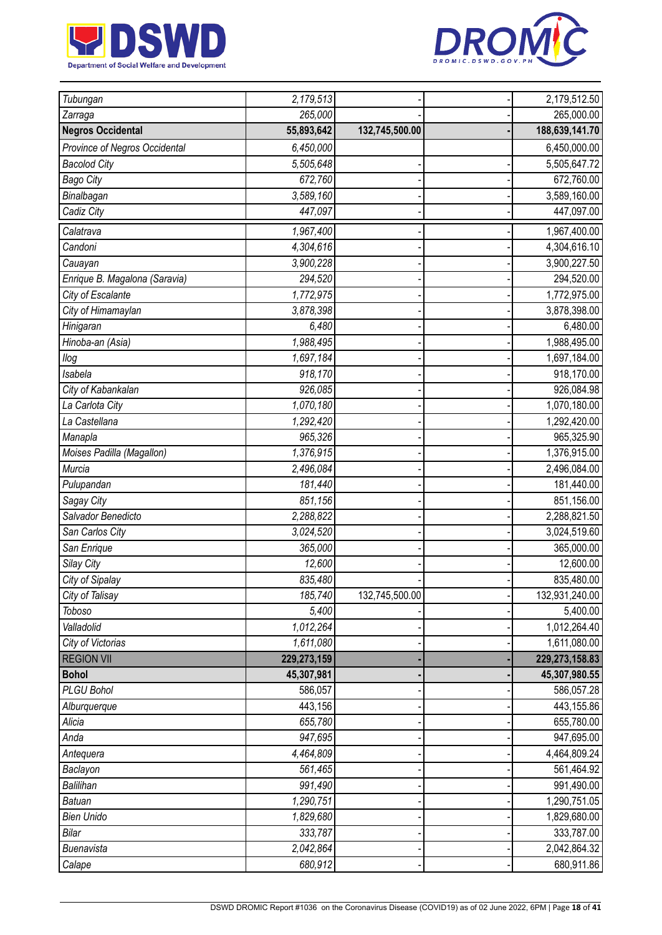



| Tubungan                      | 2,179,513   |                | 2,179,512.50     |
|-------------------------------|-------------|----------------|------------------|
| Zarraga                       | 265,000     |                | 265,000.00       |
| <b>Negros Occidental</b>      | 55,893,642  | 132,745,500.00 | 188,639,141.70   |
| Province of Negros Occidental | 6,450,000   |                | 6,450,000.00     |
| <b>Bacolod City</b>           | 5,505,648   |                | 5,505,647.72     |
| <b>Bago City</b>              | 672,760     |                | 672,760.00       |
| Binalbagan                    | 3,589,160   |                | 3,589,160.00     |
| Cadiz City                    | 447,097     |                | 447,097.00       |
| Calatrava                     | 1,967,400   |                | 1,967,400.00     |
| Candoni                       | 4,304,616   |                | 4,304,616.10     |
| Cauayan                       | 3,900,228   |                | 3,900,227.50     |
| Enrique B. Magalona (Saravia) | 294,520     |                | 294,520.00       |
| City of Escalante             | 1,772,975   |                | 1,772,975.00     |
| City of Himamaylan            | 3,878,398   |                | 3,878,398.00     |
| Hinigaran                     | 6,480       |                | 6,480.00         |
| Hinoba-an (Asia)              | 1,988,495   |                | 1,988,495.00     |
| llog                          | 1,697,184   |                | 1,697,184.00     |
| Isabela                       | 918,170     |                | 918,170.00       |
| City of Kabankalan            | 926,085     |                | 926,084.98       |
| La Carlota City               | 1,070,180   |                | 1,070,180.00     |
| La Castellana                 | 1,292,420   |                | 1,292,420.00     |
| Manapla                       | 965,326     |                | 965,325.90       |
| Moises Padilla (Magallon)     | 1,376,915   |                | 1,376,915.00     |
| Murcia                        | 2,496,084   |                | 2,496,084.00     |
| Pulupandan                    | 181,440     |                | 181,440.00       |
| Sagay City                    | 851,156     |                | 851,156.00       |
| Salvador Benedicto            | 2,288,822   |                | 2,288,821.50     |
| San Carlos City               | 3,024,520   |                | 3,024,519.60     |
| San Enrique                   | 365,000     |                | 365,000.00       |
| Silay City                    | 12,600      |                | 12,600.00        |
| City of Sipalay               | 835,480     |                | 835,480.00       |
| City of Talisay               | 185,740     | 132,745,500.00 | 132,931,240.00   |
| Toboso                        | 5,400       |                | 5,400.00         |
| Valladolid                    | 1,012,264   |                | 1,012,264.40     |
| City of Victorias             | 1,611,080   |                | 1,611,080.00     |
| <b>REGION VII</b>             | 229,273,159 |                | 229, 273, 158.83 |
| <b>Bohol</b>                  | 45,307,981  |                | 45,307,980.55    |
| <b>PLGU Bohol</b>             | 586,057     |                | 586,057.28       |
| Alburquerque                  | 443,156     |                | 443,155.86       |
| Alicia                        | 655,780     |                | 655,780.00       |
| Anda                          | 947,695     |                | 947,695.00       |
| Antequera                     | 4,464,809   |                | 4,464,809.24     |
| Baclayon                      | 561,465     |                | 561,464.92       |
| Balilihan                     | 991,490     |                | 991,490.00       |
| <b>Batuan</b>                 | 1,290,751   |                | 1,290,751.05     |
| <b>Bien Unido</b>             | 1,829,680   |                | 1,829,680.00     |
| Bilar                         | 333,787     |                | 333,787.00       |
| Buenavista                    | 2,042,864   |                | 2,042,864.32     |
| Calape                        | 680,912     |                | 680,911.86       |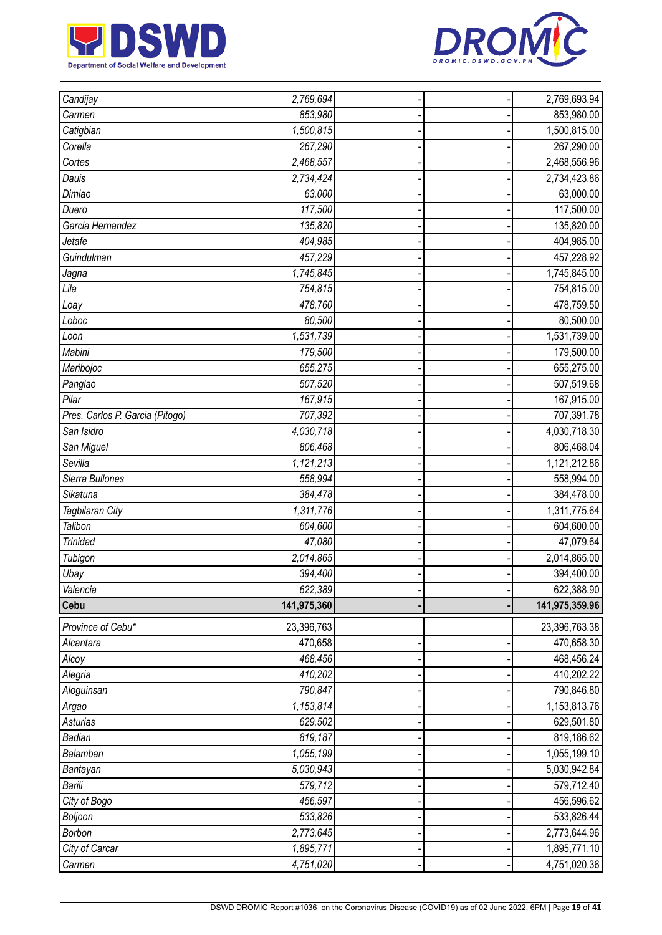



| Candijay                        | 2,769,694            |  | 2,769,693.94   |
|---------------------------------|----------------------|--|----------------|
| Carmen                          | 853,980              |  | 853,980.00     |
| Catigbian                       | 1,500,815            |  | 1,500,815.00   |
| Corella                         | 267,290              |  | 267,290.00     |
| Cortes                          | 2,468,557            |  | 2,468,556.96   |
| Dauis                           | 2,734,424            |  | 2,734,423.86   |
| Dimiao                          | 63,000               |  | 63,000.00      |
| Duero                           | 117,500              |  | 117,500.00     |
| Garcia Hernandez                | 135,820              |  | 135,820.00     |
| Jetafe                          | 404,985              |  | 404,985.00     |
| Guindulman                      | 457,229              |  | 457,228.92     |
| Jagna                           | 1,745,845            |  | 1,745,845.00   |
| Lila                            | 754,815              |  | 754,815.00     |
| Loay                            | 478,760              |  | 478,759.50     |
| Loboc                           | 80,500               |  | 80,500.00      |
| Loon                            | 1,531,739            |  | 1,531,739.00   |
| Mabini                          | 179,500              |  | 179,500.00     |
| Maribojoc                       | 655,275              |  | 655,275.00     |
| Panglao                         | 507,520              |  | 507,519.68     |
| Pilar                           | $\overline{167,}915$ |  | 167,915.00     |
| Pres. Carlos P. Garcia (Pitogo) | 707,392              |  | 707,391.78     |
| San Isidro                      | 4,030,718            |  | 4,030,718.30   |
| San Miguel                      | 806,468              |  | 806,468.04     |
| Sevilla                         | 1,121,213            |  | 1,121,212.86   |
| Sierra Bullones                 | 558,994              |  | 558,994.00     |
| Sikatuna                        | 384,478              |  | 384,478.00     |
| Tagbilaran City                 | 1,311,776            |  | 1,311,775.64   |
| Talibon                         | 604,600              |  | 604,600.00     |
| Trinidad                        | 47,080               |  | 47,079.64      |
| Tubigon                         | 2,014,865            |  | 2,014,865.00   |
| Ubay                            | 394,400              |  | 394,400.00     |
| Valencia                        | 622,389              |  | 622,388.90     |
| Cebu                            | 141,975,360          |  | 141,975,359.96 |
| Province of Cebu*               | 23,396,763           |  | 23,396,763.38  |
| Alcantara                       | 470,658              |  | 470,658.30     |
| Alcoy                           | 468,456              |  | 468,456.24     |
| Alegria                         | 410,202              |  | 410,202.22     |
| Aloguinsan                      | 790,847              |  | 790,846.80     |
| Argao                           | 1,153,814            |  | 1,153,813.76   |
| <b>Asturias</b>                 | 629,502              |  | 629,501.80     |
| Badian                          | 819,187              |  | 819,186.62     |
| Balamban                        | 1,055,199            |  | 1,055,199.10   |
| Bantayan                        | 5,030,943            |  | 5,030,942.84   |
| Barili                          | 579,712              |  | 579,712.40     |
| City of Bogo                    | 456,597              |  | 456,596.62     |
| Boljoon                         | 533,826              |  | 533,826.44     |
| <b>Borbon</b>                   | 2,773,645            |  | 2,773,644.96   |
| City of Carcar                  | 1,895,771            |  | 1,895,771.10   |
| Carmen                          | 4,751,020            |  | 4,751,020.36   |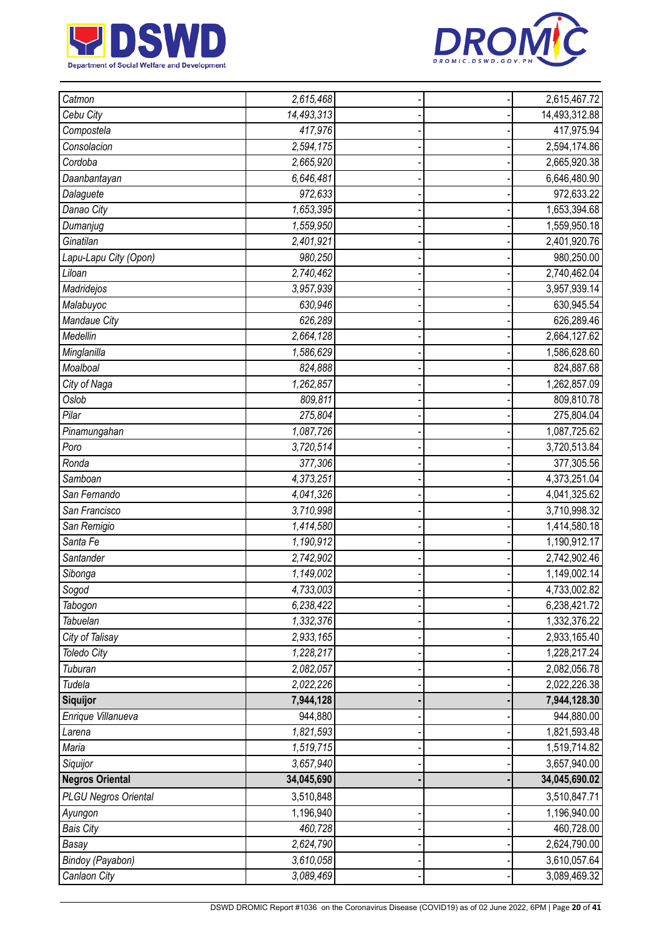



| Catmon                      | 2,615,468  |  | 2,615,467.72  |
|-----------------------------|------------|--|---------------|
| Cebu City                   | 14,493,313 |  | 14,493,312.88 |
| Compostela                  | 417,976    |  | 417,975.94    |
| Consolacion                 | 2,594,175  |  | 2,594,174.86  |
| Cordoba                     | 2,665,920  |  | 2,665,920.38  |
| Daanbantayan                | 6,646,481  |  | 6,646,480.90  |
| Dalaguete                   | 972,633    |  | 972,633.22    |
| Danao City                  | 1,653,395  |  | 1,653,394.68  |
| Dumanjug                    | 1,559,950  |  | 1,559,950.18  |
| Ginatilan                   | 2,401,921  |  | 2,401,920.76  |
| Lapu-Lapu City (Opon)       | 980,250    |  | 980,250.00    |
| Liloan                      | 2,740,462  |  | 2,740,462.04  |
| Madridejos                  | 3,957,939  |  | 3,957,939.14  |
| Malabuyoc                   | 630,946    |  | 630,945.54    |
| Mandaue City                | 626,289    |  | 626,289.46    |
| Medellin                    | 2,664,128  |  | 2,664,127.62  |
| Minglanilla                 | 1,586,629  |  | 1,586,628.60  |
| Moalboal                    | 824,888    |  | 824,887.68    |
| City of Naga                | 1,262,857  |  | 1,262,857.09  |
| Oslob                       | 809,811    |  | 809,810.78    |
| Pilar                       | 275,804    |  | 275,804.04    |
| Pinamungahan                | 1,087,726  |  | 1,087,725.62  |
| Poro                        | 3,720,514  |  | 3,720,513.84  |
| Ronda                       | 377,306    |  | 377,305.56    |
| Samboan                     | 4,373,251  |  | 4,373,251.04  |
| San Fernando                | 4,041,326  |  | 4,041,325.62  |
| San Francisco               | 3,710,998  |  | 3,710,998.32  |
| San Remigio                 | 1,414,580  |  | 1,414,580.18  |
| Santa Fe                    | 1,190,912  |  | 1,190,912.17  |
| Santander                   | 2,742,902  |  | 2,742,902.46  |
| Sibonga                     | 1,149,002  |  | 1,149,002.14  |
| Sogod                       | 4,733,003  |  | 4,733,002.82  |
| Tabogon                     | 6,238,422  |  | 6,238,421.72  |
| Tabuelan                    | 1,332,376  |  | 1,332,376.22  |
| City of Talisay             | 2,933,165  |  | 2,933,165.40  |
| <b>Toledo City</b>          | 1,228,217  |  | 1,228,217.24  |
| Tuburan                     | 2,082,057  |  | 2,082,056.78  |
| Tudela                      | 2,022,226  |  | 2,022,226.38  |
| Siquijor                    | 7,944,128  |  | 7,944,128.30  |
| Enrique Villanueva          | 944,880    |  | 944,880.00    |
| Larena                      | 1,821,593  |  | 1,821,593.48  |
| Maria                       | 1,519,715  |  | 1,519,714.82  |
| Siquijor                    | 3,657,940  |  | 3,657,940.00  |
| <b>Negros Oriental</b>      | 34,045,690 |  | 34,045,690.02 |
| <b>PLGU Negros Oriental</b> | 3,510,848  |  | 3,510,847.71  |
| Ayungon                     | 1,196,940  |  | 1,196,940.00  |
| <b>Bais City</b>            | 460,728    |  | 460,728.00    |
| Basay                       | 2,624,790  |  | 2,624,790.00  |
| Bindoy (Payabon)            | 3,610,058  |  | 3,610,057.64  |
| Canlaon City                | 3,089,469  |  | 3,089,469.32  |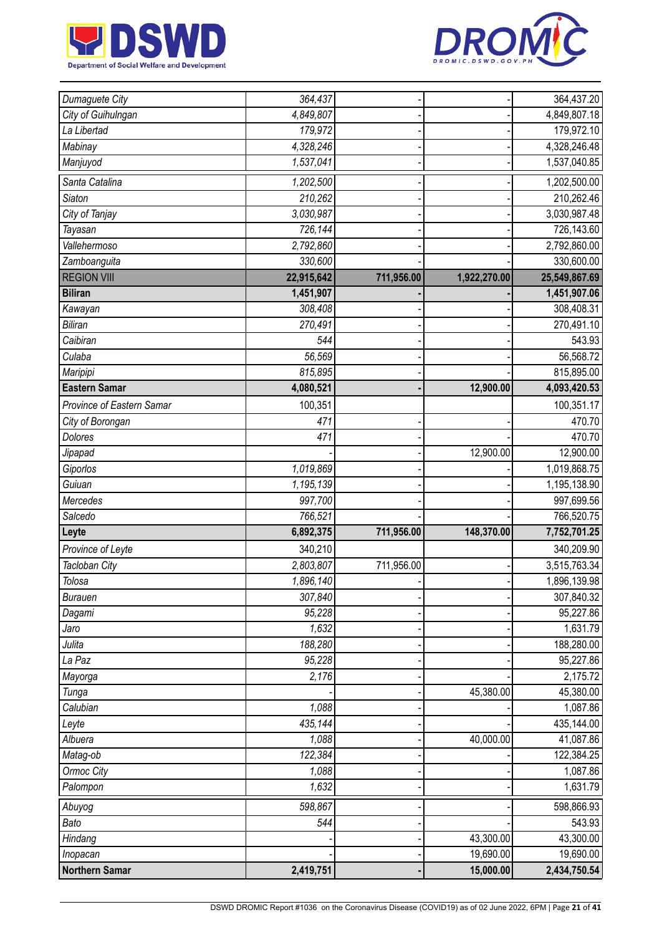



| Dumaguete City            | 364,437    |            |              | 364,437.20    |
|---------------------------|------------|------------|--------------|---------------|
| City of Guihulngan        | 4,849,807  |            |              | 4,849,807.18  |
| La Libertad               | 179,972    |            |              | 179,972.10    |
| <b>Mabinay</b>            | 4,328,246  |            |              | 4,328,246.48  |
| Manjuyod                  | 1,537,041  |            |              | 1,537,040.85  |
| Santa Catalina            | 1,202,500  |            |              | 1,202,500.00  |
| <b>Siaton</b>             | 210,262    |            |              | 210,262.46    |
| City of Tanjay            | 3,030,987  |            |              | 3,030,987.48  |
| Tayasan                   | 726,144    |            |              | 726,143.60    |
| Vallehermoso              | 2,792,860  |            |              | 2,792,860.00  |
| Zamboanguita              | 330,600    |            |              | 330,600.00    |
| <b>REGION VIII</b>        | 22,915,642 | 711,956.00 | 1,922,270.00 | 25,549,867.69 |
| <b>Biliran</b>            | 1,451,907  |            |              | 1,451,907.06  |
| Kawayan                   | 308,408    |            |              | 308,408.31    |
| <b>Biliran</b>            | 270,491    |            |              | 270,491.10    |
| Caibiran                  | 544        |            |              | 543.93        |
| Culaba                    | 56,569     |            |              | 56,568.72     |
| Maripipi                  | 815,895    |            |              | 815,895.00    |
| <b>Eastern Samar</b>      | 4,080,521  |            | 12,900.00    | 4,093,420.53  |
| Province of Eastern Samar | 100,351    |            |              | 100,351.17    |
| City of Borongan          | 471        |            |              | 470.70        |
| <b>Dolores</b>            | 471        |            |              | 470.70        |
| Jipapad                   |            |            | 12,900.00    | 12,900.00     |
| Giporlos                  | 1,019,869  |            |              | 1,019,868.75  |
| Guiuan                    | 1,195,139  |            |              | 1,195,138.90  |
| Mercedes                  | 997,700    |            |              | 997,699.56    |
| Salcedo                   | 766,521    |            |              | 766,520.75    |
| Leyte                     | 6,892,375  | 711,956.00 | 148,370.00   | 7,752,701.25  |
| Province of Leyte         | 340,210    |            |              | 340,209.90    |
| Tacloban City             | 2,803,807  | 711,956.00 |              | 3,515,763.34  |
| Tolosa                    | 1,896,140  |            |              | 1,896,139.98  |
| <b>Burauen</b>            | 307,840    |            |              | 307,840.32    |
| Dagami                    | 95,228     |            |              | 95,227.86     |
| Jaro                      | 1,632      |            |              | 1,631.79      |
| Julita                    | 188,280    |            |              | 188,280.00    |
| La Paz                    | 95,228     |            |              | 95,227.86     |
| Mayorga                   | 2,176      |            |              | 2,175.72      |
| Tunga                     |            |            | 45,380.00    | 45,380.00     |
| Calubian                  | 1,088      |            |              | 1,087.86      |
| Leyte                     | 435,144    |            |              | 435,144.00    |
| Albuera                   | 1,088      |            | 40,000.00    | 41,087.86     |
| Matag-ob                  | 122,384    |            |              | 122,384.25    |
| Ormoc City                | 1,088      |            |              | 1,087.86      |
| Palompon                  | 1,632      |            |              | 1,631.79      |
| Abuyog                    | 598,867    |            |              | 598,866.93    |
| Bato                      | 544        |            |              | 543.93        |
| Hindang                   |            |            | 43,300.00    | 43,300.00     |
| Inopacan                  |            |            | 19,690.00    | 19,690.00     |
| <b>Northern Samar</b>     | 2,419,751  |            | 15,000.00    | 2,434,750.54  |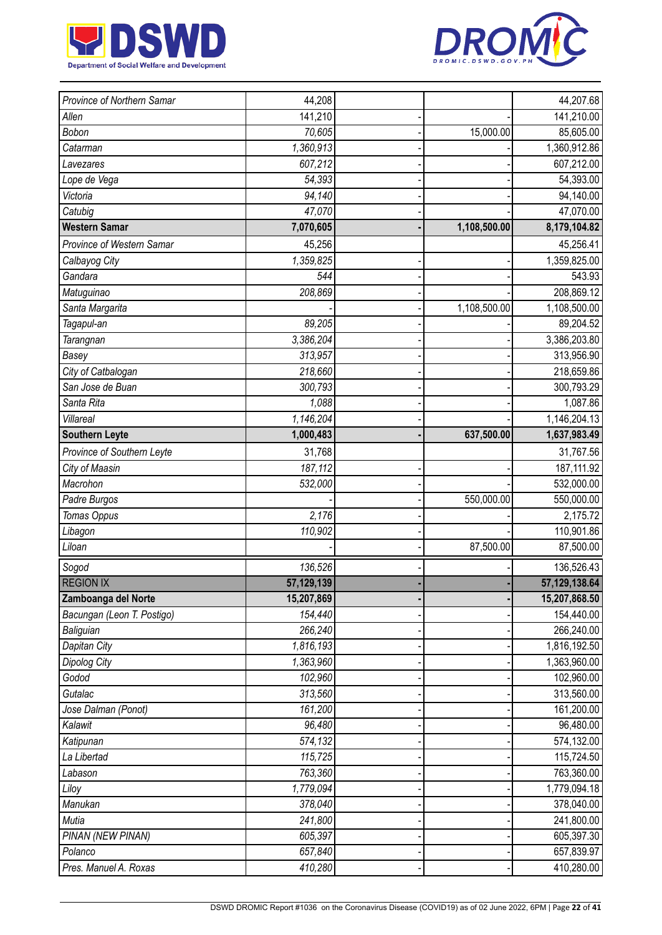



| Province of Northern Samar | 44,208     |              | 44,207.68     |
|----------------------------|------------|--------------|---------------|
| Allen                      | 141,210    |              | 141,210.00    |
| Bobon                      | 70,605     | 15,000.00    | 85,605.00     |
| Catarman                   | 1,360,913  |              | 1,360,912.86  |
| Lavezares                  | 607,212    |              | 607,212.00    |
| Lope de Vega               | 54,393     |              | 54,393.00     |
| Victoria                   | 94,140     |              | 94,140.00     |
| Catubig                    | 47,070     |              | 47,070.00     |
| <b>Western Samar</b>       | 7,070,605  | 1,108,500.00 | 8,179,104.82  |
| Province of Western Samar  | 45,256     |              | 45,256.41     |
| Calbayog City              | 1,359,825  |              | 1,359,825.00  |
| Gandara                    | 544        |              | 543.93        |
| Matuguinao                 | 208,869    |              | 208,869.12    |
| Santa Margarita            |            | 1,108,500.00 | 1,108,500.00  |
| Tagapul-an                 | 89,205     |              | 89,204.52     |
| Tarangnan                  | 3,386,204  |              | 3,386,203.80  |
| Basey                      | 313,957    |              | 313,956.90    |
| City of Catbalogan         | 218,660    |              | 218,659.86    |
| San Jose de Buan           | 300,793    |              | 300,793.29    |
| Santa Rita                 | 1,088      |              | 1,087.86      |
| Villareal                  | 1,146,204  |              | 1,146,204.13  |
| <b>Southern Leyte</b>      | 1,000,483  | 637,500.00   | 1,637,983.49  |
| Province of Southern Leyte | 31,768     |              | 31,767.56     |
| City of Maasin             | 187,112    |              | 187, 111.92   |
| Macrohon                   | 532,000    |              | 532,000.00    |
| Padre Burgos               |            | 550,000.00   | 550,000.00    |
| Tomas Oppus                | 2,176      |              | 2,175.72      |
| Libagon                    | 110,902    |              | 110,901.86    |
| Liloan                     |            | 87,500.00    | 87,500.00     |
| Sogod                      | 136,526    |              | 136,526.43    |
| <b>REGION IX</b>           | 57,129,139 |              | 57,129,138.64 |
| Zamboanga del Norte        | 15,207,869 |              | 15,207,868.50 |
| Bacungan (Leon T. Postigo) | 154,440    |              | 154,440.00    |
| Baliguian                  | 266,240    |              | 266,240.00    |
| Dapitan City               | 1,816,193  |              | 1,816,192.50  |
| <b>Dipolog City</b>        | 1,363,960  |              | 1,363,960.00  |
| Godod                      | 102,960    |              | 102,960.00    |
| Gutalac                    | 313,560    |              | 313,560.00    |
| Jose Dalman (Ponot)        | 161,200    |              | 161,200.00    |
| Kalawit                    | 96,480     |              | 96,480.00     |
| Katipunan                  | 574,132    |              | 574,132.00    |
| La Libertad                | 115,725    |              | 115,724.50    |
| Labason                    | 763,360    |              | 763,360.00    |
| Liloy                      | 1,779,094  |              | 1,779,094.18  |
| Manukan                    | 378,040    |              | 378,040.00    |
| Mutia                      | 241,800    |              | 241,800.00    |
| PINAN (NEW PINAN)          | 605,397    |              | 605,397.30    |
| Polanco                    | 657,840    |              | 657,839.97    |
| Pres. Manuel A. Roxas      | 410,280    |              | 410,280.00    |
|                            |            |              |               |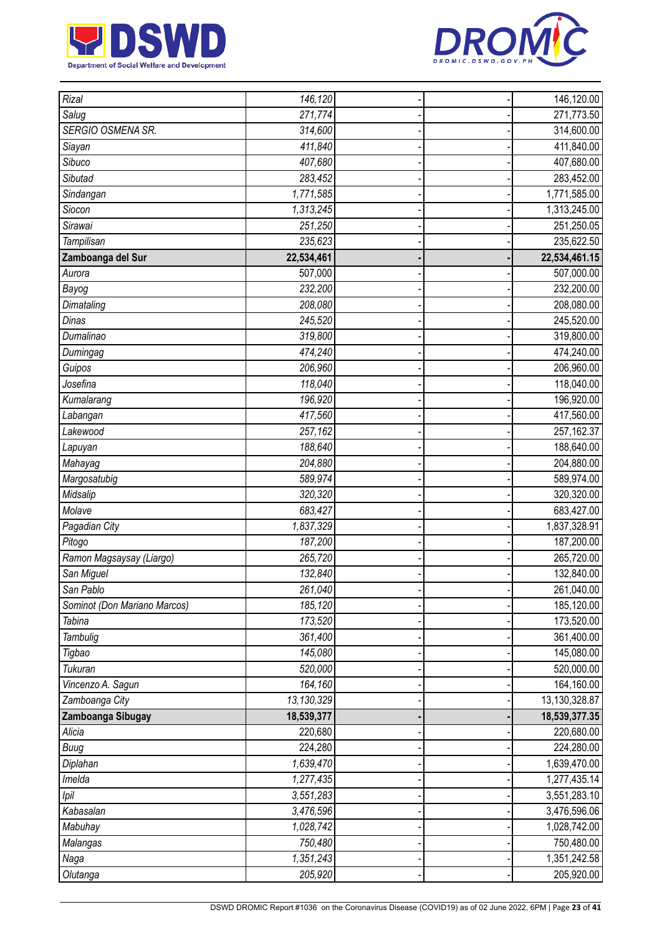



| Rizal                        | 146,120    |  | 146,120.00      |
|------------------------------|------------|--|-----------------|
| Salug                        | 271,774    |  | 271,773.50      |
| SERGIO OSMENA SR.            | 314,600    |  | 314,600.00      |
| Siayan                       | 411,840    |  | 411,840.00      |
| Sibuco                       | 407,680    |  | 407,680.00      |
| Sibutad                      | 283,452    |  | 283,452.00      |
| Sindangan                    | 1,771,585  |  | 1,771,585.00    |
| Siocon                       | 1,313,245  |  | 1,313,245.00    |
| Sirawai                      | 251,250    |  | 251,250.05      |
| Tampilisan                   | 235,623    |  | 235,622.50      |
| Zamboanga del Sur            | 22,534,461 |  | 22,534,461.15   |
| Aurora                       | 507,000    |  | 507,000.00      |
| Bayog                        | 232,200    |  | 232,200.00      |
| Dimataling                   | 208,080    |  | 208,080.00      |
| Dinas                        | 245,520    |  | 245,520.00      |
| Dumalinao                    | 319,800    |  | 319,800.00      |
| Dumingag                     | 474,240    |  | 474,240.00      |
| Guipos                       | 206,960    |  | 206,960.00      |
| Josefina                     | 118,040    |  | 118,040.00      |
| Kumalarang                   | 196,920    |  | 196,920.00      |
| Labangan                     | 417,560    |  | 417,560.00      |
| Lakewood                     | 257,162    |  | 257, 162. 37    |
| Lapuyan                      | 188,640    |  | 188,640.00      |
| Mahayag                      | 204,880    |  | 204,880.00      |
| Margosatubig                 | 589,974    |  | 589,974.00      |
| Midsalip                     | 320,320    |  | 320,320.00      |
| Molave                       | 683,427    |  | 683,427.00      |
| Pagadian City                | 1,837,329  |  | 1,837,328.91    |
| Pitogo                       | 187,200    |  | 187,200.00      |
| Ramon Magsaysay (Liargo)     | 265,720    |  | 265,720.00      |
| San Miguel                   | 132,840    |  | 132,840.00      |
| San Pablo                    | 261,040    |  | 261,040.00      |
| Sominot (Don Mariano Marcos) | 185,120    |  | 185,120.00      |
| Tabina                       | 173,520    |  | 173,520.00      |
| Tambulig                     | 361,400    |  | 361,400.00      |
| Tigbao                       | 145,080    |  | 145,080.00      |
| Tukuran                      | 520,000    |  | 520,000.00      |
| Vincenzo A. Sagun            | 164,160    |  | 164,160.00      |
| Zamboanga City               | 13,130,329 |  | 13, 130, 328.87 |
| Zamboanga Sibugay            | 18,539,377 |  | 18,539,377.35   |
| Alicia                       | 220,680    |  | 220,680.00      |
| <b>Buug</b>                  | 224,280    |  | 224,280.00      |
| Diplahan                     | 1,639,470  |  | 1,639,470.00    |
| Imelda                       | 1,277,435  |  | 1,277,435.14    |
| Ipil                         | 3,551,283  |  | 3,551,283.10    |
| Kabasalan                    | 3,476,596  |  | 3,476,596.06    |
| Mabuhay                      | 1,028,742  |  | 1,028,742.00    |
| Malangas                     | 750,480    |  | 750,480.00      |
| Naga                         | 1,351,243  |  | 1,351,242.58    |
| Olutanga                     | 205,920    |  | 205,920.00      |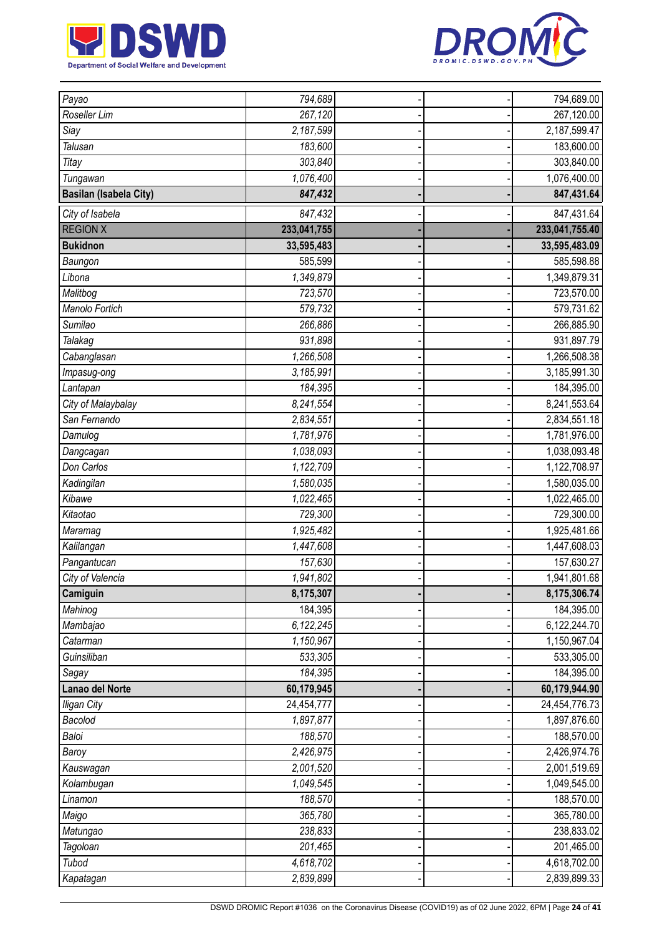



| Payao                         | 794,689     |  | 794,689.00     |
|-------------------------------|-------------|--|----------------|
| Roseller Lim                  | 267,120     |  | 267,120.00     |
| Siay                          | 2,187,599   |  | 2,187,599.47   |
| Talusan                       | 183,600     |  | 183,600.00     |
| Titay                         | 303,840     |  | 303,840.00     |
| Tungawan                      | 1,076,400   |  | 1,076,400.00   |
| <b>Basilan (Isabela City)</b> | 847,432     |  | 847,431.64     |
| City of Isabela               | 847,432     |  | 847,431.64     |
| <b>REGION X</b>               | 233,041,755 |  | 233,041,755.40 |
| <b>Bukidnon</b>               | 33,595,483  |  | 33,595,483.09  |
| Baungon                       | 585,599     |  | 585,598.88     |
| Libona                        | 1,349,879   |  | 1,349,879.31   |
| Malitbog                      | 723,570     |  | 723,570.00     |
| Manolo Fortich                | 579,732     |  | 579,731.62     |
| Sumilao                       | 266,886     |  | 266,885.90     |
| Talakag                       | 931,898     |  | 931,897.79     |
| Cabanglasan                   | 1,266,508   |  | 1,266,508.38   |
| Impasug-ong                   | 3,185,991   |  | 3,185,991.30   |
| Lantapan                      | 184,395     |  | 184,395.00     |
| City of Malaybalay            | 8,241,554   |  | 8,241,553.64   |
| San Fernando                  | 2,834,551   |  | 2,834,551.18   |
| Damulog                       | 1,781,976   |  | 1,781,976.00   |
| Dangcagan                     | 1,038,093   |  | 1,038,093.48   |
| Don Carlos                    | 1,122,709   |  | 1,122,708.97   |
| Kadingilan                    | 1,580,035   |  | 1,580,035.00   |
| Kibawe                        | 1,022,465   |  | 1,022,465.00   |
| Kitaotao                      | 729,300     |  | 729,300.00     |
| Maramag                       | 1,925,482   |  | 1,925,481.66   |
| Kalilangan                    | 1,447,608   |  | 1,447,608.03   |
| Pangantucan                   | 157,630     |  | 157,630.27     |
| City of Valencia              | 1,941,802   |  | 1,941,801.68   |
| Camiguin                      | 8,175,307   |  | 8,175,306.74   |
| Mahinog                       | 184,395     |  | 184,395.00     |
| Mambajao                      | 6,122,245   |  | 6,122,244.70   |
| Catarman                      | 1,150,967   |  | 1,150,967.04   |
| Guinsiliban                   | 533,305     |  | 533,305.00     |
| Sagay                         | 184,395     |  | 184,395.00     |
| Lanao del Norte               | 60,179,945  |  | 60,179,944.90  |
| <b>Iligan City</b>            | 24,454,777  |  | 24,454,776.73  |
| Bacolod                       | 1,897,877   |  | 1,897,876.60   |
| Baloi                         | 188,570     |  | 188,570.00     |
| Baroy                         | 2,426,975   |  | 2,426,974.76   |
| Kauswagan                     | 2,001,520   |  | 2,001,519.69   |
| Kolambugan                    | 1,049,545   |  | 1,049,545.00   |
| Linamon                       | 188,570     |  | 188,570.00     |
| Maigo                         | 365,780     |  | 365,780.00     |
| Matungao                      | 238,833     |  | 238,833.02     |
| Tagoloan                      | 201,465     |  | 201,465.00     |
| Tubod                         | 4,618,702   |  | 4,618,702.00   |
| Kapatagan                     | 2,839,899   |  | 2,839,899.33   |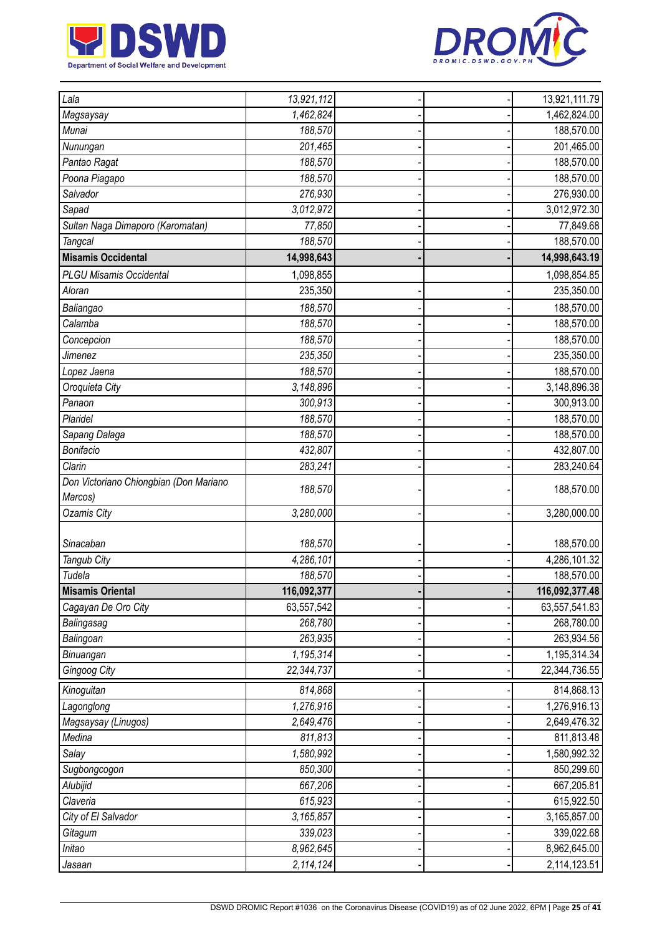



| Lala                                   | 13,921,112  |  | 13,921,111.79  |
|----------------------------------------|-------------|--|----------------|
| Magsaysay                              | 1,462,824   |  | 1,462,824.00   |
| Munai                                  | 188,570     |  | 188,570.00     |
| Nunungan                               | 201,465     |  | 201,465.00     |
| Pantao Ragat                           | 188,570     |  | 188,570.00     |
| Poona Piagapo                          | 188,570     |  | 188,570.00     |
| Salvador                               | 276,930     |  | 276,930.00     |
| Sapad                                  | 3,012,972   |  | 3,012,972.30   |
| Sultan Naga Dimaporo (Karomatan)       | 77,850      |  | 77,849.68      |
| Tangcal                                | 188,570     |  | 188,570.00     |
| <b>Misamis Occidental</b>              | 14,998,643  |  | 14,998,643.19  |
| <b>PLGU Misamis Occidental</b>         | 1,098,855   |  | 1,098,854.85   |
| Aloran                                 | 235,350     |  | 235,350.00     |
| Baliangao                              | 188,570     |  | 188,570.00     |
| Calamba                                | 188,570     |  | 188,570.00     |
| Concepcion                             | 188,570     |  | 188,570.00     |
| Jimenez                                | 235,350     |  | 235,350.00     |
| Lopez Jaena                            | 188,570     |  | 188,570.00     |
| Oroquieta City                         | 3,148,896   |  | 3,148,896.38   |
| Panaon                                 | 300,913     |  | 300,913.00     |
| Plaridel                               | 188,570     |  | 188,570.00     |
| Sapang Dalaga                          | 188,570     |  | 188,570.00     |
| Bonifacio                              | 432,807     |  | 432,807.00     |
| Clarin                                 | 283,241     |  | 283,240.64     |
| Don Victoriano Chiongbian (Don Mariano |             |  |                |
| Marcos)                                | 188,570     |  | 188,570.00     |
| <b>Ozamis City</b>                     | 3,280,000   |  | 3,280,000.00   |
|                                        |             |  |                |
| Sinacaban                              | 188,570     |  | 188,570.00     |
| Tangub City                            | 4,286,101   |  | 4,286,101.32   |
| Tudela                                 | 188,570     |  | 188,570.00     |
| <b>Misamis Oriental</b>                | 116,092,377 |  | 116,092,377.48 |
| Cagayan De Oro City                    | 63,557,542  |  | 63,557,541.83  |
| Balingasag                             | 268,780     |  | 268,780.00     |
| Balingoan                              | 263,935     |  | 263,934.56     |
| Binuangan                              | 1,195,314   |  | 1,195,314.34   |
| Gingoog City                           | 22,344,737  |  | 22,344,736.55  |
| Kinoguitan                             | 814,868     |  | 814,868.13     |
| Lagonglong                             | 1,276,916   |  | 1,276,916.13   |
| Magsaysay (Linugos)                    | 2,649,476   |  | 2,649,476.32   |
| Medina                                 | 811,813     |  | 811,813.48     |
| Salay                                  | 1,580,992   |  | 1,580,992.32   |
| Sugbongcogon                           | 850,300     |  | 850,299.60     |
| Alubijid                               | 667,206     |  | 667,205.81     |
| Claveria                               | 615,923     |  | 615,922.50     |
| City of El Salvador                    | 3,165,857   |  | 3,165,857.00   |
| Gitagum                                | 339,023     |  | 339,022.68     |
| Initao                                 | 8,962,645   |  | 8,962,645.00   |
| Jasaan                                 | 2,114,124   |  | 2,114,123.51   |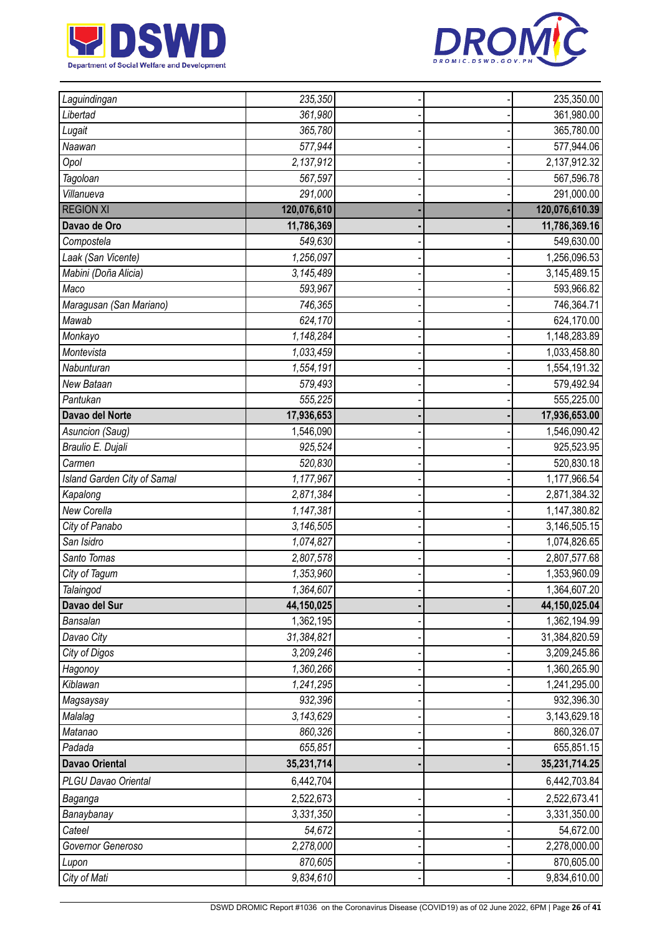



| Laguindingan                | 235,350     |  | 235,350.00     |
|-----------------------------|-------------|--|----------------|
| Libertad                    | 361,980     |  | 361,980.00     |
| Lugait                      | 365,780     |  | 365,780.00     |
| Naawan                      | 577,944     |  | 577,944.06     |
| Opol                        | 2,137,912   |  | 2,137,912.32   |
| Tagoloan                    | 567,597     |  | 567,596.78     |
| Villanueva                  | 291,000     |  | 291,000.00     |
| <b>REGION XI</b>            | 120,076,610 |  | 120,076,610.39 |
| Davao de Oro                | 11,786,369  |  | 11,786,369.16  |
| Compostela                  | 549,630     |  | 549,630.00     |
| Laak (San Vicente)          | 1,256,097   |  | 1,256,096.53   |
| Mabini (Doña Alicia)        | 3,145,489   |  | 3,145,489.15   |
| Maco                        | 593,967     |  | 593,966.82     |
| Maragusan (San Mariano)     | 746,365     |  | 746,364.71     |
| Mawab                       | 624,170     |  | 624,170.00     |
| Monkayo                     | 1,148,284   |  | 1,148,283.89   |
| Montevista                  | 1,033,459   |  | 1,033,458.80   |
| Nabunturan                  | 1,554,191   |  | 1,554,191.32   |
| New Bataan                  | 579,493     |  | 579,492.94     |
| Pantukan                    | 555,225     |  | 555,225.00     |
| Davao del Norte             | 17,936,653  |  | 17,936,653.00  |
| Asuncion (Saug)             | 1,546,090   |  | 1,546,090.42   |
| Braulio E. Dujali           | 925,524     |  | 925,523.95     |
| Carmen                      | 520,830     |  | 520,830.18     |
| Island Garden City of Samal | 1,177,967   |  | 1,177,966.54   |
| Kapalong                    | 2,871,384   |  | 2,871,384.32   |
| New Corella                 | 1,147,381   |  | 1,147,380.82   |
| City of Panabo              | 3,146,505   |  | 3,146,505.15   |
| San Isidro                  | 1,074,827   |  | 1,074,826.65   |
| Santo Tomas                 | 2,807,578   |  | 2,807,577.68   |
| City of Tagum               | 1,353,960   |  | 1,353,960.09   |
| Talaingod                   | 1,364,607   |  | 1,364,607.20   |
| Davao del Sur               | 44,150,025  |  | 44,150,025.04  |
| Bansalan                    | 1,362,195   |  | 1,362,194.99   |
| Davao City                  | 31,384,821  |  | 31,384,820.59  |
| City of Digos               | 3,209,246   |  | 3,209,245.86   |
| Hagonoy                     | 1,360,266   |  | 1,360,265.90   |
| Kiblawan                    | 1,241,295   |  | 1,241,295.00   |
| Magsaysay                   | 932,396     |  | 932,396.30     |
| Malalag                     | 3,143,629   |  | 3,143,629.18   |
| Matanao                     | 860,326     |  | 860,326.07     |
| Padada                      | 655,851     |  | 655,851.15     |
| <b>Davao Oriental</b>       | 35,231,714  |  | 35,231,714.25  |
| PLGU Davao Oriental         | 6,442,704   |  | 6,442,703.84   |
| Baganga                     | 2,522,673   |  | 2,522,673.41   |
| Banaybanay                  | 3,331,350   |  | 3,331,350.00   |
| Cateel                      | 54,672      |  | 54,672.00      |
| Governor Generoso           | 2,278,000   |  | 2,278,000.00   |
| Lupon                       | 870,605     |  | 870,605.00     |
| City of Mati                | 9,834,610   |  | 9,834,610.00   |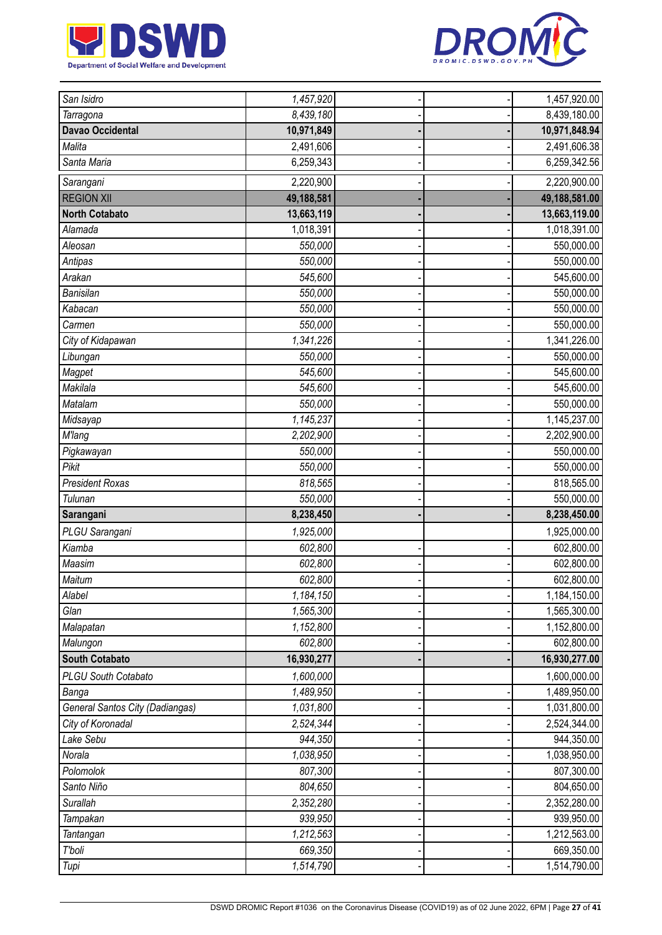



| San Isidro                             | 1,457,920  |  | 1,457,920.00  |
|----------------------------------------|------------|--|---------------|
| Tarragona                              | 8,439,180  |  | 8,439,180.00  |
| <b>Davao Occidental</b>                | 10,971,849 |  | 10,971,848.94 |
| Malita                                 | 2,491,606  |  | 2,491,606.38  |
| Santa Maria                            | 6,259,343  |  | 6,259,342.56  |
| Sarangani                              | 2,220,900  |  | 2,220,900.00  |
| <b>REGION XII</b>                      | 49,188,581 |  | 49,188,581.00 |
| <b>North Cotabato</b>                  | 13,663,119 |  | 13,663,119.00 |
| Alamada                                | 1,018,391  |  | 1,018,391.00  |
| Aleosan                                | 550,000    |  | 550,000.00    |
| Antipas                                | 550,000    |  | 550,000.00    |
| Arakan                                 | 545,600    |  | 545,600.00    |
| Banisilan                              | 550,000    |  | 550,000.00    |
| Kabacan                                | 550,000    |  | 550,000.00    |
| Carmen                                 | 550,000    |  | 550,000.00    |
| City of Kidapawan                      | 1,341,226  |  | 1,341,226.00  |
| Libungan                               | 550,000    |  | 550,000.00    |
| Magpet                                 | 545,600    |  | 545,600.00    |
| Makilala                               | 545,600    |  | 545,600.00    |
| Matalam                                | 550,000    |  | 550,000.00    |
| Midsayap                               | 1,145,237  |  | 1,145,237.00  |
| <b>M'lang</b>                          | 2,202,900  |  | 2,202,900.00  |
| Pigkawayan                             | 550,000    |  | 550,000.00    |
| Pikit                                  | 550,000    |  | 550,000.00    |
| <b>President Roxas</b>                 | 818,565    |  | 818,565.00    |
| Tulunan                                | 550,000    |  | 550,000.00    |
| Sarangani                              | 8,238,450  |  | 8,238,450.00  |
| PLGU Sarangani                         | 1,925,000  |  | 1,925,000.00  |
| Kiamba                                 | 602,800    |  | 602,800.00    |
| Maasim                                 | 602,800    |  | 602,800.00    |
| Maitum                                 | 602,800    |  | 602,800.00    |
| Alabel                                 | 1,184,150  |  | 1,184,150.00  |
| Glan                                   | 1,565,300  |  | 1,565,300.00  |
| Malapatan                              | 1,152,800  |  | 1,152,800.00  |
| Malungon                               | 602,800    |  | 602,800.00    |
| <b>South Cotabato</b>                  | 16,930,277 |  | 16,930,277.00 |
| <b>PLGU South Cotabato</b>             | 1,600,000  |  | 1,600,000.00  |
| Banga                                  | 1,489,950  |  | 1,489,950.00  |
| <b>General Santos City (Dadiangas)</b> | 1,031,800  |  | 1,031,800.00  |
| City of Koronadal                      | 2,524,344  |  | 2,524,344.00  |
| Lake Sebu                              | 944,350    |  | 944,350.00    |
| Norala                                 | 1,038,950  |  | 1,038,950.00  |
| Polomolok                              | 807,300    |  | 807,300.00    |
| Santo Niño                             | 804,650    |  | 804,650.00    |
| Surallah                               | 2,352,280  |  | 2,352,280.00  |
| Tampakan                               | 939,950    |  | 939,950.00    |
| Tantangan                              | 1,212,563  |  | 1,212,563.00  |
| T'boli                                 | 669,350    |  | 669,350.00    |
| Tupi                                   | 1,514,790  |  | 1,514,790.00  |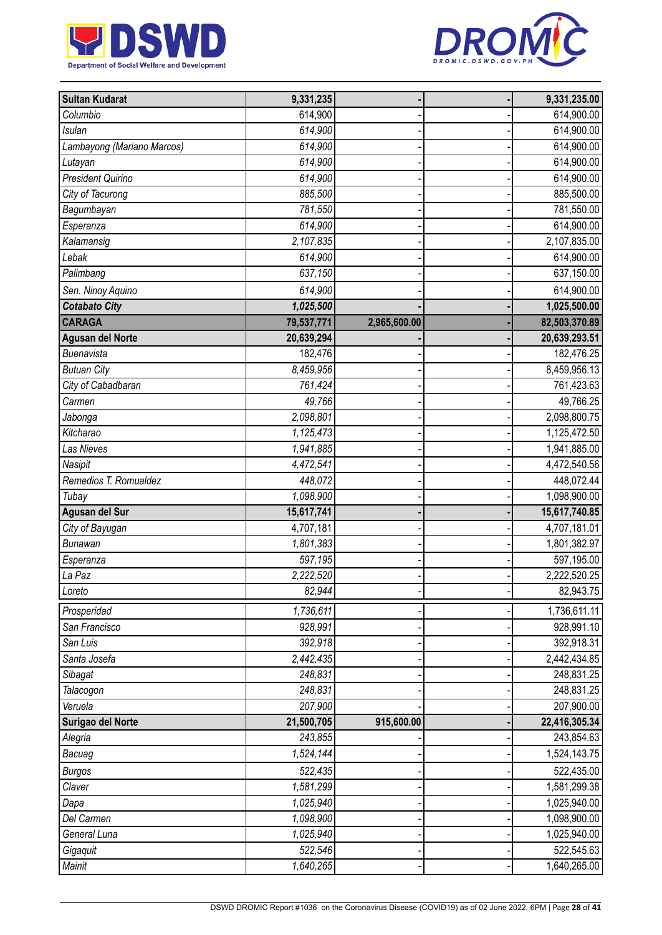



| <b>Sultan Kudarat</b>      | 9,331,235  |              | 9,331,235.00  |
|----------------------------|------------|--------------|---------------|
| Columbio                   | 614,900    |              | 614,900.00    |
| <b>Isulan</b>              | 614,900    |              | 614,900.00    |
| Lambayong (Mariano Marcos) | 614,900    |              | 614,900.00    |
| Lutayan                    | 614,900    |              | 614,900.00    |
| President Quirino          | 614,900    |              | 614,900.00    |
| City of Tacurong           | 885,500    |              | 885,500.00    |
| Bagumbayan                 | 781,550    |              | 781,550.00    |
| Esperanza                  | 614,900    |              | 614,900.00    |
| Kalamansig                 | 2,107,835  |              | 2,107,835.00  |
| Lebak                      | 614,900    |              | 614,900.00    |
| Palimbang                  | 637,150    |              | 637,150.00    |
| Sen. Ninoy Aquino          | 614,900    |              | 614,900.00    |
| <b>Cotabato City</b>       | 1,025,500  |              | 1,025,500.00  |
| <b>CARAGA</b>              | 79,537,771 | 2,965,600.00 | 82,503,370.89 |
| <b>Agusan del Norte</b>    | 20,639,294 |              | 20,639,293.51 |
| Buenavista                 | 182,476    |              | 182,476.25    |
| <b>Butuan City</b>         | 8,459,956  |              | 8,459,956.13  |
| City of Cabadbaran         | 761,424    |              | 761,423.63    |
| Carmen                     | 49,766     |              | 49,766.25     |
| Jabonga                    | 2,098,801  |              | 2,098,800.75  |
| Kitcharao                  | 1,125,473  |              | 1,125,472.50  |
| Las Nieves                 | 1,941,885  |              | 1,941,885.00  |
| Nasipit                    | 4,472,541  |              | 4,472,540.56  |
| Remedios T. Romualdez      | 448,072    |              | 448,072.44    |
| Tubay                      | 1,098,900  |              | 1,098,900.00  |
| Agusan del Sur             | 15,617,741 |              | 15,617,740.85 |
| City of Bayugan            | 4,707,181  |              | 4,707,181.01  |
| <b>Bunawan</b>             | 1,801,383  |              | 1,801,382.97  |
| Esperanza                  | 597,195    |              | 597,195.00    |
| La Paz                     | 2,222,520  |              | 2,222,520.25  |
| Loreto                     | 82,944     |              | 82,943.75     |
| Prosperidad                | 1,736,611  |              | 1,736,611.11  |
| San Francisco              | 928,991    |              | 928,991.10    |
| San Luis                   | 392,918    |              | 392,918.31    |
| Santa Josefa               | 2,442,435  |              | 2,442,434.85  |
| Sibagat                    | 248,831    |              | 248,831.25    |
| Talacogon                  | 248,831    |              | 248,831.25    |
| Veruela                    | 207,900    |              | 207,900.00    |
| Surigao del Norte          | 21,500,705 | 915,600.00   | 22,416,305.34 |
| Alegria                    | 243,855    |              | 243,854.63    |
| Bacuag                     | 1,524,144  |              | 1,524,143.75  |
| <b>Burgos</b>              | 522,435    |              | 522,435.00    |
| Claver                     | 1,581,299  |              | 1,581,299.38  |
| Dapa                       | 1,025,940  |              | 1,025,940.00  |
| Del Carmen                 | 1,098,900  |              | 1,098,900.00  |
| General Luna               | 1,025,940  |              | 1,025,940.00  |
| Gigaquit                   | 522,546    |              | 522,545.63    |
| <b>Mainit</b>              | 1,640,265  |              | 1,640,265.00  |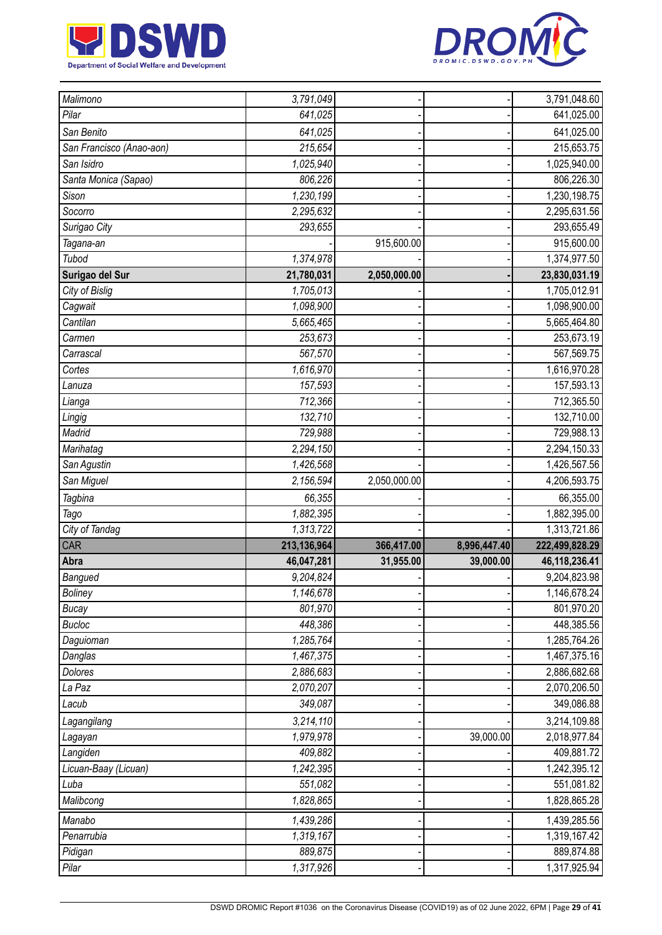



|                          | 3,791,049            |              |              | 3,791,048.60               |
|--------------------------|----------------------|--------------|--------------|----------------------------|
| Pilar                    | 641,025              |              |              | 641,025.00                 |
| San Benito               | 641,025              |              |              | 641,025.00                 |
| San Francisco (Anao-aon) | 215,654              |              |              | 215,653.75                 |
| San Isidro               | 1,025,940            |              |              | 1,025,940.00               |
| Santa Monica (Sapao)     | 806,226              |              |              | 806,226.30                 |
| Sison                    | 1,230,199            |              |              | 1,230,198.75               |
| Socorro                  | 2,295,632            |              |              | 2,295,631.56               |
| Surigao City             | 293,655              |              |              | 293,655.49                 |
| Tagana-an                |                      | 915,600.00   |              | 915,600.00                 |
| Tubod                    | 1,374,978            |              |              | 1,374,977.50               |
| Surigao del Sur          | 21,780,031           | 2,050,000.00 |              | 23,830,031.19              |
| City of Bislig           | 1,705,013            |              |              | 1,705,012.91               |
| Cagwait                  | 1,098,900            |              |              | 1,098,900.00               |
| Cantilan                 | 5,665,465            |              |              | 5,665,464.80               |
| Carmen                   | 253,673              |              |              | 253,673.19                 |
| Carrascal                | 567,570              |              |              | 567,569.75                 |
| Cortes                   | 1,616,970            |              |              | 1,616,970.28               |
| Lanuza                   | 157,593              |              |              | 157,593.13                 |
| Lianga                   | 712,366              |              |              | 712,365.50                 |
| Lingig                   | 132,710              |              |              | 132,710.00                 |
| Madrid                   | 729,988              |              |              | 729,988.13                 |
| Marihatag                | 2,294,150            |              |              | 2,294,150.33               |
| San Agustin              | 1,426,568            |              |              | 1,426,567.56               |
| San Miguel               | 2,156,594            | 2,050,000.00 |              | 4,206,593.75               |
| Tagbina                  | 66,355               |              |              | 66,355.00                  |
| Tago                     | 1,882,395            |              |              | 1,882,395.00               |
| City of Tandag           | 1,313,722            |              |              | 1,313,721.86               |
| CAR                      | 213,136,964          | 366,417.00   | 8,996,447.40 | 222,499,828.29             |
| Abra                     | 46,047,281           | 31,955.00    | 39,000.00    | 46,118,236.41              |
| Bangued                  | 9,204,824            |              |              | 9,204,823.98               |
| <b>Boliney</b>           | 1,146,678            |              |              | 1,146,678.24               |
| <b>Bucay</b>             | 801,970              |              |              | 801,970.20                 |
| <b>Bucloc</b>            | 448,386              |              |              | 448,385.56                 |
|                          |                      |              |              |                            |
| Daguioman                | 1,285,764            |              |              | 1,285,764.26               |
| Danglas                  | 1,467,375            |              |              | 1,467,375.16               |
| Dolores                  | 2,886,683            |              |              | 2,886,682.68               |
| La Paz                   | 2,070,207            |              |              | 2,070,206.50               |
| Lacub                    | 349,087              |              |              | 349,086.88                 |
| Lagangilang              | 3,214,110            |              |              | 3,214,109.88               |
| Lagayan                  | 1,979,978            |              | 39,000.00    | 2,018,977.84               |
| Langiden                 | 409,882              |              |              | 409,881.72                 |
| Licuan-Baay (Licuan)     | 1,242,395            |              |              | 1,242,395.12               |
| Luba                     | 551,082              |              |              | 551,081.82                 |
| Malibcong                | 1,828,865            |              |              | 1,828,865.28               |
| Manabo                   | 1,439,286            |              |              | 1,439,285.56               |
| Penarrubia               | 1,319,167            |              |              | 1,319,167.42               |
| Pidigan<br>Pilar         | 889,875<br>1,317,926 |              |              | 889,874.88<br>1,317,925.94 |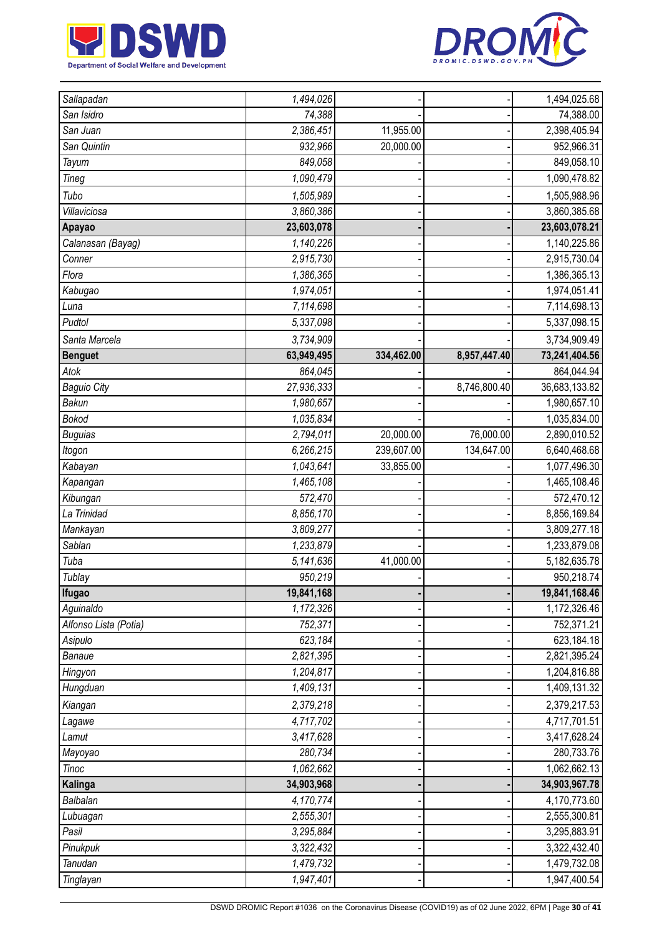



| Sallapadan            | 1,494,026  |            |              | 1,494,025.68    |
|-----------------------|------------|------------|--------------|-----------------|
| San Isidro            | 74,388     |            |              | 74,388.00       |
| San Juan              | 2,386,451  | 11,955.00  |              | 2,398,405.94    |
| San Quintin           | 932,966    | 20,000.00  |              | 952,966.31      |
| <b>Tayum</b>          | 849,058    |            |              | 849,058.10      |
| Tineg                 | 1,090,479  |            |              | 1,090,478.82    |
| Tubo                  | 1,505,989  |            |              | 1,505,988.96    |
| Villaviciosa          | 3,860,386  |            |              | 3,860,385.68    |
| Apayao                | 23,603,078 |            |              | 23,603,078.21   |
| Calanasan (Bayag)     | 1,140,226  |            |              | 1,140,225.86    |
| Conner                | 2,915,730  |            |              | 2,915,730.04    |
| Flora                 | 1,386,365  |            |              | 1,386,365.13    |
| Kabugao               | 1,974,051  |            |              | 1,974,051.41    |
| Luna                  | 7,114,698  |            |              | 7, 114, 698. 13 |
| Pudtol                | 5,337,098  |            |              | 5,337,098.15    |
| Santa Marcela         | 3,734,909  |            |              | 3,734,909.49    |
| <b>Benguet</b>        | 63,949,495 | 334,462.00 | 8,957,447.40 | 73,241,404.56   |
| Atok                  | 864,045    |            |              | 864,044.94      |
| <b>Baguio City</b>    | 27,936,333 |            | 8,746,800.40 | 36,683,133.82   |
| Bakun                 | 1,980,657  |            |              | 1,980,657.10    |
| <b>Bokod</b>          | 1,035,834  |            |              | 1,035,834.00    |
| <b>Buguias</b>        | 2,794,011  | 20,000.00  | 76,000.00    | 2,890,010.52    |
| Itogon                | 6,266,215  | 239,607.00 | 134,647.00   | 6,640,468.68    |
| Kabayan               | 1,043,641  | 33,855.00  |              | 1,077,496.30    |
| Kapangan              | 1,465,108  |            |              | 1,465,108.46    |
| Kibungan              | 572,470    |            |              | 572,470.12      |
| La Trinidad           | 8,856,170  |            |              | 8,856,169.84    |
| Mankayan              | 3,809,277  |            |              | 3,809,277.18    |
| Sablan                | 1,233,879  |            |              | 1,233,879.08    |
| Tuba                  | 5,141,636  | 41,000.00  |              | 5, 182, 635. 78 |
| Tublay                | 950,219    |            |              | 950,218.74      |
| <b>Ifugao</b>         | 19,841,168 |            |              | 19,841,168.46   |
| Aguinaldo             | 1,172,326  |            |              | 1,172,326.46    |
| Alfonso Lista (Potia) | 752,371    |            |              | 752,371.21      |
| Asipulo               | 623,184    |            |              | 623,184.18      |
| Banaue                | 2,821,395  |            |              | 2,821,395.24    |
| Hingyon               | 1,204,817  |            |              | 1,204,816.88    |
| Hungduan              | 1,409,131  |            |              | 1,409,131.32    |
| Kiangan               | 2,379,218  |            |              | 2,379,217.53    |
| Lagawe                | 4,717,702  |            |              | 4,717,701.51    |
| Lamut                 | 3,417,628  |            |              | 3,417,628.24    |
| Mayoyao               | 280,734    |            |              | 280,733.76      |
| Tinoc                 | 1,062,662  |            |              | 1,062,662.13    |
| Kalinga               | 34,903,968 |            |              | 34,903,967.78   |
| Balbalan              | 4,170,774  |            |              | 4,170,773.60    |
| Lubuagan              | 2,555,301  |            |              | 2,555,300.81    |
| Pasil                 | 3,295,884  |            |              | 3,295,883.91    |
| Pinukpuk              | 3,322,432  |            |              | 3,322,432.40    |
| Tanudan               | 1,479,732  |            |              | 1,479,732.08    |
| Tinglayan             | 1,947,401  |            |              | 1,947,400.54    |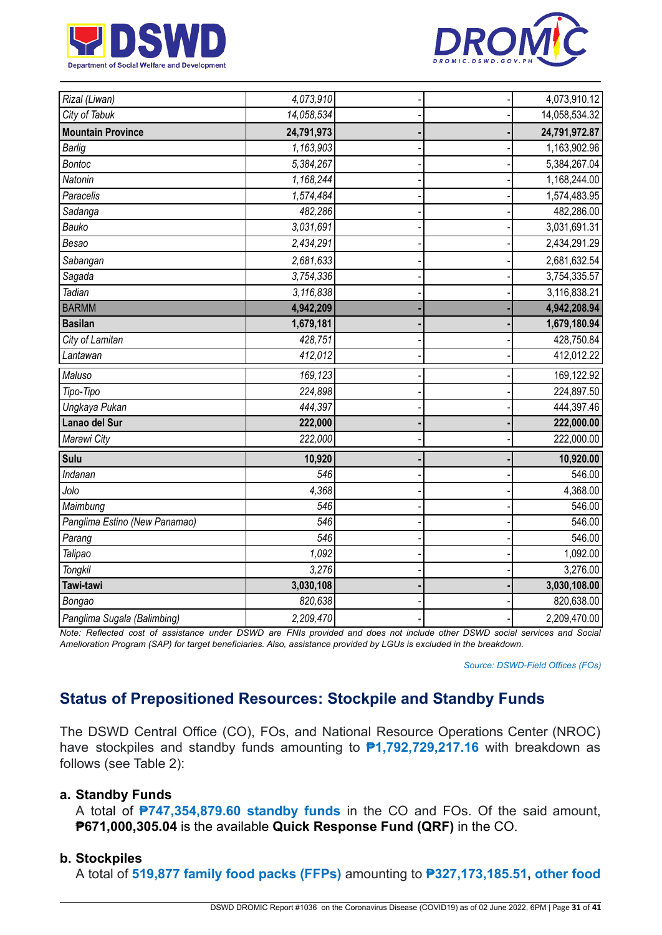



| Rizal (Liwan)                 | 4,073,910  |  | 4,073,910.12  |
|-------------------------------|------------|--|---------------|
| City of Tabuk                 | 14,058,534 |  | 14,058,534.32 |
| <b>Mountain Province</b>      | 24,791,973 |  | 24,791,972.87 |
| <b>Barlig</b>                 | 1,163,903  |  | 1,163,902.96  |
| <b>Bontoc</b>                 | 5,384,267  |  | 5,384,267.04  |
| Natonin                       | 1,168,244  |  | 1,168,244.00  |
| Paracelis                     | 1,574,484  |  | 1,574,483.95  |
| Sadanga                       | 482,286    |  | 482,286.00    |
| Bauko                         | 3,031,691  |  | 3,031,691.31  |
| Besao                         | 2,434,291  |  | 2,434,291.29  |
| Sabangan                      | 2,681,633  |  | 2,681,632.54  |
| Sagada                        | 3,754,336  |  | 3,754,335.57  |
| Tadian                        | 3,116,838  |  | 3,116,838.21  |
| <b>BARMM</b>                  | 4,942,209  |  | 4,942,208.94  |
| <b>Basilan</b>                | 1,679,181  |  | 1,679,180.94  |
| City of Lamitan               | 428,751    |  | 428,750.84    |
| Lantawan                      | 412,012    |  | 412,012.22    |
| Maluso                        | 169,123    |  | 169,122.92    |
| Tipo-Tipo                     | 224,898    |  | 224,897.50    |
| Ungkaya Pukan                 | 444,397    |  | 444,397.46    |
| Lanao del Sur                 | 222,000    |  | 222,000.00    |
| Marawi City                   | 222,000    |  | 222,000.00    |
| Sulu                          | 10,920     |  | 10,920.00     |
| Indanan                       | 546        |  | 546.00        |
| Jolo                          | 4,368      |  | 4,368.00      |
| Maimbung                      | 546        |  | 546.00        |
| Panglima Estino (New Panamao) | 546        |  | 546.00        |
| Parang                        | 546        |  | 546.00        |
| Talipao                       | 1,092      |  | 1,092.00      |
| <b>Tongkil</b>                | 3,276      |  | 3,276.00      |
| Tawi-tawi                     | 3,030,108  |  | 3,030,108.00  |
| Bongao                        | 820,638    |  | 820,638.00    |
| Panglima Sugala (Balimbing)   | 2,209,470  |  | 2,209,470.00  |

Note: Reflected cost of assistance under DSWD are FNIs provided and does not include other DSWD social services and Social Amelioration Program (SAP) for target beneficiaries. Also, assistance provided by LGUs is excluded in the breakdown.

*Source: DSWD-Field Offices (FOs)*

# **Status of Prepositioned Resources: Stockpile and Standby Funds**

The DSWD Central Office (CO), FOs, and National Resource Operations Center (NROC) have stockpiles and standby funds amounting to **₱1,792,729,217.16** with breakdown as follows (see Table 2):

#### **a. Standby Funds**

A total of **₱747,354,879.60 standby funds** in the CO and FOs. Of the said amount, **₱671,000,305.04** is the available **Quick Response Fund (QRF)** in the CO.

#### **b. Stockpiles**

A total of **519,877 family food packs (FFPs)** amounting to **₱327,173,185.51, other food**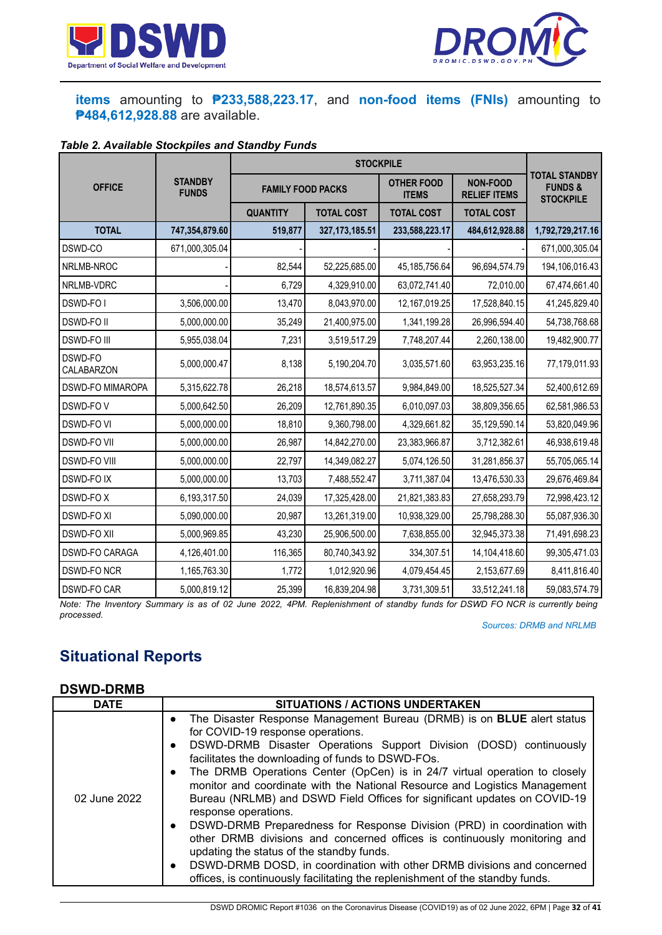



### **items** amounting to **₱233,588,223.17**, and **non-food items (FNIs)** amounting to **₱484,612,928.88** are available.

#### *Table 2. Available Stockpiles and Standby Funds*

|                         |                                |                 | <b>STOCKPILE</b>         |                   |                                        |                                                               |
|-------------------------|--------------------------------|-----------------|--------------------------|-------------------|----------------------------------------|---------------------------------------------------------------|
| <b>OFFICE</b>           | <b>STANDBY</b><br><b>FUNDS</b> |                 | <b>FAMILY FOOD PACKS</b> |                   | <b>NON-FOOD</b><br><b>RELIEF ITEMS</b> | <b>TOTAL STANDBY</b><br><b>FUNDS&amp;</b><br><b>STOCKPILE</b> |
|                         |                                | <b>QUANTITY</b> | <b>TOTAL COST</b>        | <b>TOTAL COST</b> | <b>TOTAL COST</b>                      |                                                               |
| <b>TOTAL</b>            | 747,354,879.60                 | 519,877         | 327, 173, 185.51         | 233,588,223.17    | 484,612,928.88                         | 1,792,729,217.16                                              |
| DSWD-CO                 | 671,000,305.04                 |                 |                          |                   |                                        | 671,000,305.04                                                |
| NRLMB-NROC              |                                | 82,544          | 52,225,685.00            | 45, 185, 756. 64  | 96,694,574.79                          | 194,106,016.43                                                |
| NRLMB-VDRC              |                                | 6,729           | 4,329,910.00             | 63,072,741.40     | 72,010.00                              | 67,474,661.40                                                 |
| DSWD-FO I               | 3,506,000.00                   | 13,470          | 8,043,970.00             | 12,167,019.25     | 17,528,840.15                          | 41,245,829.40                                                 |
| <b>DSWD-FOII</b>        | 5,000,000.00                   | 35,249          | 21,400,975.00            | 1,341,199.28      | 26,996,594.40                          | 54,738,768.68                                                 |
| <b>DSWD-FO III</b>      | 5,955,038.04                   | 7,231           | 3,519,517.29             | 7,748,207.44      | 2,260,138.00                           | 19,482,900.77                                                 |
| DSWD-FO<br>CALABARZON   | 5,000,000.47                   | 8,138           | 5,190,204.70             | 3,035,571.60      | 63,953,235.16                          | 77,179,011.93                                                 |
| <b>DSWD-FO MIMAROPA</b> | 5,315,622.78                   | 26,218          | 18,574,613.57            | 9,984,849.00      | 18,525,527.34                          | 52,400,612.69                                                 |
| DSWD-FOV                | 5,000,642.50                   | 26,209          | 12,761,890.35            | 6,010,097.03      | 38,809,356.65                          | 62,581,986.53                                                 |
| <b>DSWD-FO VI</b>       | 5,000,000.00                   | 18,810          | 9,360,798.00             | 4,329,661.82      | 35,129,590.14                          | 53,820,049.96                                                 |
| <b>DSWD-FO VII</b>      | 5,000,000.00                   | 26,987          | 14,842,270.00            | 23,383,966.87     | 3,712,382.61                           | 46,938,619.48                                                 |
| <b>DSWD-FO VIII</b>     | 5,000,000.00                   | 22,797          | 14,349,082.27            | 5,074,126.50      | 31,281,856.37                          | 55,705,065.14                                                 |
| <b>DSWD-FOIX</b>        | 5,000,000.00                   | 13,703          | 7,488,552.47             | 3,711,387.04      | 13,476,530.33                          | 29,676,469.84                                                 |
| DSWD-FOX                | 6,193,317.50                   | 24,039          | 17,325,428.00            | 21,821,383.83     | 27,658,293.79                          | 72,998,423.12                                                 |
| <b>DSWD-FO XI</b>       | 5,090,000.00                   | 20,987          | 13,261,319.00            | 10,938,329.00     | 25,798,288.30                          | 55,087,936.30                                                 |
| <b>DSWD-FO XII</b>      | 5,000,969.85                   | 43,230          | 25,906,500.00            | 7,638,855.00      | 32,945,373.38                          | 71,491,698.23                                                 |
| <b>DSWD-FO CARAGA</b>   | 4,126,401.00                   | 116,365         | 80,740,343.92            | 334,307.51        | 14,104,418.60                          | 99,305,471.03                                                 |
| <b>DSWD-FO NCR</b>      | 1,165,763.30                   | 1,772           | 1,012,920.96             | 4,079,454.45      | 2,153,677.69                           | 8,411,816.40                                                  |
| <b>DSWD-FO CAR</b>      | 5,000,819.12                   | 25,399          | 16,839,204.98            | 3,731,309.51      | 33,512,241.18                          | 59,083,574.79                                                 |

Note: The Inventory Summary is as of 02 June 2022, 4PM. Replenishment of standby funds for DSWD FO NCR is currently being *processed.*

*Sources: DRMB and NRLMB*

# **Situational Reports**

#### **DSWD-DRMB**

| The Disaster Response Management Bureau (DRMB) is on <b>BLUE</b> alert status<br>$\bullet$<br>for COVID-19 response operations.<br>DSWD-DRMB Disaster Operations Support Division (DOSD) continuously<br>$\bullet$<br>facilitates the downloading of funds to DSWD-FOs.<br>The DRMB Operations Center (OpCen) is in 24/7 virtual operation to closely<br>$\bullet$<br>monitor and coordinate with the National Resource and Logistics Management<br>Bureau (NRLMB) and DSWD Field Offices for significant updates on COVID-19<br>02 June 2022<br>response operations.<br>DSWD-DRMB Preparedness for Response Division (PRD) in coordination with<br>$\bullet$<br>other DRMB divisions and concerned offices is continuously monitoring and<br>updating the status of the standby funds.<br>DSWD-DRMB DOSD, in coordination with other DRMB divisions and concerned<br>$\bullet$<br>offices, is continuously facilitating the replenishment of the standby funds. |
|------------------------------------------------------------------------------------------------------------------------------------------------------------------------------------------------------------------------------------------------------------------------------------------------------------------------------------------------------------------------------------------------------------------------------------------------------------------------------------------------------------------------------------------------------------------------------------------------------------------------------------------------------------------------------------------------------------------------------------------------------------------------------------------------------------------------------------------------------------------------------------------------------------------------------------------------------------------|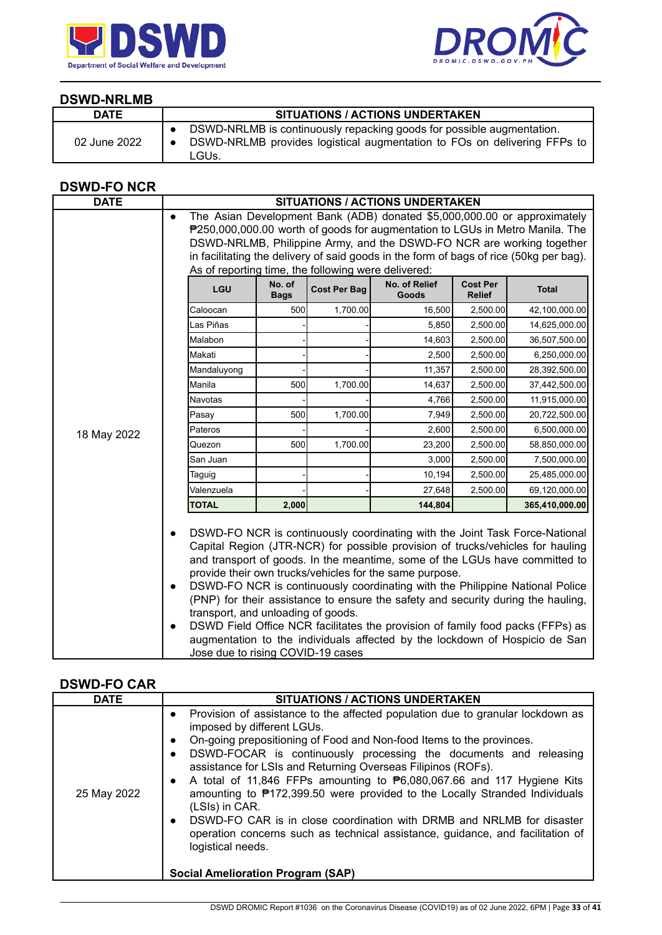



#### **DSWD-NRLMB**

| <b>DATE</b>  | <b>SITUATIONS / ACTIONS UNDERTAKEN</b>                                                                                                                     |
|--------------|------------------------------------------------------------------------------------------------------------------------------------------------------------|
| 02 June 2022 | DSWD-NRLMB is continuously repacking goods for possible augmentation.<br>DSWD-NRLMB provides logistical augmentation to FOs on delivering FFPs to<br>LGUs. |

### **DSWD-FO NCR**

| <b>DATE</b> |                                                                                                                |                                                                                                                                                                                                                                   |                     | <b>SITUATIONS / ACTIONS UNDERTAKEN</b>                                                                                                                                                                                                                                                                                                                                                                                                                                                                                                                                                                                                       |                                  |                |
|-------------|----------------------------------------------------------------------------------------------------------------|-----------------------------------------------------------------------------------------------------------------------------------------------------------------------------------------------------------------------------------|---------------------|----------------------------------------------------------------------------------------------------------------------------------------------------------------------------------------------------------------------------------------------------------------------------------------------------------------------------------------------------------------------------------------------------------------------------------------------------------------------------------------------------------------------------------------------------------------------------------------------------------------------------------------------|----------------------------------|----------------|
|             | $\bullet$                                                                                                      | The Asian Development Bank (ADB) donated \$5,000,000.00 or approximately<br>P250,000,000.00 worth of goods for augmentation to LGUs in Metro Manila. The<br>DSWD-NRLMB, Philippine Army, and the DSWD-FO NCR are working together |                     |                                                                                                                                                                                                                                                                                                                                                                                                                                                                                                                                                                                                                                              |                                  |                |
|             |                                                                                                                |                                                                                                                                                                                                                                   |                     | in facilitating the delivery of said goods in the form of bags of rice (50kg per bag).                                                                                                                                                                                                                                                                                                                                                                                                                                                                                                                                                       |                                  |                |
|             | As of reporting time, the following were delivered:                                                            |                                                                                                                                                                                                                                   |                     |                                                                                                                                                                                                                                                                                                                                                                                                                                                                                                                                                                                                                                              |                                  |                |
|             | LGU                                                                                                            | No. of<br><b>Bags</b>                                                                                                                                                                                                             | <b>Cost Per Bag</b> | No. of Relief<br>Goods                                                                                                                                                                                                                                                                                                                                                                                                                                                                                                                                                                                                                       | <b>Cost Per</b><br><b>Relief</b> | <b>Total</b>   |
|             | Caloocan                                                                                                       | 500                                                                                                                                                                                                                               | 1,700.00            | 16,500                                                                                                                                                                                                                                                                                                                                                                                                                                                                                                                                                                                                                                       | 2,500.00                         | 42,100,000.00  |
|             | Las Piñas                                                                                                      |                                                                                                                                                                                                                                   |                     | 5,850                                                                                                                                                                                                                                                                                                                                                                                                                                                                                                                                                                                                                                        | 2,500.00                         | 14,625,000.00  |
|             | Malabon                                                                                                        |                                                                                                                                                                                                                                   |                     | 14,603                                                                                                                                                                                                                                                                                                                                                                                                                                                                                                                                                                                                                                       | 2,500.00                         | 36,507,500.00  |
|             | Makati                                                                                                         |                                                                                                                                                                                                                                   |                     | 2,500                                                                                                                                                                                                                                                                                                                                                                                                                                                                                                                                                                                                                                        | 2,500.00                         | 6,250,000.00   |
|             | Mandaluyong                                                                                                    |                                                                                                                                                                                                                                   |                     | 11,357                                                                                                                                                                                                                                                                                                                                                                                                                                                                                                                                                                                                                                       | 2,500.00                         | 28,392,500.00  |
|             | Manila                                                                                                         | 500                                                                                                                                                                                                                               | 1,700.00            | 14,637                                                                                                                                                                                                                                                                                                                                                                                                                                                                                                                                                                                                                                       | 2,500.00                         | 37,442,500.00  |
|             | <b>Navotas</b>                                                                                                 |                                                                                                                                                                                                                                   |                     | 4,766                                                                                                                                                                                                                                                                                                                                                                                                                                                                                                                                                                                                                                        | 2,500.00                         | 11,915,000.00  |
|             | Pasay                                                                                                          | 500                                                                                                                                                                                                                               | 1,700.00            | 7,949                                                                                                                                                                                                                                                                                                                                                                                                                                                                                                                                                                                                                                        | 2,500.00                         | 20,722,500.00  |
| 18 May 2022 | Pateros                                                                                                        |                                                                                                                                                                                                                                   |                     | 2,600                                                                                                                                                                                                                                                                                                                                                                                                                                                                                                                                                                                                                                        | 2,500.00                         | 6,500,000.00   |
|             | Quezon                                                                                                         | 500                                                                                                                                                                                                                               | 1,700.00            | 23,200                                                                                                                                                                                                                                                                                                                                                                                                                                                                                                                                                                                                                                       | 2,500.00                         | 58,850,000.00  |
|             | San Juan                                                                                                       |                                                                                                                                                                                                                                   |                     | 3,000                                                                                                                                                                                                                                                                                                                                                                                                                                                                                                                                                                                                                                        | 2,500.00                         | 7,500,000.00   |
|             | Taguig                                                                                                         |                                                                                                                                                                                                                                   |                     | 10,194                                                                                                                                                                                                                                                                                                                                                                                                                                                                                                                                                                                                                                       | 2,500.00                         | 25,485,000.00  |
|             | Valenzuela                                                                                                     |                                                                                                                                                                                                                                   |                     | 27,648                                                                                                                                                                                                                                                                                                                                                                                                                                                                                                                                                                                                                                       | 2,500.00                         | 69,120,000.00  |
|             | <b>TOTAL</b>                                                                                                   | 2,000                                                                                                                                                                                                                             |                     | 144,804                                                                                                                                                                                                                                                                                                                                                                                                                                                                                                                                                                                                                                      |                                  | 365,410,000.00 |
|             | $\bullet$<br>$\bullet$<br>transport, and unloading of goods.<br>$\bullet$<br>Jose due to rising COVID-19 cases |                                                                                                                                                                                                                                   |                     | DSWD-FO NCR is continuously coordinating with the Joint Task Force-National<br>Capital Region (JTR-NCR) for possible provision of trucks/vehicles for hauling<br>and transport of goods. In the meantime, some of the LGUs have committed to<br>provide their own trucks/vehicles for the same purpose.<br>DSWD-FO NCR is continuously coordinating with the Philippine National Police<br>(PNP) for their assistance to ensure the safety and security during the hauling,<br>DSWD Field Office NCR facilitates the provision of family food packs (FFPs) as<br>augmentation to the individuals affected by the lockdown of Hospicio de San |                                  |                |

### **DSWD-FO CAR**

| <b>DATE</b> | <b>SITUATIONS / ACTIONS UNDERTAKEN</b>                                                                                                                                                                                                                                                                                                                                                                                                                                                                                                                                                                                                                                                                                                                                                                      |
|-------------|-------------------------------------------------------------------------------------------------------------------------------------------------------------------------------------------------------------------------------------------------------------------------------------------------------------------------------------------------------------------------------------------------------------------------------------------------------------------------------------------------------------------------------------------------------------------------------------------------------------------------------------------------------------------------------------------------------------------------------------------------------------------------------------------------------------|
| 25 May 2022 | Provision of assistance to the affected population due to granular lockdown as<br>$\bullet$<br>imposed by different LGUs.<br>On-going prepositioning of Food and Non-food Items to the provinces.<br>$\bullet$<br>DSWD-FOCAR is continuously processing the documents and releasing<br>$\bullet$<br>assistance for LSIs and Returning Overseas Filipinos (ROFs).<br>A total of 11,846 FFPs amounting to $\mathbf{P}6,080,067.66$ and 117 Hygiene Kits<br>$\bullet$<br>amounting to ₱172,399.50 were provided to the Locally Stranded Individuals<br>(LSIs) in CAR.<br>DSWD-FO CAR is in close coordination with DRMB and NRLMB for disaster<br>$\bullet$<br>operation concerns such as technical assistance, guidance, and facilitation of<br>logistical needs.<br><b>Social Amelioration Program (SAP)</b> |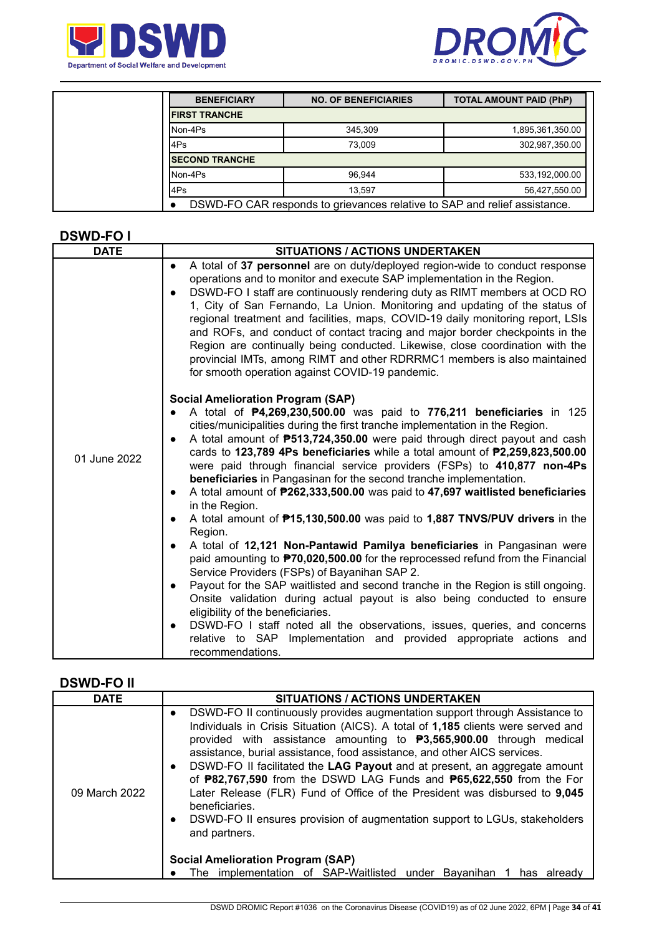



| <b>BENEFICIARY</b>    | <b>NO. OF BENEFICIARIES</b>                                               | <b>TOTAL AMOUNT PAID (PhP)</b> |
|-----------------------|---------------------------------------------------------------------------|--------------------------------|
| <b>FIRST TRANCHE</b>  |                                                                           |                                |
| Non-4Ps               | 345.309                                                                   | 1,895,361,350.00               |
| 4Ps                   | 73.009                                                                    | 302,987,350.00                 |
| <b>SECOND TRANCHE</b> |                                                                           |                                |
| Non-4Ps               | 96.944                                                                    | 533,192,000.00                 |
| 4Ps                   | 13.597                                                                    | 56,427,550.00                  |
|                       | DSWD-FO CAR responds to grievances relative to SAP and relief assistance. |                                |

#### **DSWD-FO I**

| <b>DATE</b>  | <b>SITUATIONS / ACTIONS UNDERTAKEN</b>                                                                                                                                                                                                                                                                                                                                                                                                                                                                                                                                                                                                                                                                                                                                                                                                                                                                                                                                                                                                                                                                                                                                                                                                                                                                                                                                                   |  |  |  |
|--------------|------------------------------------------------------------------------------------------------------------------------------------------------------------------------------------------------------------------------------------------------------------------------------------------------------------------------------------------------------------------------------------------------------------------------------------------------------------------------------------------------------------------------------------------------------------------------------------------------------------------------------------------------------------------------------------------------------------------------------------------------------------------------------------------------------------------------------------------------------------------------------------------------------------------------------------------------------------------------------------------------------------------------------------------------------------------------------------------------------------------------------------------------------------------------------------------------------------------------------------------------------------------------------------------------------------------------------------------------------------------------------------------|--|--|--|
|              | A total of 37 personnel are on duty/deployed region-wide to conduct response<br>$\bullet$<br>operations and to monitor and execute SAP implementation in the Region.<br>DSWD-FO I staff are continuously rendering duty as RIMT members at OCD RO<br>$\bullet$<br>1, City of San Fernando, La Union. Monitoring and updating of the status of<br>regional treatment and facilities, maps, COVID-19 daily monitoring report, LSIs<br>and ROFs, and conduct of contact tracing and major border checkpoints in the<br>Region are continually being conducted. Likewise, close coordination with the<br>provincial IMTs, among RIMT and other RDRRMC1 members is also maintained<br>for smooth operation against COVID-19 pandemic.                                                                                                                                                                                                                                                                                                                                                                                                                                                                                                                                                                                                                                                         |  |  |  |
| 01 June 2022 | <b>Social Amelioration Program (SAP)</b><br>A total of <b>P4,269,230,500.00</b> was paid to 776,211 beneficiaries in 125<br>cities/municipalities during the first tranche implementation in the Region.<br>A total amount of <b>P513,724,350.00</b> were paid through direct payout and cash<br>cards to 123,789 4Ps beneficiaries while a total amount of $P2,259,823,500.00$<br>were paid through financial service providers (FSPs) to 410,877 non-4Ps<br>beneficiaries in Pangasinan for the second tranche implementation.<br>A total amount of P262,333,500.00 was paid to 47,697 waitlisted beneficiaries<br>$\bullet$<br>in the Region.<br>A total amount of <b>P15,130,500.00</b> was paid to 1,887 TNVS/PUV drivers in the<br>$\bullet$<br>Region.<br>A total of 12,121 Non-Pantawid Pamilya beneficiaries in Pangasinan were<br>paid amounting to <b>P70,020,500.00</b> for the reprocessed refund from the Financial<br>Service Providers (FSPs) of Bayanihan SAP 2.<br>Payout for the SAP waitlisted and second tranche in the Region is still ongoing.<br>$\bullet$<br>Onsite validation during actual payout is also being conducted to ensure<br>eligibility of the beneficiaries.<br>DSWD-FO I staff noted all the observations, issues, queries, and concerns<br>$\bullet$<br>relative to SAP Implementation and provided appropriate actions and<br>recommendations. |  |  |  |

#### **DSWD-FO II**

| <b>DATE</b>   | SITUATIONS / ACTIONS UNDERTAKEN                                                                                                                                                                                                                                                                                                                                                                                                                                                                                                                                                                                                                                                                                                                                                                                                |  |  |  |
|---------------|--------------------------------------------------------------------------------------------------------------------------------------------------------------------------------------------------------------------------------------------------------------------------------------------------------------------------------------------------------------------------------------------------------------------------------------------------------------------------------------------------------------------------------------------------------------------------------------------------------------------------------------------------------------------------------------------------------------------------------------------------------------------------------------------------------------------------------|--|--|--|
| 09 March 2022 | DSWD-FO II continuously provides augmentation support through Assistance to<br>$\bullet$<br>Individuals in Crisis Situation (AICS). A total of 1,185 clients were served and<br>provided with assistance amounting to $\textbf{P}3,565,900.00$ through medical<br>assistance, burial assistance, food assistance, and other AICS services.<br>DSWD-FO II facilitated the LAG Payout and at present, an aggregate amount<br>of <b>P82,767,590</b> from the DSWD LAG Funds and <b>P65,622,550</b> from the For<br>Later Release (FLR) Fund of Office of the President was disbursed to 9,045<br>beneficiaries.<br>DSWD-FO II ensures provision of augmentation support to LGUs, stakeholders<br>and partners.<br><b>Social Amelioration Program (SAP)</b><br>The implementation of SAP-Waitlisted under Bayanihan<br>has already |  |  |  |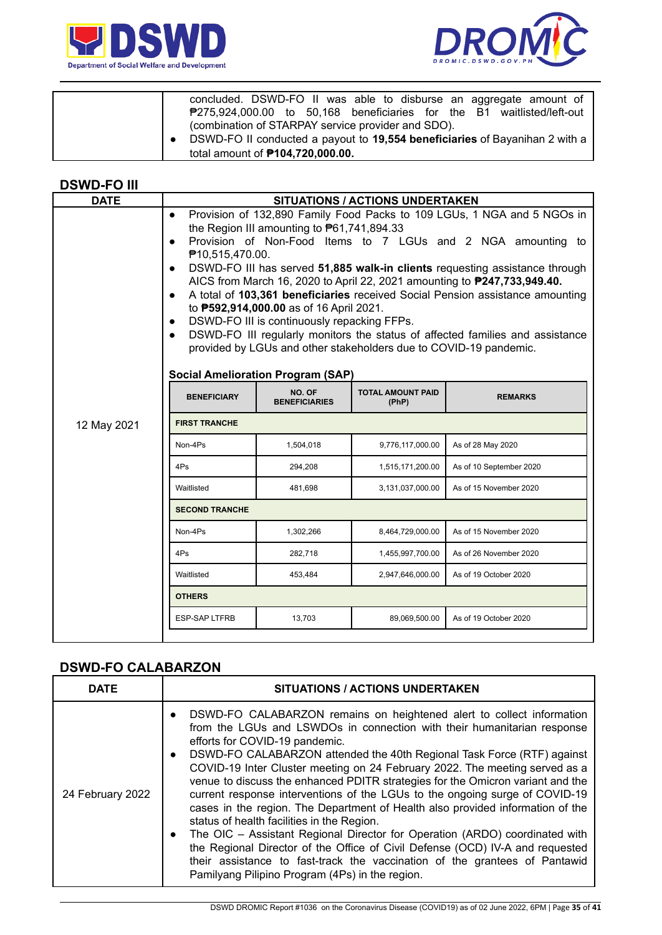



| concluded. DSWD-FO II was able to disburse an aggregate amount of<br>₱275,924,000.00 to 50,168 beneficiaries for the B1 waitlisted/left-out                                  |
|------------------------------------------------------------------------------------------------------------------------------------------------------------------------------|
| (combination of STARPAY service provider and SDO).<br>DSWD-FO II conducted a payout to 19,554 beneficiaries of Bayanihan 2 with a<br>total amount of <b>P104,720,000.00.</b> |

#### **DSWD-FO III**

| <b>DATE</b><br>Provision of 132,890 Family Food Packs to 109 LGUs, 1 NGA and 5 NGOs in<br>$\bullet$<br>the Region III amounting to $P61,741,894.33$<br>Provision of Non-Food Items to 7 LGUs and 2 NGA amounting to<br>$\bullet$<br>₱10,515,470.00.<br>DSWD-FO III has served 51,885 walk-in clients requesting assistance through<br>$\bullet$<br>AICS from March 16, 2020 to April 22, 2021 amounting to <b>P247, 733, 949.40.</b><br>A total of 103,361 beneficiaries received Social Pension assistance amounting<br>$\bullet$<br>to <b>P592,914,000.00</b> as of 16 April 2021.<br>DSWD-FO III is continuously repacking FFPs.<br>$\bullet$<br>DSWD-FO III regularly monitors the status of affected families and assistance<br>$\bullet$<br>provided by LGUs and other stakeholders due to COVID-19 pandemic. |           |                  |                                                                                    |  |  |  |
|---------------------------------------------------------------------------------------------------------------------------------------------------------------------------------------------------------------------------------------------------------------------------------------------------------------------------------------------------------------------------------------------------------------------------------------------------------------------------------------------------------------------------------------------------------------------------------------------------------------------------------------------------------------------------------------------------------------------------------------------------------------------------------------------------------------------|-----------|------------------|------------------------------------------------------------------------------------|--|--|--|
| NO. OF<br><b>TOTAL AMOUNT PAID</b><br><b>BENEFICIARY</b><br><b>REMARKS</b><br><b>BENEFICIARIES</b><br>(PhP)                                                                                                                                                                                                                                                                                                                                                                                                                                                                                                                                                                                                                                                                                                         |           |                  |                                                                                    |  |  |  |
| <b>FIRST TRANCHE</b><br>12 May 2021                                                                                                                                                                                                                                                                                                                                                                                                                                                                                                                                                                                                                                                                                                                                                                                 |           |                  |                                                                                    |  |  |  |
| Non-4Ps                                                                                                                                                                                                                                                                                                                                                                                                                                                                                                                                                                                                                                                                                                                                                                                                             | 1,504,018 | 9,776,117,000.00 | As of 28 May 2020                                                                  |  |  |  |
| 4Ps                                                                                                                                                                                                                                                                                                                                                                                                                                                                                                                                                                                                                                                                                                                                                                                                                 | 294,208   | 1,515,171,200.00 | As of 10 September 2020                                                            |  |  |  |
| Waitlisted                                                                                                                                                                                                                                                                                                                                                                                                                                                                                                                                                                                                                                                                                                                                                                                                          | 481,698   | 3,131,037,000.00 | As of 15 November 2020                                                             |  |  |  |
| <b>SECOND TRANCHE</b>                                                                                                                                                                                                                                                                                                                                                                                                                                                                                                                                                                                                                                                                                                                                                                                               |           |                  |                                                                                    |  |  |  |
| Non-4Ps                                                                                                                                                                                                                                                                                                                                                                                                                                                                                                                                                                                                                                                                                                                                                                                                             | 1,302,266 | 8,464,729,000.00 | As of 15 November 2020                                                             |  |  |  |
| 4Ps                                                                                                                                                                                                                                                                                                                                                                                                                                                                                                                                                                                                                                                                                                                                                                                                                 | 282,718   | 1,455,997,700.00 | As of 26 November 2020                                                             |  |  |  |
| Waitlisted                                                                                                                                                                                                                                                                                                                                                                                                                                                                                                                                                                                                                                                                                                                                                                                                          | 453,484   | 2,947,646,000.00 | As of 19 October 2020                                                              |  |  |  |
| <b>OTHERS</b>                                                                                                                                                                                                                                                                                                                                                                                                                                                                                                                                                                                                                                                                                                                                                                                                       |           |                  |                                                                                    |  |  |  |
| <b>ESP-SAP LTFRB</b>                                                                                                                                                                                                                                                                                                                                                                                                                                                                                                                                                                                                                                                                                                                                                                                                | 13,703    | 89,069,500.00    | As of 19 October 2020                                                              |  |  |  |
|                                                                                                                                                                                                                                                                                                                                                                                                                                                                                                                                                                                                                                                                                                                                                                                                                     |           |                  | <b>SITUATIONS / ACTIONS UNDERTAKEN</b><br><b>Social Amelioration Program (SAP)</b> |  |  |  |

## **DSWD-FO CALABARZON**

| <b>DATE</b>      | <b>SITUATIONS / ACTIONS UNDERTAKEN</b>                                                                                                                                                                                                                                                                                                                                                                                                                                                                                                                                                                                                                                                                                                                                                                                                                                                                                                                                               |
|------------------|--------------------------------------------------------------------------------------------------------------------------------------------------------------------------------------------------------------------------------------------------------------------------------------------------------------------------------------------------------------------------------------------------------------------------------------------------------------------------------------------------------------------------------------------------------------------------------------------------------------------------------------------------------------------------------------------------------------------------------------------------------------------------------------------------------------------------------------------------------------------------------------------------------------------------------------------------------------------------------------|
| 24 February 2022 | DSWD-FO CALABARZON remains on heightened alert to collect information<br>$\bullet$<br>from the LGUs and LSWDOs in connection with their humanitarian response<br>efforts for COVID-19 pandemic.<br>DSWD-FO CALABARZON attended the 40th Regional Task Force (RTF) against<br>$\bullet$<br>COVID-19 Inter Cluster meeting on 24 February 2022. The meeting served as a<br>venue to discuss the enhanced PDITR strategies for the Omicron variant and the<br>current response interventions of the LGUs to the ongoing surge of COVID-19<br>cases in the region. The Department of Health also provided information of the<br>status of health facilities in the Region.<br>The OIC - Assistant Regional Director for Operation (ARDO) coordinated with<br>$\bullet$<br>the Regional Director of the Office of Civil Defense (OCD) IV-A and requested<br>their assistance to fast-track the vaccination of the grantees of Pantawid<br>Pamilyang Pilipino Program (4Ps) in the region. |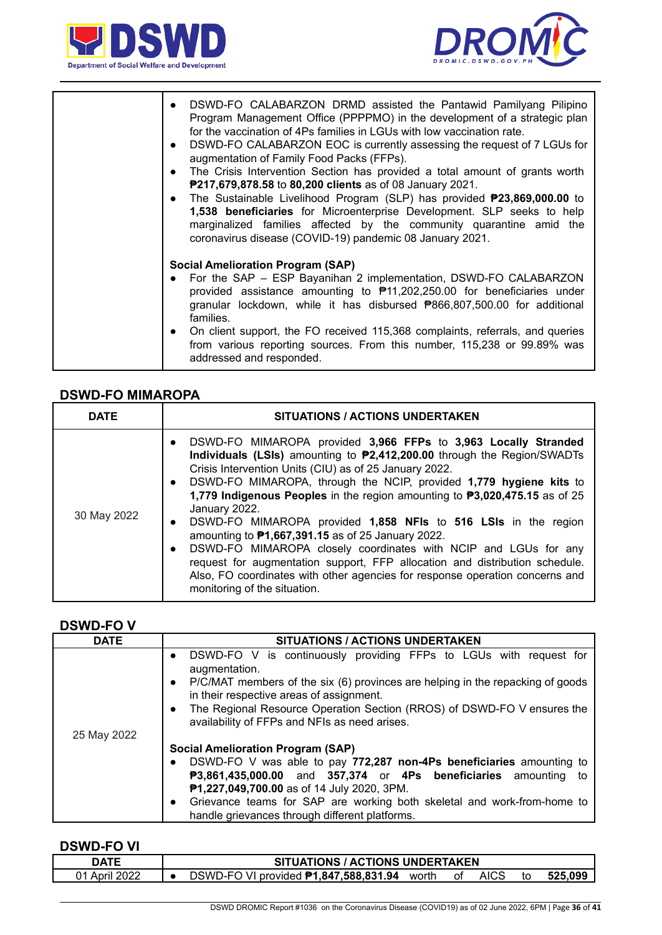



| DSWD-FO CALABARZON DRMD assisted the Pantawid Pamilyang Pilipino<br>$\bullet$<br>Program Management Office (PPPPMO) in the development of a strategic plan<br>for the vaccination of 4Ps families in LGUs with low vaccination rate.<br>DSWD-FO CALABARZON EOC is currently assessing the request of 7 LGUs for<br>$\bullet$<br>augmentation of Family Food Packs (FFPs).<br>The Crisis Intervention Section has provided a total amount of grants worth<br>$\bullet$<br>P217,679,878.58 to 80,200 clients as of 08 January 2021.<br>The Sustainable Livelihood Program (SLP) has provided <b>P23,869,000.00</b> to<br>$\bullet$<br>1,538 beneficiaries for Microenterprise Development. SLP seeks to help<br>marginalized families affected by the community quarantine amid the<br>coronavirus disease (COVID-19) pandemic 08 January 2021. |
|-----------------------------------------------------------------------------------------------------------------------------------------------------------------------------------------------------------------------------------------------------------------------------------------------------------------------------------------------------------------------------------------------------------------------------------------------------------------------------------------------------------------------------------------------------------------------------------------------------------------------------------------------------------------------------------------------------------------------------------------------------------------------------------------------------------------------------------------------|
| <b>Social Amelioration Program (SAP)</b><br>For the SAP - ESP Bayanihan 2 implementation, DSWD-FO CALABARZON<br>provided assistance amounting to $\overline{P}11,202,250.00$ for beneficiaries under<br>granular lockdown, while it has disbursed <b>P866,807,500.00</b> for additional<br>families.<br>On client support, the FO received 115,368 complaints, referrals, and queries<br>$\bullet$<br>from various reporting sources. From this number, 115,238 or 99.89% was<br>addressed and responded.                                                                                                                                                                                                                                                                                                                                     |

#### **DSWD-FO MIMAROPA**

| <b>DATE</b> | <b>SITUATIONS / ACTIONS UNDERTAKEN</b>                                                                                                                                                                                                                                                                                                                                                                                                                                                                                                                                                                                                                                                                                                                                                                                         |  |  |  |
|-------------|--------------------------------------------------------------------------------------------------------------------------------------------------------------------------------------------------------------------------------------------------------------------------------------------------------------------------------------------------------------------------------------------------------------------------------------------------------------------------------------------------------------------------------------------------------------------------------------------------------------------------------------------------------------------------------------------------------------------------------------------------------------------------------------------------------------------------------|--|--|--|
| 30 May 2022 | DSWD-FO MIMAROPA provided 3,966 FFPs to 3,963 Locally Stranded<br>$\bullet$<br>Individuals (LSIs) amounting to <b>P2,412,200.00</b> through the Region/SWADTs<br>Crisis Intervention Units (CIU) as of 25 January 2022.<br>DSWD-FO MIMAROPA, through the NCIP, provided 1,779 hygiene kits to<br>$\bullet$<br>1,779 Indigenous Peoples in the region amounting to P3,020,475.15 as of 25<br>January 2022.<br>DSWD-FO MIMAROPA provided 1,858 NFIs to 516 LSIs in the region<br>$\bullet$<br>amounting to $P1,667,391.15$ as of 25 January 2022.<br>DSWD-FO MIMAROPA closely coordinates with NCIP and LGUs for any<br>$\bullet$<br>request for augmentation support, FFP allocation and distribution schedule.<br>Also, FO coordinates with other agencies for response operation concerns and<br>monitoring of the situation. |  |  |  |

#### **DSWD-FO V**

| <b>DATE</b> | <b>SITUATIONS / ACTIONS UNDERTAKEN</b>                                                                                                  |  |  |  |  |  |
|-------------|-----------------------------------------------------------------------------------------------------------------------------------------|--|--|--|--|--|
|             | DSWD-FO V is continuously providing FFPs to LGUs with request for<br>$\bullet$<br>augmentation.                                         |  |  |  |  |  |
|             | P/C/MAT members of the six (6) provinces are helping in the repacking of goods<br>$\bullet$<br>in their respective areas of assignment. |  |  |  |  |  |
|             | The Regional Resource Operation Section (RROS) of DSWD-FO V ensures the<br>$\bullet$<br>availability of FFPs and NFIs as need arises.   |  |  |  |  |  |
| 25 May 2022 |                                                                                                                                         |  |  |  |  |  |
|             | <b>Social Amelioration Program (SAP)</b>                                                                                                |  |  |  |  |  |
|             | DSWD-FO V was able to pay 772,287 non-4Ps beneficiaries amounting to                                                                    |  |  |  |  |  |
|             | P3,861,435,000.00 and 357,374 or 4Ps beneficiaries amounting<br>to                                                                      |  |  |  |  |  |
|             | P1,227,049,700.00 as of 14 July 2020, 3PM.                                                                                              |  |  |  |  |  |
|             | Grievance teams for SAP are working both skeletal and work-from-home to<br>$\bullet$                                                    |  |  |  |  |  |
|             | handle grievances through different platforms.                                                                                          |  |  |  |  |  |

### **DSWD-FO VI**

| DATE       | <b>SITUATIONS / ACTIONS UNDERTAKEN</b>       |       |    |      |  |         |
|------------|----------------------------------------------|-------|----|------|--|---------|
| April 2022 | DSWD-FO VI provided <b>P1.847.588.831.94</b> | worth | οt | AICS |  | 525.099 |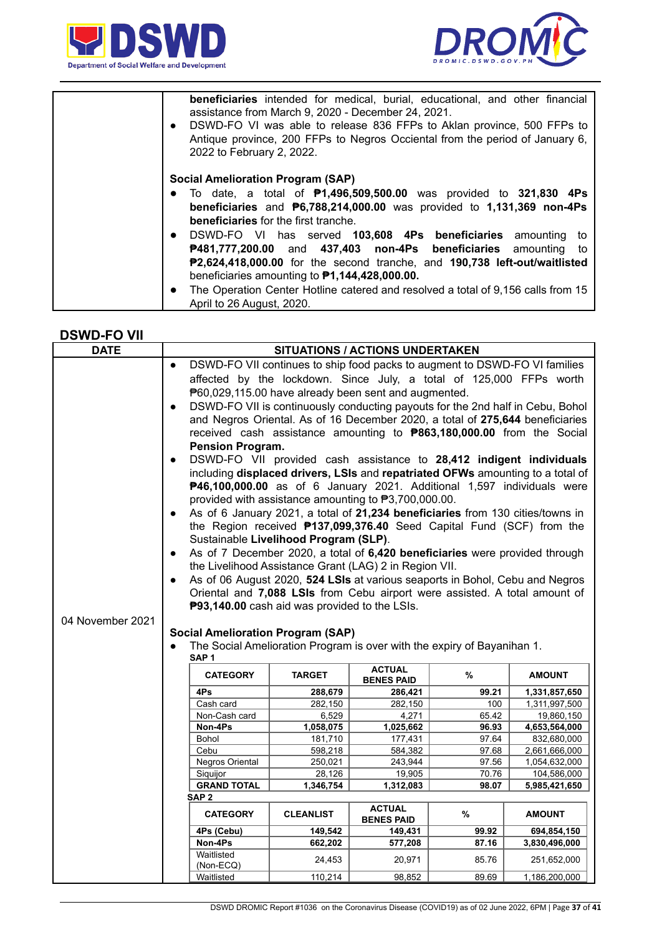



| <b>beneficiaries</b> intended for medical, burial, educational, and other financial<br>assistance from March 9, 2020 - December 24, 2021.<br>DSWD-FO VI was able to release 836 FFPs to Aklan province, 500 FFPs to<br>$\bullet$<br>Antique province, 200 FFPs to Negros Occiental from the period of January 6,<br>2022 to February 2, 2022.                                                      |
|----------------------------------------------------------------------------------------------------------------------------------------------------------------------------------------------------------------------------------------------------------------------------------------------------------------------------------------------------------------------------------------------------|
| <b>Social Amelioration Program (SAP)</b><br>• To date, a total of $P1,496,509,500.00$ was provided to 321,830 4Ps<br>beneficiaries and $P6,788,214,000.00$ was provided to 1,131,369 non-4Ps<br><b>beneficiaries</b> for the first tranche.                                                                                                                                                        |
| • DSWD-FO VI has served 103,608 4Ps beneficiaries amounting to<br>P481,777,200.00 and 437,403 non-4Ps beneficiaries amounting<br>to<br>P2,624,418,000.00 for the second tranche, and 190,738 left-out/waitlisted<br>beneficiaries amounting to $P1,144,428,000.00$ .<br>The Operation Center Hotline catered and resolved a total of 9,156 calls from 15<br>$\bullet$<br>April to 26 August, 2020. |

#### **DSWD-FO VII**

| <b>DATE</b>                                                            | <b>SITUATIONS / ACTIONS UNDERTAKEN</b>                                                                                                                                                                                                                                                                                                                                                                                                                                                                                                                                                                                                                                                                                                                                                                                                                                                                                                                                                                                                                                                                                                                                                                                                                                                                                                                                                                                                                                                                                                                                                                                         |                  |                   |              |                             |  |  |
|------------------------------------------------------------------------|--------------------------------------------------------------------------------------------------------------------------------------------------------------------------------------------------------------------------------------------------------------------------------------------------------------------------------------------------------------------------------------------------------------------------------------------------------------------------------------------------------------------------------------------------------------------------------------------------------------------------------------------------------------------------------------------------------------------------------------------------------------------------------------------------------------------------------------------------------------------------------------------------------------------------------------------------------------------------------------------------------------------------------------------------------------------------------------------------------------------------------------------------------------------------------------------------------------------------------------------------------------------------------------------------------------------------------------------------------------------------------------------------------------------------------------------------------------------------------------------------------------------------------------------------------------------------------------------------------------------------------|------------------|-------------------|--------------|-----------------------------|--|--|
| 04 November 2021                                                       | DSWD-FO VII continues to ship food packs to augment to DSWD-FO VI families<br>$\bullet$<br>affected by the lockdown. Since July, a total of 125,000 FFPs worth<br>P60,029,115.00 have already been sent and augmented.<br>DSWD-FO VII is continuously conducting payouts for the 2nd half in Cebu, Bohol<br>$\bullet$<br>and Negros Oriental. As of 16 December 2020, a total of 275,644 beneficiaries<br>received cash assistance amounting to <b>P863,180,000.00</b> from the Social<br><b>Pension Program.</b><br>DSWD-FO VII provided cash assistance to 28,412 indigent individuals<br>$\bullet$<br>including displaced drivers, LSIs and repatriated OFWs amounting to a total of<br>P46,100,000.00 as of 6 January 2021. Additional 1,597 individuals were<br>provided with assistance amounting to P3,700,000.00.<br>As of 6 January 2021, a total of 21,234 beneficiaries from 130 cities/towns in<br>the Region received <b>P137,099,376.40</b> Seed Capital Fund (SCF) from the<br>Sustainable Livelihood Program (SLP).<br>As of 7 December 2020, a total of 6,420 beneficiaries were provided through<br>$\bullet$<br>the Livelihood Assistance Grant (LAG) 2 in Region VII.<br>As of 06 August 2020, 524 LSIs at various seaports in Bohol, Cebu and Negros<br>Oriental and 7,088 LSIs from Cebu airport were assisted. A total amount of<br>P93,140.00 cash aid was provided to the LSIs.<br><b>Social Amelioration Program (SAP)</b><br>The Social Amelioration Program is over with the expiry of Bayanihan 1.<br>SAP <sub>1</sub><br><b>ACTUAL</b><br><b>CATEGORY</b><br><b>TARGET</b><br>%<br><b>AMOUNT</b> |                  |                   |              |                             |  |  |
|                                                                        |                                                                                                                                                                                                                                                                                                                                                                                                                                                                                                                                                                                                                                                                                                                                                                                                                                                                                                                                                                                                                                                                                                                                                                                                                                                                                                                                                                                                                                                                                                                                                                                                                                |                  |                   |              |                             |  |  |
|                                                                        |                                                                                                                                                                                                                                                                                                                                                                                                                                                                                                                                                                                                                                                                                                                                                                                                                                                                                                                                                                                                                                                                                                                                                                                                                                                                                                                                                                                                                                                                                                                                                                                                                                |                  | <b>BENES PAID</b> |              |                             |  |  |
|                                                                        | 4Ps<br>Cash card                                                                                                                                                                                                                                                                                                                                                                                                                                                                                                                                                                                                                                                                                                                                                                                                                                                                                                                                                                                                                                                                                                                                                                                                                                                                                                                                                                                                                                                                                                                                                                                                               | 288,679          | 286,421           | 99.21        | 1,331,857,650               |  |  |
|                                                                        | Non-Cash card                                                                                                                                                                                                                                                                                                                                                                                                                                                                                                                                                                                                                                                                                                                                                                                                                                                                                                                                                                                                                                                                                                                                                                                                                                                                                                                                                                                                                                                                                                                                                                                                                  | 282,150<br>6,529 | 282,150<br>4,271  | 100<br>65.42 | 1,311,997,500<br>19,860,150 |  |  |
|                                                                        | Non-4Ps                                                                                                                                                                                                                                                                                                                                                                                                                                                                                                                                                                                                                                                                                                                                                                                                                                                                                                                                                                                                                                                                                                                                                                                                                                                                                                                                                                                                                                                                                                                                                                                                                        | 1,058,075        | 1,025,662         | 96.93        | 4,653,564,000               |  |  |
|                                                                        | Bohol                                                                                                                                                                                                                                                                                                                                                                                                                                                                                                                                                                                                                                                                                                                                                                                                                                                                                                                                                                                                                                                                                                                                                                                                                                                                                                                                                                                                                                                                                                                                                                                                                          | 181,710          | 177,431           | 97.64        | 832,680,000                 |  |  |
|                                                                        | Cebu                                                                                                                                                                                                                                                                                                                                                                                                                                                                                                                                                                                                                                                                                                                                                                                                                                                                                                                                                                                                                                                                                                                                                                                                                                                                                                                                                                                                                                                                                                                                                                                                                           | 598,218          | 584,382           | 97.68        | 2,661,666,000               |  |  |
|                                                                        | Negros Oriental                                                                                                                                                                                                                                                                                                                                                                                                                                                                                                                                                                                                                                                                                                                                                                                                                                                                                                                                                                                                                                                                                                                                                                                                                                                                                                                                                                                                                                                                                                                                                                                                                | 250,021          | 243,944           | 97.56        | 1,054,632,000               |  |  |
| Siquijor<br>28,126<br>19,905<br>70.76<br>104,586,000                   |                                                                                                                                                                                                                                                                                                                                                                                                                                                                                                                                                                                                                                                                                                                                                                                                                                                                                                                                                                                                                                                                                                                                                                                                                                                                                                                                                                                                                                                                                                                                                                                                                                |                  |                   |              |                             |  |  |
| <b>GRAND TOTAL</b><br>1,346,754<br>1,312,083<br>98.07<br>5,985,421,650 |                                                                                                                                                                                                                                                                                                                                                                                                                                                                                                                                                                                                                                                                                                                                                                                                                                                                                                                                                                                                                                                                                                                                                                                                                                                                                                                                                                                                                                                                                                                                                                                                                                |                  |                   |              |                             |  |  |
|                                                                        | SAP <sub>2</sub>                                                                                                                                                                                                                                                                                                                                                                                                                                                                                                                                                                                                                                                                                                                                                                                                                                                                                                                                                                                                                                                                                                                                                                                                                                                                                                                                                                                                                                                                                                                                                                                                               |                  |                   |              |                             |  |  |
|                                                                        | <b>ACTUAL</b><br><b>CATEGORY</b><br><b>CLEANLIST</b><br>%<br><b>AMOUNT</b><br><b>BENES PAID</b>                                                                                                                                                                                                                                                                                                                                                                                                                                                                                                                                                                                                                                                                                                                                                                                                                                                                                                                                                                                                                                                                                                                                                                                                                                                                                                                                                                                                                                                                                                                                |                  |                   |              |                             |  |  |
|                                                                        | 4Ps (Cebu)                                                                                                                                                                                                                                                                                                                                                                                                                                                                                                                                                                                                                                                                                                                                                                                                                                                                                                                                                                                                                                                                                                                                                                                                                                                                                                                                                                                                                                                                                                                                                                                                                     | 149,542          | 149,431           | 99.92        | 694,854,150                 |  |  |
|                                                                        | Non-4Ps                                                                                                                                                                                                                                                                                                                                                                                                                                                                                                                                                                                                                                                                                                                                                                                                                                                                                                                                                                                                                                                                                                                                                                                                                                                                                                                                                                                                                                                                                                                                                                                                                        | 662,202          | 577,208           | 87.16        | 3,830,496,000               |  |  |
|                                                                        | Waitlisted<br>(Non-ECQ)                                                                                                                                                                                                                                                                                                                                                                                                                                                                                                                                                                                                                                                                                                                                                                                                                                                                                                                                                                                                                                                                                                                                                                                                                                                                                                                                                                                                                                                                                                                                                                                                        | 24,453           | 20,971            | 85.76        | 251,652,000                 |  |  |
|                                                                        | Waitlisted                                                                                                                                                                                                                                                                                                                                                                                                                                                                                                                                                                                                                                                                                                                                                                                                                                                                                                                                                                                                                                                                                                                                                                                                                                                                                                                                                                                                                                                                                                                                                                                                                     | 110,214          | 98,852            | 89.69        | 1,186,200,000               |  |  |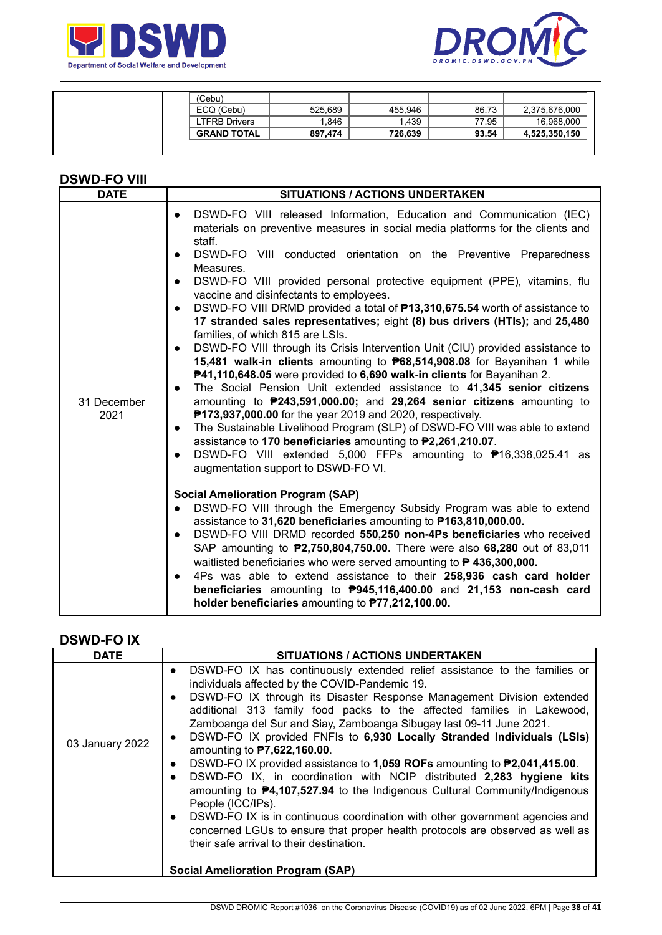



| (Cebu)             |         |         |       |               |
|--------------------|---------|---------|-------|---------------|
| ECQ (Cebu)         | 525,689 | 455.946 | 86.73 | 2,375,676,000 |
| LTFRB Drivers      | 1.846   | .439    | 77.95 | 16,968,000    |
| <b>GRAND TOTAL</b> | 897.474 | 726.639 | 93.54 | 4,525,350,150 |
|                    |         |         |       |               |

### **DSWD-FO VIII**

## **DSWD-FO IX**

| <b>DATE</b>     | SITUATIONS / ACTIONS UNDERTAKEN                                                                                                                                                                                                                                                                                                                                                                                                                                                                                                                                                                                                                                                                                                                                                                                                                                                                                                                                                                                                                                                   |
|-----------------|-----------------------------------------------------------------------------------------------------------------------------------------------------------------------------------------------------------------------------------------------------------------------------------------------------------------------------------------------------------------------------------------------------------------------------------------------------------------------------------------------------------------------------------------------------------------------------------------------------------------------------------------------------------------------------------------------------------------------------------------------------------------------------------------------------------------------------------------------------------------------------------------------------------------------------------------------------------------------------------------------------------------------------------------------------------------------------------|
| 03 January 2022 | DSWD-FO IX has continuously extended relief assistance to the families or<br>$\bullet$<br>individuals affected by the COVID-Pandemic 19.<br>DSWD-FO IX through its Disaster Response Management Division extended<br>$\bullet$<br>additional 313 family food packs to the affected families in Lakewood,<br>Zamboanga del Sur and Siay, Zamboanga Sibugay last 09-11 June 2021.<br>DSWD-FO IX provided FNFIs to 6,930 Locally Stranded Individuals (LSIs)<br>$\bullet$<br>amounting to <b>P7,622,160.00</b> .<br>DSWD-FO IX provided assistance to 1,059 ROFs amounting to P2,041,415.00.<br>$\bullet$<br>DSWD-FO IX, in coordination with NCIP distributed 2,283 hygiene kits<br>$\bullet$<br>amounting to $\mathbf{P4}$ , 107, 527.94 to the Indigenous Cultural Community/Indigenous<br>People (ICC/IPs).<br>DSWD-FO IX is in continuous coordination with other government agencies and<br>$\bullet$<br>concerned LGUs to ensure that proper health protocols are observed as well as<br>their safe arrival to their destination.<br><b>Social Amelioration Program (SAP)</b> |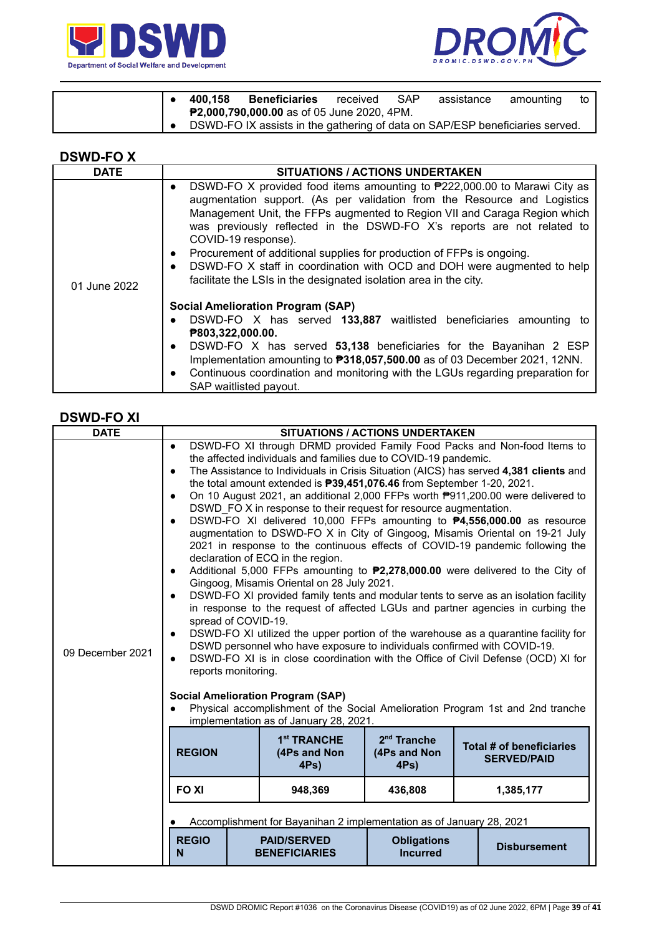



|  | 400.158 | <b>Beneficiaries</b>                                                         | received | <b>SAP</b> | assistance | amounting | to I |
|--|---------|------------------------------------------------------------------------------|----------|------------|------------|-----------|------|
|  |         | <b>P2,000,790,000.00</b> as of 05 June 2020, 4PM.                            |          |            |            |           |      |
|  |         | DSWD-FO IX assists in the gathering of data on SAP/ESP beneficiaries served. |          |            |            |           |      |

| /VD-'<br>┍<br>s.<br>− |  |
|-----------------------|--|
|-----------------------|--|

| <b>DATE</b>  | <b>SITUATIONS / ACTIONS UNDERTAKEN</b>                                                                                                                                                                                                                                                                                                                                                                                                                                                                                                                                                               |
|--------------|------------------------------------------------------------------------------------------------------------------------------------------------------------------------------------------------------------------------------------------------------------------------------------------------------------------------------------------------------------------------------------------------------------------------------------------------------------------------------------------------------------------------------------------------------------------------------------------------------|
| 01 June 2022 | DSWD-FO X provided food items amounting to $P222,000.00$ to Marawi City as<br>$\bullet$<br>augmentation support. (As per validation from the Resource and Logistics<br>Management Unit, the FFPs augmented to Region VII and Caraga Region which<br>was previously reflected in the DSWD-FO X's reports are not related to<br>COVID-19 response).<br>Procurement of additional supplies for production of FFPs is ongoing.<br>$\bullet$<br>DSWD-FO X staff in coordination with OCD and DOH were augmented to help<br>$\bullet$<br>facilitate the LSIs in the designated isolation area in the city. |
|              | <b>Social Amelioration Program (SAP)</b><br>DSWD-FO X has served 133,887 waitlisted beneficiaries amounting to<br>$\bullet$<br>P803,322,000.00.<br>DSWD-FO X has served 53,138 beneficiaries for the Bayanihan 2 ESP<br>$\bullet$<br>Implementation amounting to <b>P318,057,500.00</b> as of 03 December 2021, 12NN.<br>Continuous coordination and monitoring with the LGUs regarding preparation for<br>$\bullet$<br>SAP waitlisted payout.                                                                                                                                                       |

## **DSWD-FO XI**

| <b>DATE</b>      |                                                                                                                                                                                                                                                                                                                                                                                                                                                                                                                                                                                                                                                                                                                                                                                                                                                                                                                                                                                                                                                                                                                                                                                                                                                                                                                                                                                                                                                                                                                                                                                                                                                                                            |                                                    | <b>SITUATIONS / ACTIONS UNDERTAKEN</b>   |                                                |  |
|------------------|--------------------------------------------------------------------------------------------------------------------------------------------------------------------------------------------------------------------------------------------------------------------------------------------------------------------------------------------------------------------------------------------------------------------------------------------------------------------------------------------------------------------------------------------------------------------------------------------------------------------------------------------------------------------------------------------------------------------------------------------------------------------------------------------------------------------------------------------------------------------------------------------------------------------------------------------------------------------------------------------------------------------------------------------------------------------------------------------------------------------------------------------------------------------------------------------------------------------------------------------------------------------------------------------------------------------------------------------------------------------------------------------------------------------------------------------------------------------------------------------------------------------------------------------------------------------------------------------------------------------------------------------------------------------------------------------|----------------------------------------------------|------------------------------------------|------------------------------------------------|--|
| 09 December 2021 | DSWD-FO XI through DRMD provided Family Food Packs and Non-food Items to<br>$\bullet$<br>the affected individuals and families due to COVID-19 pandemic.<br>The Assistance to Individuals in Crisis Situation (AICS) has served 4,381 clients and<br>$\bullet$<br>the total amount extended is <b>P39,451,076.46</b> from September 1-20, 2021.<br>On 10 August 2021, an additional 2,000 FFPs worth P911,200.00 were delivered to<br>$\bullet$<br>DSWD FO X in response to their request for resource augmentation.<br>DSWD-FO XI delivered 10,000 FFPs amounting to <b>P4,556,000.00</b> as resource<br>$\bullet$<br>augmentation to DSWD-FO X in City of Gingoog, Misamis Oriental on 19-21 July<br>2021 in response to the continuous effects of COVID-19 pandemic following the<br>declaration of ECQ in the region.<br>Additional 5,000 FFPs amounting to <b>P2,278,000.00</b> were delivered to the City of<br>$\bullet$<br>Gingoog, Misamis Oriental on 28 July 2021.<br>DSWD-FO XI provided family tents and modular tents to serve as an isolation facility<br>$\bullet$<br>in response to the request of affected LGUs and partner agencies in curbing the<br>spread of COVID-19.<br>DSWD-FO XI utilized the upper portion of the warehouse as a quarantine facility for<br>$\bullet$<br>DSWD personnel who have exposure to individuals confirmed with COVID-19.<br>DSWD-FO XI is in close coordination with the Office of Civil Defense (OCD) XI for<br>$\bullet$<br>reports monitoring.<br><b>Social Amelioration Program (SAP)</b><br>Physical accomplishment of the Social Amelioration Program 1st and 2nd tranche<br>$\bullet$<br>implementation as of January 28, 2021. |                                                    |                                          |                                                |  |
|                  | <b>REGION</b>                                                                                                                                                                                                                                                                                                                                                                                                                                                                                                                                                                                                                                                                                                                                                                                                                                                                                                                                                                                                                                                                                                                                                                                                                                                                                                                                                                                                                                                                                                                                                                                                                                                                              | 1 <sup>st</sup> TRANCHE<br>(4Ps and Non<br>$4Ps$ ) | $2nd$ Tranche<br>(4Ps and Non<br>$4Ps$ ) | Total # of beneficiaries<br><b>SERVED/PAID</b> |  |
|                  | <b>FOXI</b>                                                                                                                                                                                                                                                                                                                                                                                                                                                                                                                                                                                                                                                                                                                                                                                                                                                                                                                                                                                                                                                                                                                                                                                                                                                                                                                                                                                                                                                                                                                                                                                                                                                                                | 948,369                                            | 436,808                                  | 1,385,177                                      |  |
|                  | Accomplishment for Bayanihan 2 implementation as of January 28, 2021                                                                                                                                                                                                                                                                                                                                                                                                                                                                                                                                                                                                                                                                                                                                                                                                                                                                                                                                                                                                                                                                                                                                                                                                                                                                                                                                                                                                                                                                                                                                                                                                                       |                                                    |                                          |                                                |  |
|                  | <b>REGIO</b><br>N                                                                                                                                                                                                                                                                                                                                                                                                                                                                                                                                                                                                                                                                                                                                                                                                                                                                                                                                                                                                                                                                                                                                                                                                                                                                                                                                                                                                                                                                                                                                                                                                                                                                          | <b>PAID/SERVED</b><br><b>BENEFICIARIES</b>         | <b>Obligations</b><br><b>Incurred</b>    | <b>Disbursement</b>                            |  |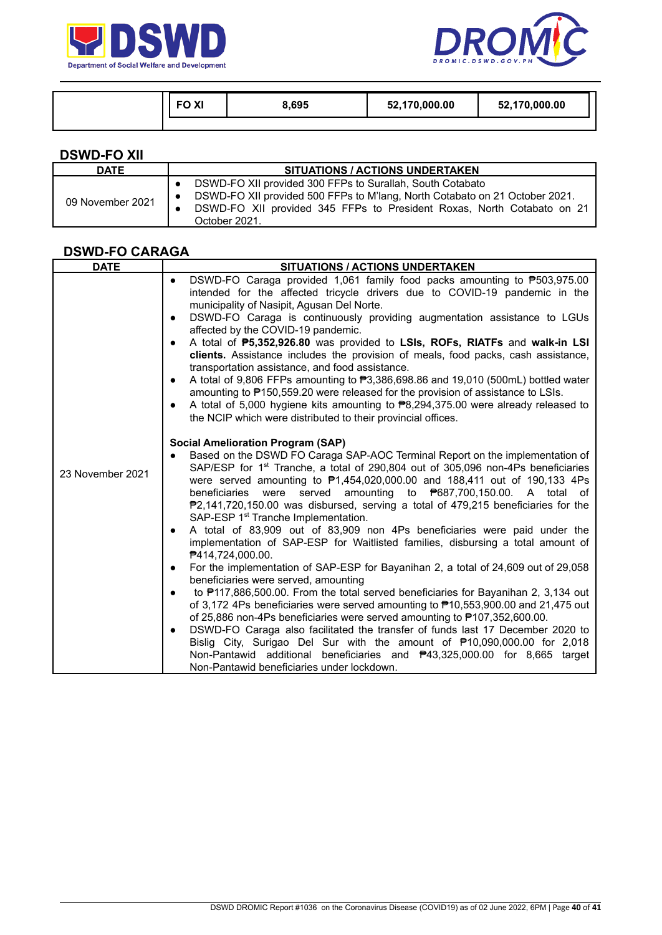



| <b>FOXI</b> | 8,695 | 52,170,000.00 | 52,170,000.00 |
|-------------|-------|---------------|---------------|
|             |       |               |               |

| <b>DSWD-FO XII</b> |                                                                                                                                                                                                                                                  |
|--------------------|--------------------------------------------------------------------------------------------------------------------------------------------------------------------------------------------------------------------------------------------------|
| <b>DATE</b>        | <b>SITUATIONS / ACTIONS UNDERTAKEN</b>                                                                                                                                                                                                           |
| 09 November 2021   | DSWD-FO XII provided 300 FFPs to Surallah, South Cotabato<br>DSWD-FO XII provided 500 FFPs to M'lang, North Cotabato on 21 October 2021.<br>DSWD-FO XII provided 345 FFPs to President Roxas, North Cotabato on 21<br>$\bullet$<br>October 2021. |

## **DSWD-FO CARAGA**

| <b>DATE</b>      | <b>SITUATIONS / ACTIONS UNDERTAKEN</b>                                                                                                                                                                                                                                                                                                                                                                                                                                                                                                                                                                                                                                                                                                                                                                                                                                                                                                                                                                                                                                                                                                                                                                                                                                                                                                                                                                                                                                                 |
|------------------|----------------------------------------------------------------------------------------------------------------------------------------------------------------------------------------------------------------------------------------------------------------------------------------------------------------------------------------------------------------------------------------------------------------------------------------------------------------------------------------------------------------------------------------------------------------------------------------------------------------------------------------------------------------------------------------------------------------------------------------------------------------------------------------------------------------------------------------------------------------------------------------------------------------------------------------------------------------------------------------------------------------------------------------------------------------------------------------------------------------------------------------------------------------------------------------------------------------------------------------------------------------------------------------------------------------------------------------------------------------------------------------------------------------------------------------------------------------------------------------|
|                  | DSWD-FO Caraga provided 1,061 family food packs amounting to ₱503,975.00<br>$\bullet$<br>intended for the affected tricycle drivers due to COVID-19 pandemic in the<br>municipality of Nasipit, Agusan Del Norte.<br>DSWD-FO Caraga is continuously providing augmentation assistance to LGUs<br>$\bullet$<br>affected by the COVID-19 pandemic.<br>A total of <b>P5,352,926.80</b> was provided to LSIs, ROFs, RIATFs and walk-in LSI<br>$\bullet$<br>clients. Assistance includes the provision of meals, food packs, cash assistance,<br>transportation assistance, and food assistance.<br>A total of 9,806 FFPs amounting to ₱3,386,698.86 and 19,010 (500mL) bottled water<br>$\bullet$<br>amounting to P150,559.20 were released for the provision of assistance to LSIs.<br>A total of 5,000 hygiene kits amounting to ₱8,294,375.00 were already released to<br>$\bullet$<br>the NCIP which were distributed to their provincial offices.                                                                                                                                                                                                                                                                                                                                                                                                                                                                                                                                     |
| 23 November 2021 | <b>Social Amelioration Program (SAP)</b><br>Based on the DSWD FO Caraga SAP-AOC Terminal Report on the implementation of<br>SAP/ESP for 1 <sup>st</sup> Tranche, a total of 290,804 out of 305,096 non-4Ps beneficiaries<br>were served amounting to P1,454,020,000.00 and 188,411 out of 190,133 4Ps<br>served amounting to P687,700,150.00. A total of<br>beneficiaries<br>were<br>₱2,141,720,150.00 was disbursed, serving a total of 479,215 beneficiaries for the<br>SAP-ESP 1 <sup>st</sup> Tranche Implementation.<br>A total of 83,909 out of 83,909 non 4Ps beneficiaries were paid under the<br>$\bullet$<br>implementation of SAP-ESP for Waitlisted families, disbursing a total amount of<br><b>₱414,724,000.00.</b><br>For the implementation of SAP-ESP for Bayanihan 2, a total of 24,609 out of 29,058<br>$\bullet$<br>beneficiaries were served, amounting<br>to #117,886,500.00. From the total served beneficiaries for Bayanihan 2, 3,134 out<br>$\bullet$<br>of 3,172 4Ps beneficiaries were served amounting to $\overline{P}$ 10,553,900.00 and 21,475 out<br>of 25,886 non-4Ps beneficiaries were served amounting to $\text{P}107,352,600.00$ .<br>DSWD-FO Caraga also facilitated the transfer of funds last 17 December 2020 to<br>$\bullet$<br>Bislig City, Surigao Del Sur with the amount of ₱10,090,000.00 for 2,018<br>Non-Pantawid additional beneficiaries and <b>P43,325,000.00</b> for 8,665 target<br>Non-Pantawid beneficiaries under lockdown. |